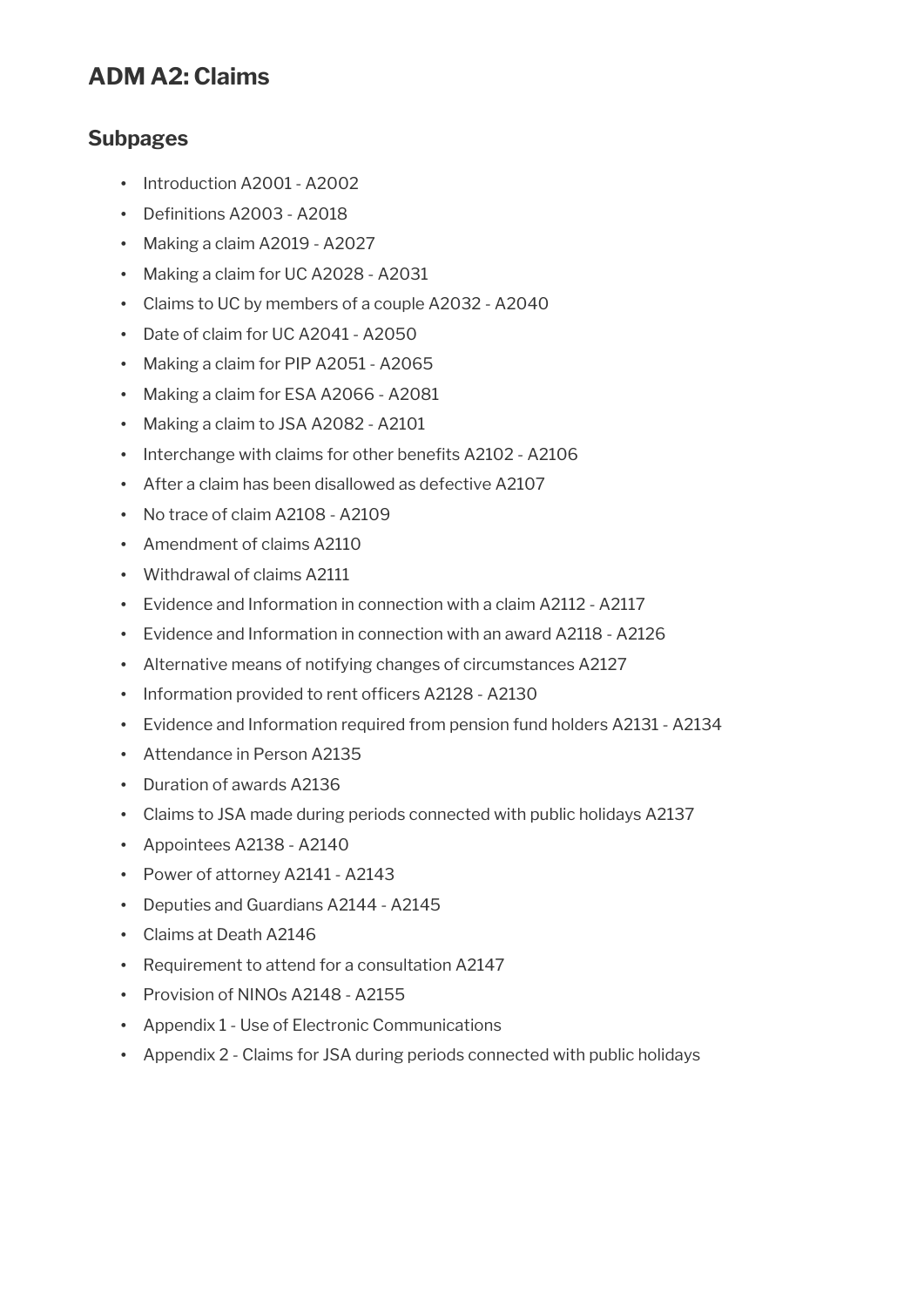## **ADM A2: Claims**

### **Subpages**

- Introduction A2001 A2002
- Definitions A2003 A2018
- Making a claim A2019 A2027
- Making a claim for UC A2028 A2031
- Claims to UC by members of a couple A2032 A2040
- Date of claim for UC A2041 A2050
- Making a claim for PIP A2051 A2065
- Making a claim for ESA A2066 A2081
- Making a claim to JSA A2082 A2101
- Interchange with claims for other benefits A2102 A2106
- After a claim has been disallowed as defective A2107
- No trace of claim A2108 A2109
- Amendment of claims A2110
- Withdrawal of claims A2111
- Evidence and Information in connection with a claim A2112 A2117
- Evidence and Information in connection with an award A2118 A2126
- Alternative means of notifying changes of circumstances A2127
- Information provided to rent officers A2128 A2130
- Evidence and Information required from pension fund holders A2131 A2134
- Attendance in Person A2135
- Duration of awards A2136
- Claims to JSA made during periods connected with public holidays A2137
- Appointees A2138 A2140
- Power of attorney A2141 A2143
- Deputies and Guardians A2144 A2145
- Claims at Death A2146
- Requirement to attend for a consultation A2147
- Provision of NINOs A2148 A2155
- Appendix 1 Use of Electronic Communications
- Appendix 2 Claims for JSA during periods connected with public holidays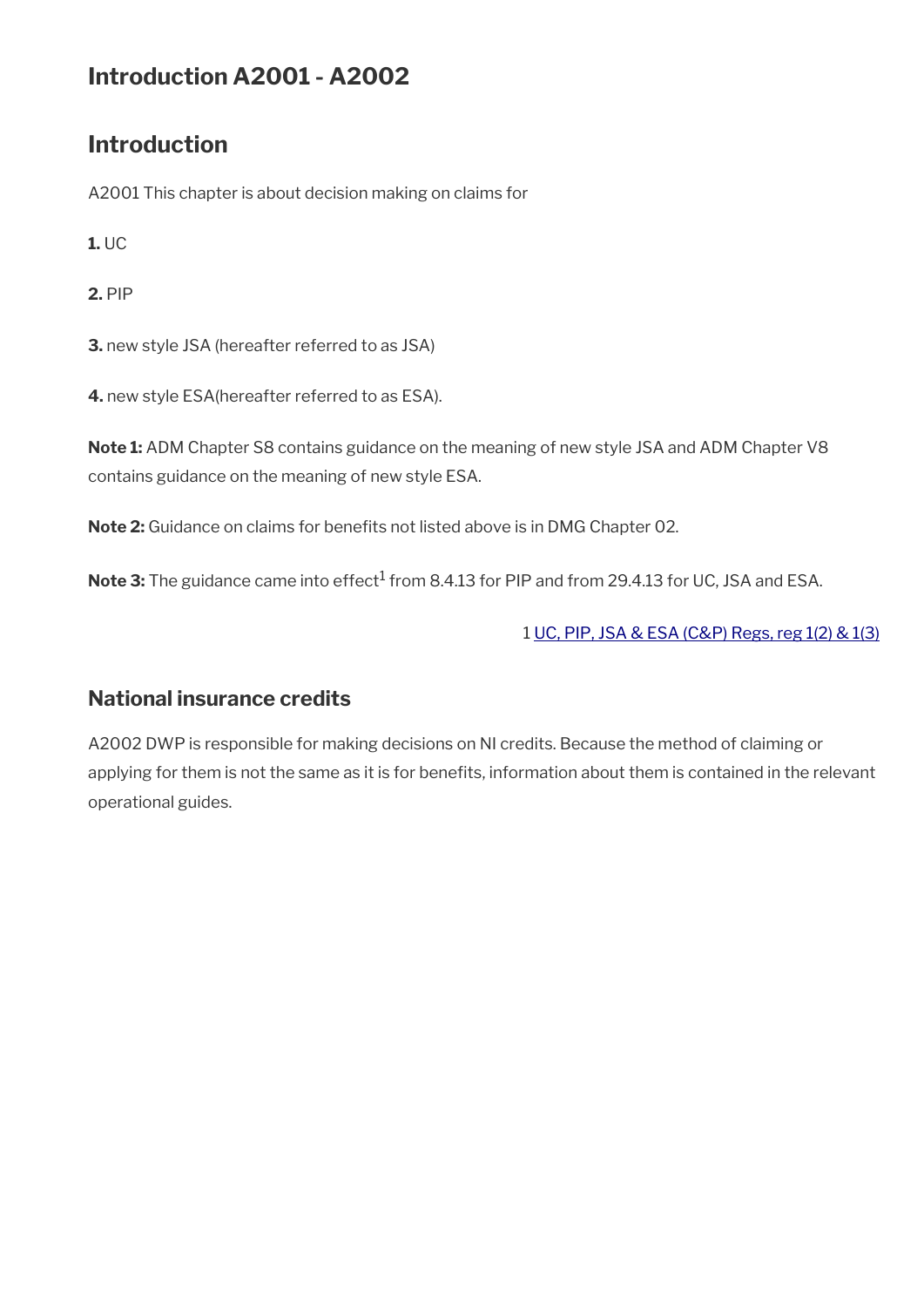## **Introduction A2001 - A2002**

## **Introduction**

A2001 This chapter is about decision making on claims for

**1.** UC

**2.** PIP

**3.** new style JSA (hereafter referred to as JSA)

**4.** new style ESA(hereafter referred to as ESA).

**Note 1:** ADM Chapter S8 contains guidance on the meaning of new style JSA and ADM Chapter V8 contains guidance on the meaning of new style ESA.

Note 2: Guidance on claims for benefits not listed above is in DMG Chapter 02.

 $\mathsf{Note} \, 3\mathpunct{:}$  The guidance came into effect $^1$  from 8.4.13 for PIP and from 29.4.13 for UC, JSA and ESA.

1 [UC, PIP, JSA & ESA \(C&P\) Regs, reg 1\(2\) & 1\(3\)](http://www.legislation.gov.uk/uksi/2013/380/regulation/1)

### **National insurance credits**

A2002 DWP is responsible for making decisions on NI credits. Because the method of claiming or applying for them is not the same as it is for benefits, information about them is contained in the relevant operational guides.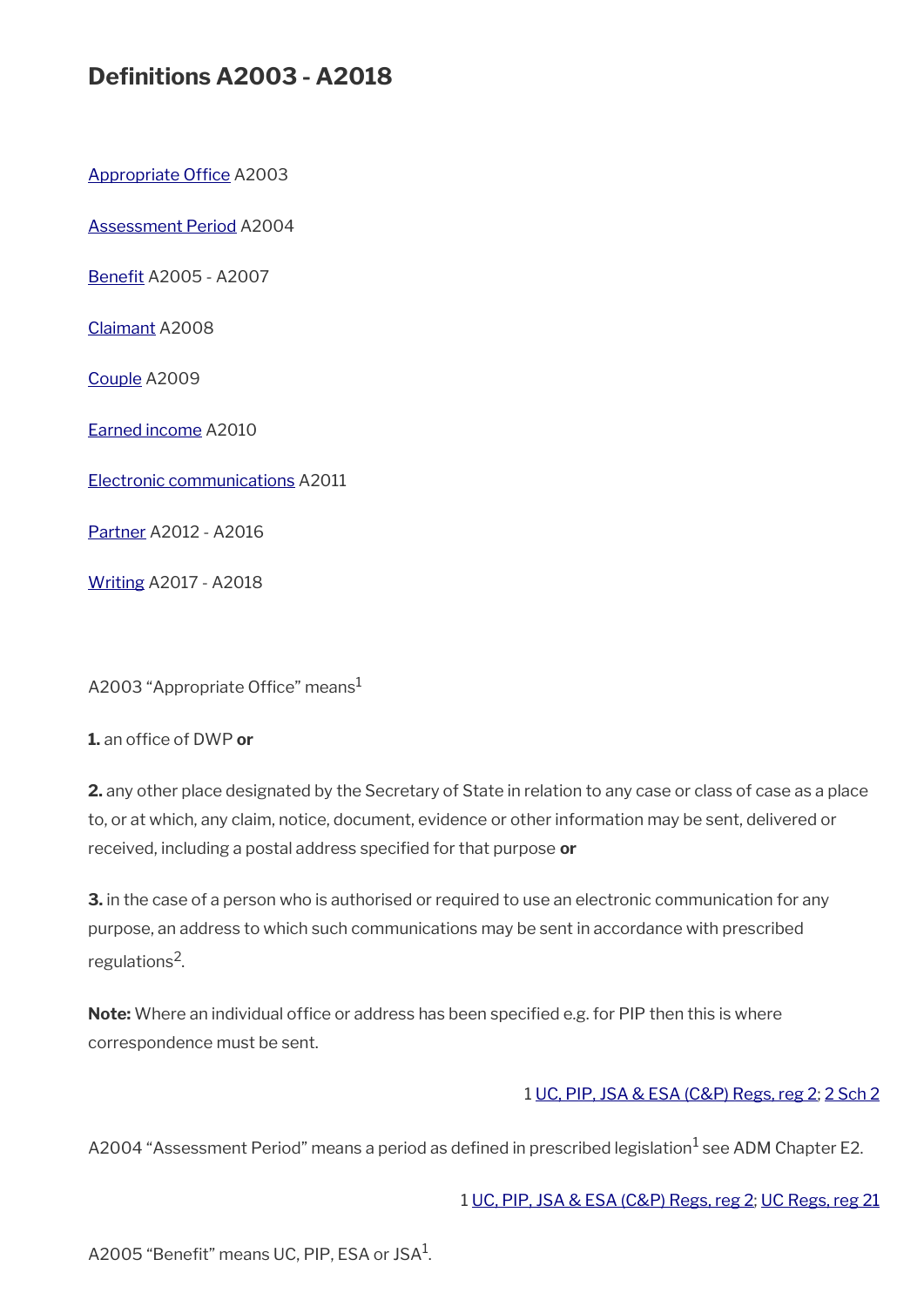## **Defnitions A2003 - A2018**

Appropriate Office A2003

[Assessment Period](#page-2-1) A2004

Benefit A2005 - A2007

[Claimant](#page-3-3) A2008

[Couple](#page-3-2) A2009

[Earned income](#page-3-1) A2010

[Electronic communications](#page-3-0) A2011

[Partner](#page-4-1) A2012 - A2016

[Writing](#page-4-0) A2017 - A2018

<span id="page-2-2"></span>A2003 "Appropriate Office" means $<sup>1</sup>$ </sup>

**1.** an office of DWP or

**2.** any other place designated by the Secretary of State in relation to any case or class of case as a place to, or at which, any claim, notice, document, evidence or other information may be sent, delivered or received, including a postal address specifed for that purpose **or**

**3.** in the case of a person who is authorised or required to use an electronic communication for any purpose, an address to which such communications may be sent in accordance with prescribed regulations<sup>2</sup>.

**Note:** Where an individual office or address has been specified e.g. for PIP then this is where correspondence must be sent.

#### 1 [UC, PIP, JSA & ESA \(C&P\) Regs, reg 2;](http://www.legislation.gov.uk/uksi/2013/380/regulation/2) [2 Sch 2](http://www.legislation.gov.uk/uksi/2013/380/schedule/2)

<span id="page-2-1"></span>A2004 "Assessment Period" means a period as defined in prescribed legislation $^1$  see ADM Chapter E2.

1 [UC, PIP, JSA & ESA \(C&P\) Regs, reg 2;](http://www.legislation.gov.uk/uksi/2013/380/regulation/2) [UC Regs, reg 21](http://www.legislation.gov.uk/uksi/2013/376/regulation/21)

<span id="page-2-0"></span>A2005 "Benefit" means UC, PIP, ESA or JSA $^1$ .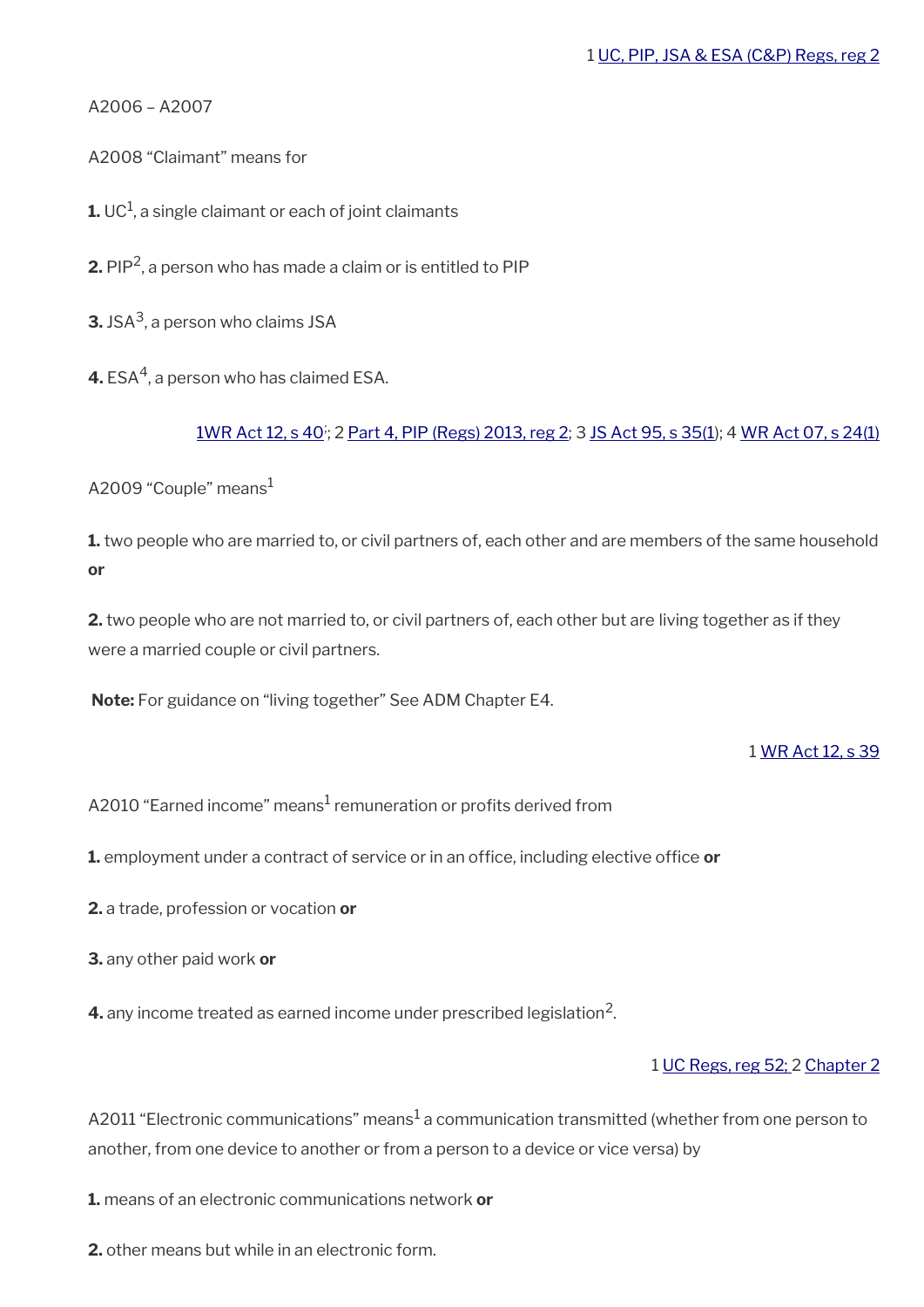A2006 – A2007

<span id="page-3-3"></span>A2008 "Claimant" means for

 ${\bf 1}$ . UC $^1$ , a single claimant or each of joint claimants

**2.** PIP<sup>2</sup> , a person who has made a claim or is entitled to PIP

**3.** JSA<sup>3</sup> , a person who claims JSA

**4.** ESA $^4$ , a person who has claimed ESA.

<u>[1WR Act 12, s 40](http://www.legislation.gov.uk/ukpga/2012/5/section/40)<sup>;</sup>; 2 [Part 4, PIP \(Regs\) 2013, reg 2](http://www.legislation.gov.uk/uksi/2013/377/part/4); 3 [JS Act 95, s 35\(1\)](http://www.legislation.gov.uk/ukpga/1995/18/section/35); 4 [WR Act 07, s 24\(1\)](http://www.legislation.gov.uk/ukpga/2007/5/section/24)</u>

<span id="page-3-2"></span>A2009 "Couple" means $1$ 

**1.** two people who are married to, or civil partners of, each other and are members of the same household **or**

**2.** two people who are not married to, or civil partners of, each other but are living together as if they were a married couple or civil partners.

**Note:** For guidance on "living together" See ADM Chapter E4.

1 [WR Act 12, s 39](http://www.legislation.gov.uk/ukpga/2012/5/section/39)

<span id="page-3-1"></span>A2010 "Earned income" means $^{\rm 1}$  remuneration or profits derived from

**1.** employment under a contract of service or in an office, including elective office or

- **2.** a trade, profession or vocation **or**
- **3.** any other paid work **or**

**4.** any income treated as earned income under prescribed legislation $^2$ .

#### 1 [UC Regs, reg 52;](http://www.legislation.gov.uk/uksi/2013/376/regulation/52) 2 [Chapter 2](http://www.legislation.gov.uk/uksi/2013/376/part/6/chapter/2)

<span id="page-3-0"></span>A2011 "Electronic communications" means $^1$  a communication transmitted (whether from one person to another, from one device to another or from a person to a device or vice versa) by

**1.** means of an electronic communications network **or**

**2.** other means but while in an electronic form.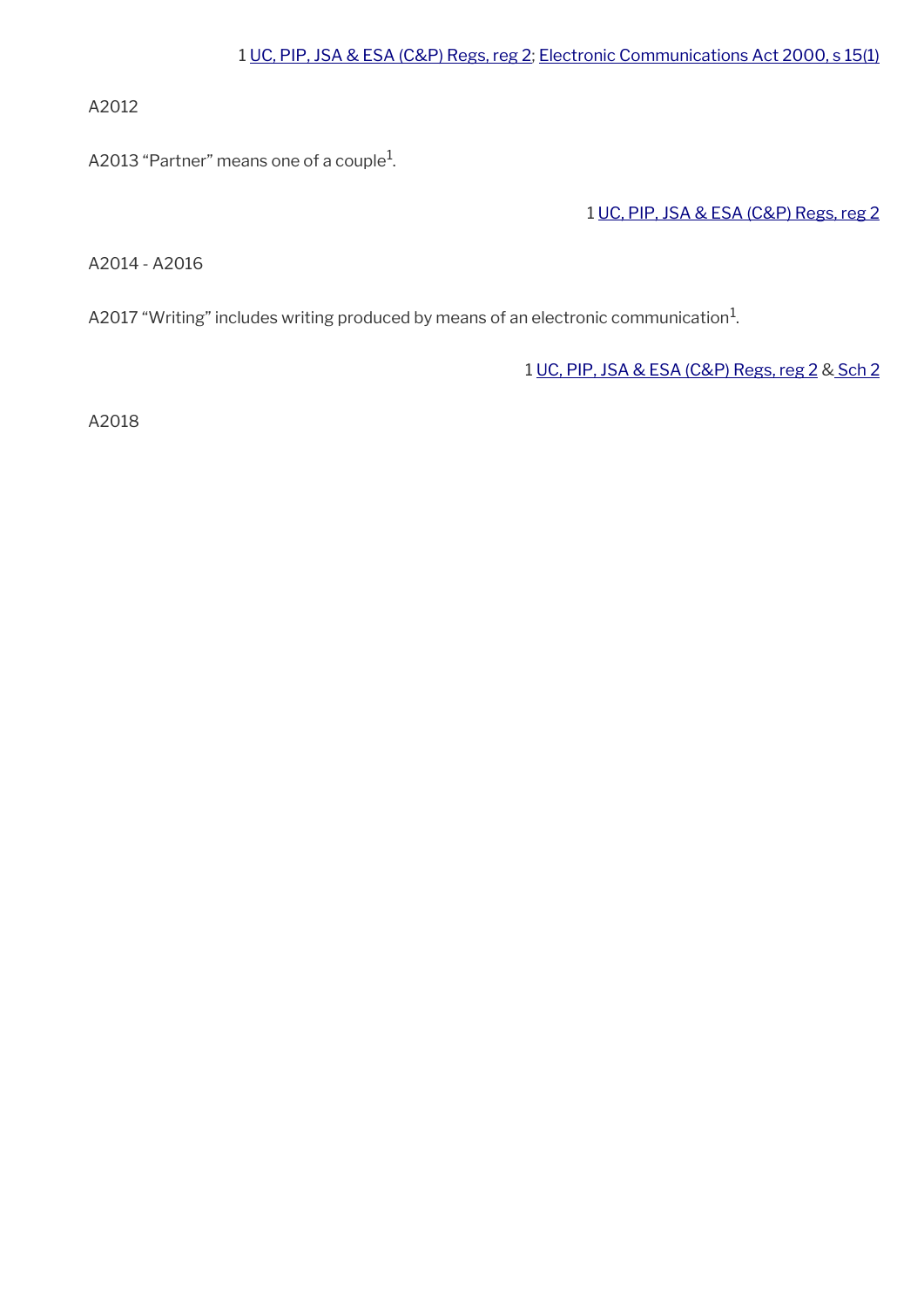A2012

<span id="page-4-1"></span>A2013 "Partner" means one of a couple $^{\rm 1}$ .

1 [UC, PIP, JSA & ESA \(C&P\) Regs, reg 2](http://www.legislation.gov.uk/uksi/2013/380/regulation/2)

A2014 - A2016

<span id="page-4-0"></span>A2017 "Writing" includes writing produced by means of an electronic communication $^{\mathrm{1}}$ .

1 [UC, PIP, JSA & ESA \(C&P\) Regs, reg 2](http://www.legislation.gov.uk/uksi/2013/380/regulation/2) & [Sch 2](http://www.legislation.gov.uk/uksi/2013/380/schedule/2)

A2018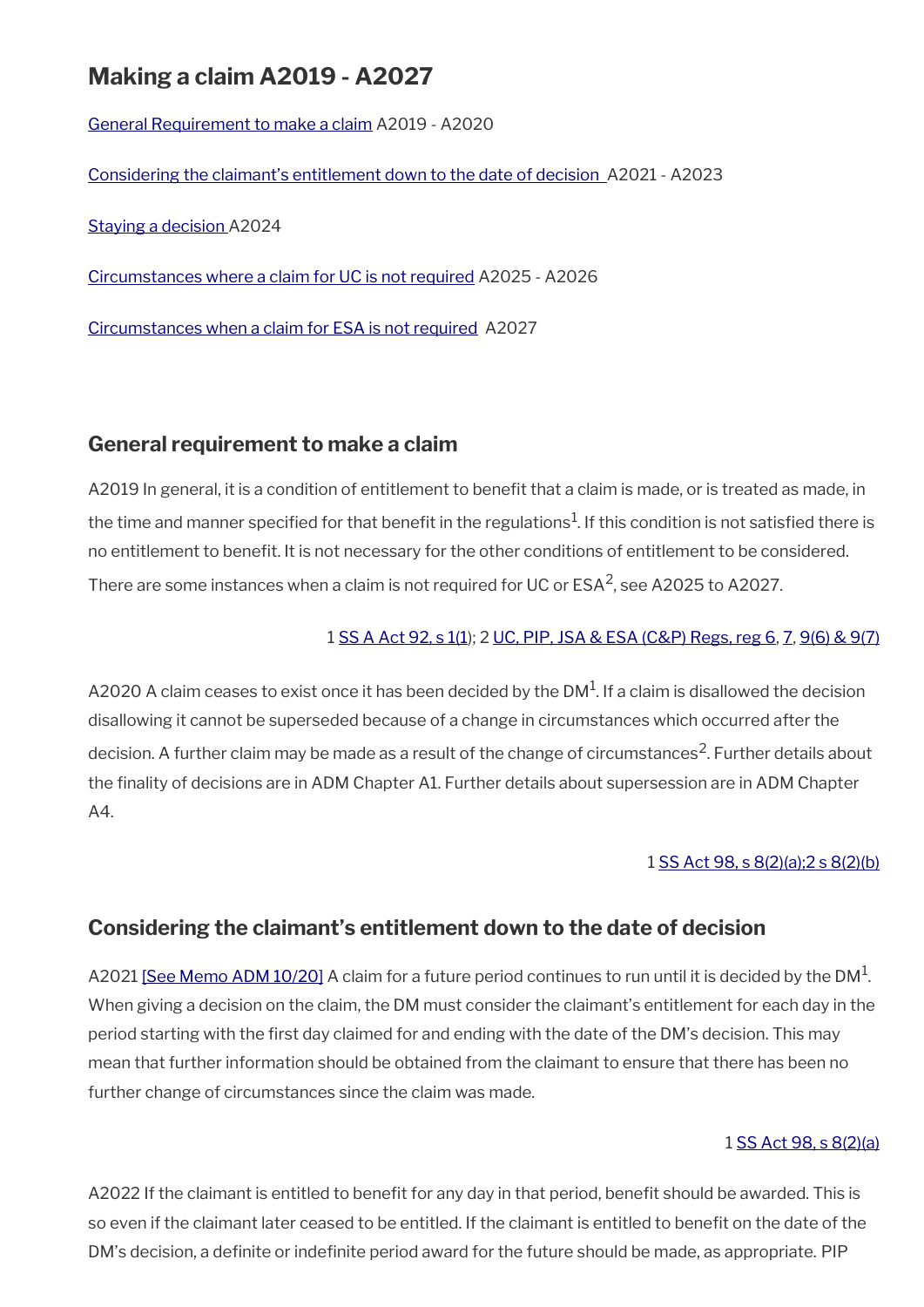## **Making a claim A2019 - A2027**

[General Requirement to make a claim](#page-5-1) A2019 - A2020

[Considering the claimant's entitlement down to the date of decision](#page-5-0) A2021 - A2023

[Staying a decision](#page-6-1) A2024

[Circumstances where a claim for UC is not required](#page-6-0) A2025 - A2026

[Circumstances when a claim for ESA is not required](#page-7-0) A2027

### <span id="page-5-1"></span>**General requirement to make a claim**

A2019 In general, it is a condition of entitlement to benefit that a claim is made, or is treated as made, in the time and manner specified for that benefit in the regulations $^1$ . If this condition is not satisfied there is no entitlement to beneft. It is not necessary for the other conditions of entitlement to be considered. There are some instances when a claim is not required for UC or ESA<sup>2</sup>, see A2025 to A2027.

#### 1 [SS A Act 92, s 1\(1](http://www.legislation.gov.uk/ukpga/1992/5/contents)); 2 [UC, PIP, JSA & ESA \(C&P\) Regs, reg 6](http://www.legislation.gov.uk/uksi/2013/380/regulation/6), [7,](http://www.legislation.gov.uk/uksi/2013/380/regulation/7) [9\(6\) & 9\(7\)](http://www.legislation.gov.uk/uksi/2013/380/regulation/9)

A2020 A claim ceases to exist once it has been decided by the DM $^{\rm 1}$ . If a claim is disallowed the decision disallowing it cannot be superseded because of a change in circumstances which occurred after the decision. A further claim may be made as a result of the change of circumstances<sup>2</sup>. Further details about the fnality of decisions are in ADM Chapter A1. Further details about supersession are in ADM Chapter A4.

#### 1 [SS Act 98, s 8\(2\)\(a\);2 s 8\(2\)\(b\)](http://www.legislation.gov.uk/ukpga/1998/14/contents)

### <span id="page-5-0"></span>**Considering the claimant's entitlement down to the date of decision**

A2021 [\[See Memo ADM 10/20\]](http://intranet.dwp.gov.uk/manual/advice-decision-making-adm/1020-universal-credit-coronavirus-self-employed-claimants-and-reclaims-amendment-regulations-2020) A claim for a future period continues to run until it is decided by the DM<sup>1</sup>. When giving a decision on the claim, the DM must consider the claimant's entitlement for each day in the period starting with the frst day claimed for and ending with the date of the DM's decision. This may mean that further information should be obtained from the claimant to ensure that there has been no further change of circumstances since the claim was made.

#### 1 [SS Act 98, s 8\(2\)\(a\)](http://www.legislation.gov.uk/ukpga/1998/14/contents)

A2022 If the claimant is entitled to benefit for any day in that period, benefit should be awarded. This is so even if the claimant later ceased to be entitled. If the claimant is entitled to benefit on the date of the DM's decision, a definite or indefinite period award for the future should be made, as appropriate. PIP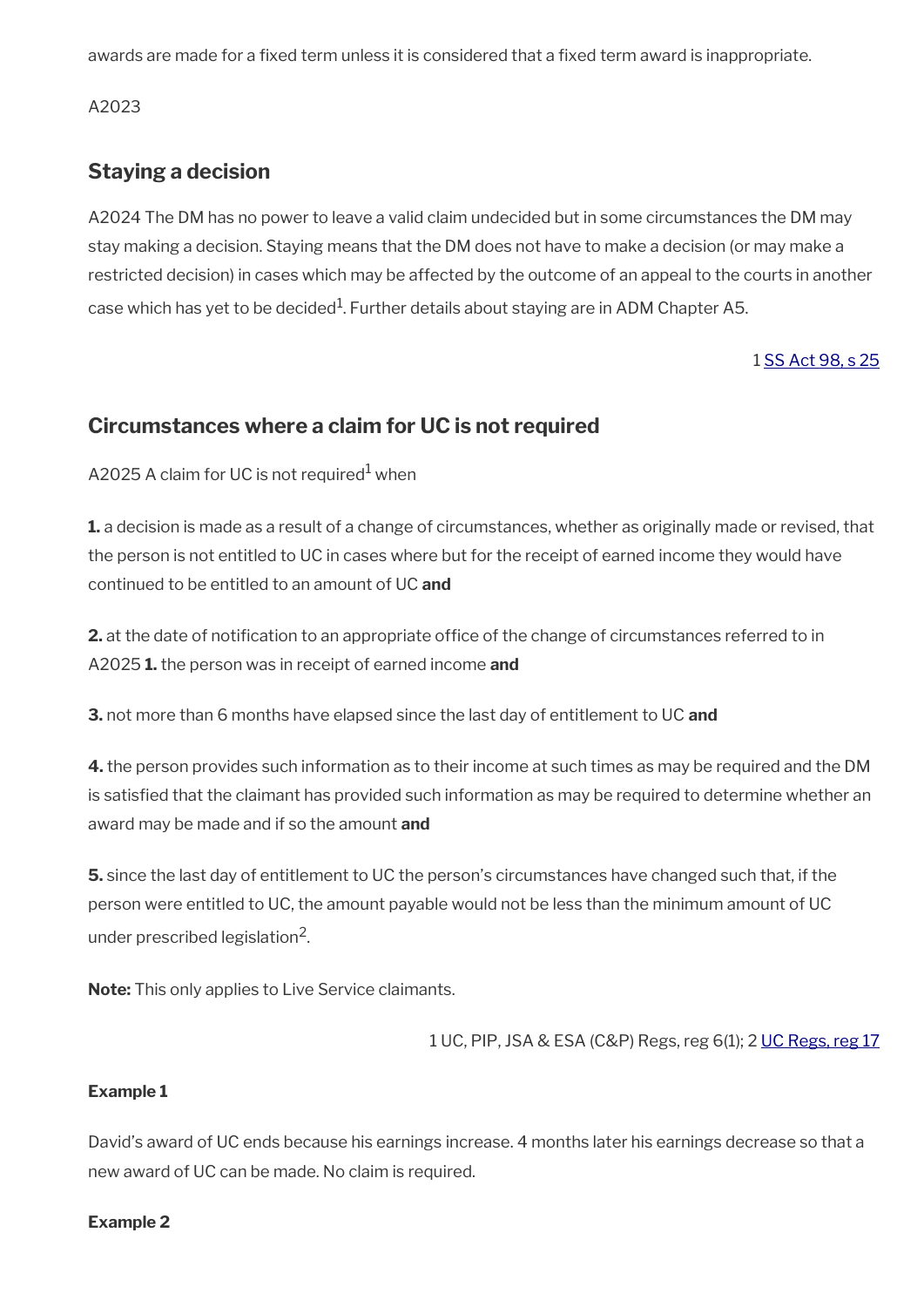awards are made for a fixed term unless it is considered that a fixed term award is inappropriate.

A2023

## <span id="page-6-1"></span>**Staying a decision**

A2024 The DM has no power to leave a valid claim undecided but in some circumstances the DM may stay making a decision. Staying means that the DM does not have to make a decision (or may make a restricted decision) in cases which may be affected by the outcome of an appeal to the courts in another case which has yet to be decided $^1$ . Further details about staying are in ADM Chapter A5.

1 [SS Act 98, s 25](http://www.legislation.gov.uk/ukpga/1998/14/contents)

### <span id="page-6-0"></span>**Circumstances where a claim for UC is not required**

A2025 A claim for UC is not required $^{\rm 1}$  when

**1.** a decision is made as a result of a change of circumstances, whether as originally made or revised, that the person is not entitled to UC in cases where but for the receipt of earned income they would have continued to be entitled to an amount of UC **and**

**2.** at the date of notification to an appropriate office of the change of circumstances referred to in A2025 **1.** the person was in receipt of earned income **and**

**3.** not more than 6 months have elapsed since the last day of entitlement to UC **and**

**4.** the person provides such information as to their income at such times as may be required and the DM is satisfed that the claimant has provided such information as may be required to determine whether an award may be made and if so the amount **and**

**5.** since the last day of entitlement to UC the person's circumstances have changed such that, if the person were entitled to UC, the amount payable would not be less than the minimum amount of UC under prescribed legislation<sup>2</sup>.

**Note:** This only applies to Live Service claimants.

1 UC, PIP, JSA & ESA (C&P) Regs, reg 6(1); 2 [UC Regs, reg 17](http://www.legislation.gov.uk/uksi/2013/376/regulation/17)

#### **Example 1**

David's award of UC ends because his earnings increase. 4 months later his earnings decrease so that a new award of UC can be made. No claim is required.

#### **Example 2**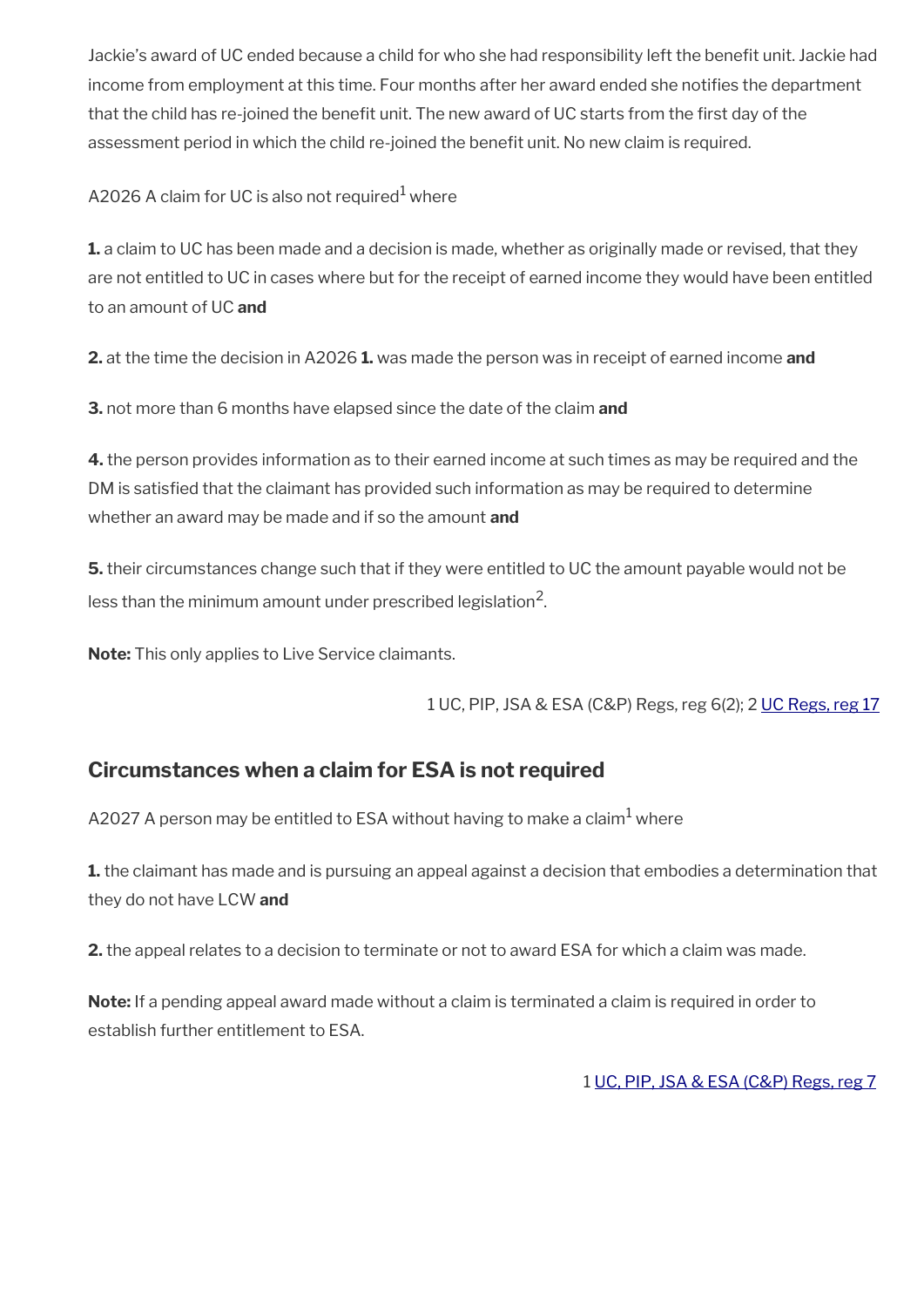Jackie's award of UC ended because a child for who she had responsibility left the benefit unit. Jackie had income from employment at this time. Four months after her award ended she notifies the department that the child has re-joined the benefit unit. The new award of UC starts from the first day of the assessment period in which the child re-joined the benefit unit. No new claim is required.

A2026 A claim for UC is also not required $^{\rm 1}$  where

**1.** a claim to UC has been made and a decision is made, whether as originally made or revised, that they are not entitled to UC in cases where but for the receipt of earned income they would have been entitled to an amount of UC **and**

**2.** at the time the decision in A2026 **1.** was made the person was in receipt of earned income **and**

**3.** not more than 6 months have elapsed since the date of the claim **and**

**4.** the person provides information as to their earned income at such times as may be required and the DM is satisfed that the claimant has provided such information as may be required to determine whether an award may be made and if so the amount **and**

**5.** their circumstances change such that if they were entitled to UC the amount payable would not be less than the minimum amount under prescribed legislation $^2\!$ 

**Note:** This only applies to Live Service claimants.

1 UC, PIP, JSA & ESA (C&P) Regs, reg 6(2); 2 [UC Regs, reg 17](http://www.legislation.gov.uk/uksi/2013/376/regulation/17)

## <span id="page-7-0"></span>**Circumstances when a claim for ESA is not required**

A2027 A person may be entitled to ESA without having to make a claim $^{\rm 1}$  where

**1.** the claimant has made and is pursuing an appeal against a decision that embodies a determination that they do not have LCW **and**

**2.** the appeal relates to a decision to terminate or not to award ESA for which a claim was made.

**Note:** If a pending appeal award made without a claim is terminated a claim is required in order to establish further entitlement to ESA.

1 [UC, PIP, JSA & ESA \(C&P\) Regs, reg 7](http://www.legislation.gov.uk/uksi/2013/380/regulation/7)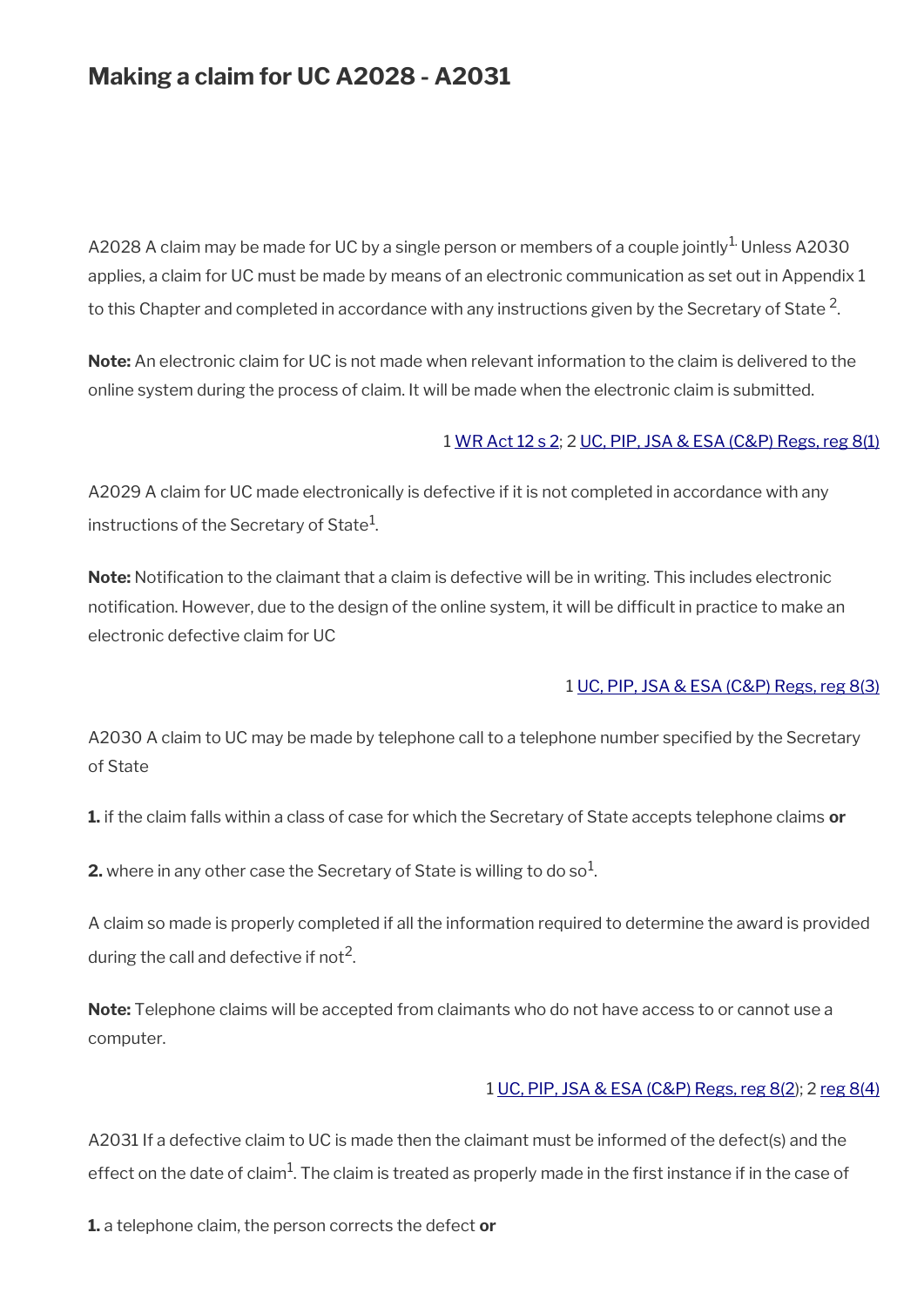## **Making a claim for UC A2028 - A2031**

A2028 A claim may be made for UC by a single person or members of a couple jointly<sup>1.</sup> Unless A2030 applies, a claim for UC must be made by means of an electronic communication as set out in Appendix 1 to this Chapter and completed in accordance with any instructions given by the Secretary of State  $^2$ .

**Note:** An electronic claim for UC is not made when relevant information to the claim is delivered to the online system during the process of claim. It will be made when the electronic claim is submitted.

#### 1 [WR Act 12 s 2;](http://www.legislation.gov.uk/ukpga/2012/5/section/2) 2 [UC, PIP, JSA & ESA \(C&P\) Regs, reg 8\(1\)](http://www.legislation.gov.uk/uksi/2013/380/regulation/8)

A2029 A claim for UC made electronically is defective if it is not completed in accordance with any instructions of the Secretary of State $^{\rm 1}$ .

**Note:** Notifcation to the claimant that a claim is defective will be in writing. This includes electronic notification. However, due to the design of the online system, it will be difficult in practice to make an electronic defective claim for UC

#### 1 [UC, PIP, JSA & ESA \(C&P\) Regs, reg 8\(3\)](http://www.legislation.gov.uk/uksi/2013/380/regulation/8)

A2030 A claim to UC may be made by telephone call to a telephone number specifed by the Secretary of State

**1.** if the claim falls within a class of case for which the Secretary of State accepts telephone claims **or**

**2.** where in any other case the Secretary of State is willing to do so $^1$ .

A claim so made is properly completed if all the information required to determine the award is provided during the call and defective if not $^2$ .

**Note:** Telephone claims will be accepted from claimants who do not have access to or cannot use a computer.

#### 1 [UC, PIP, JSA & ESA \(C&P\) Regs, reg 8\(2](http://www.legislation.gov.uk/uksi/2013/380/regulation/8)); 2 [reg 8\(4\)](http://www.legislation.gov.uk/uksi/2013/380/regulation/8)

A2031 If a defective claim to UC is made then the claimant must be informed of the defect(s) and the effect on the date of claim $^1$ . The claim is treated as properly made in the first instance if in the case of

**1.** a telephone claim, the person corrects the defect **or**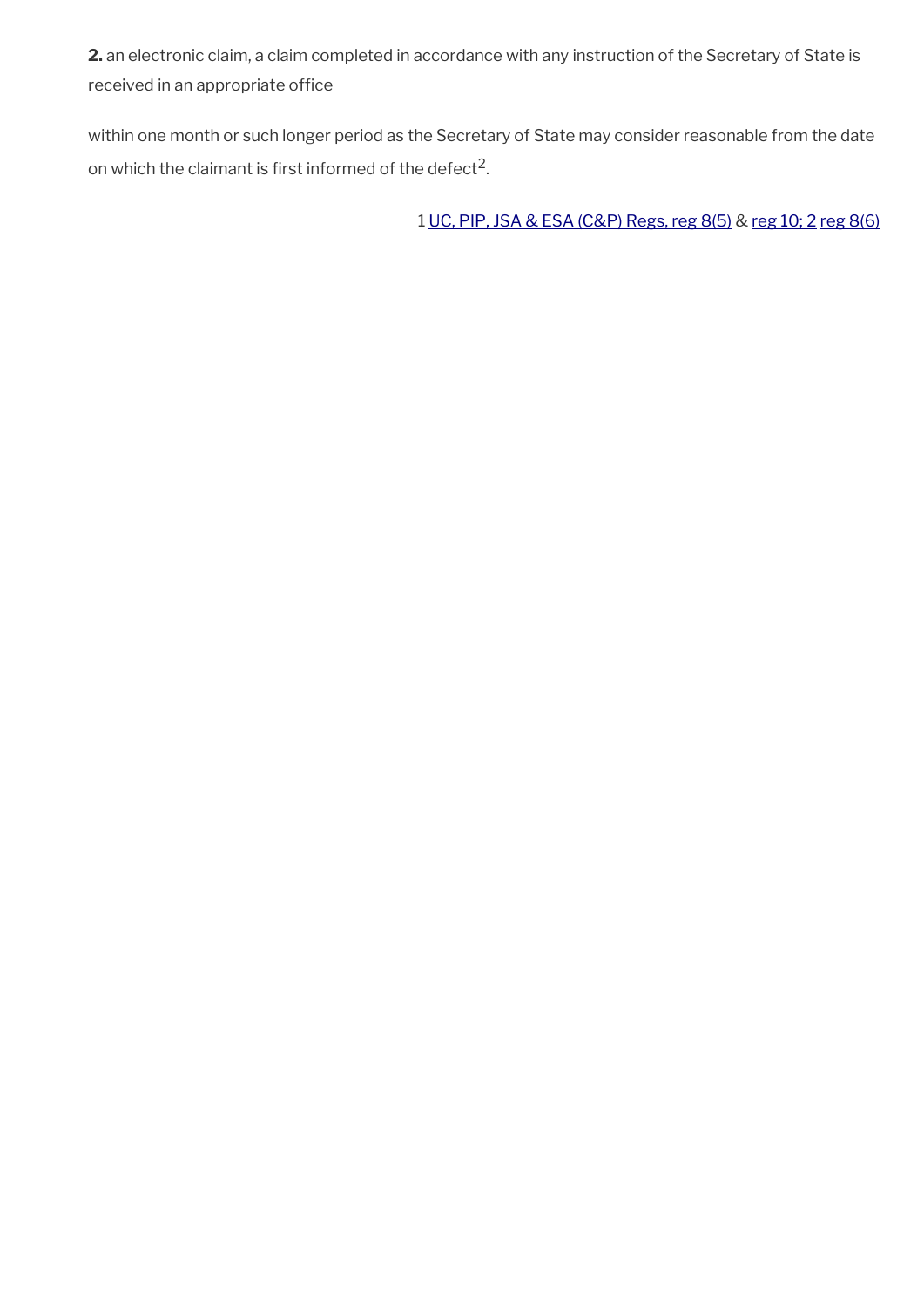**2.** an electronic claim, a claim completed in accordance with any instruction of the Secretary of State is received in an appropriate office

within one month or such longer period as the Secretary of State may consider reasonable from the date on which the claimant is first informed of the defect<sup>2</sup>.

1 [UC, PIP, JSA & ESA \(C&P\) Regs, reg 8\(5\)](http://www.legislation.gov.uk/uksi/2013/380/regulation/8) & [reg 10; 2](http://www.legislation.gov.uk/uksi/2013/380/regulation/10) [reg 8\(6\)](http://www.legislation.gov.uk/uksi/2013/380/regulation/8)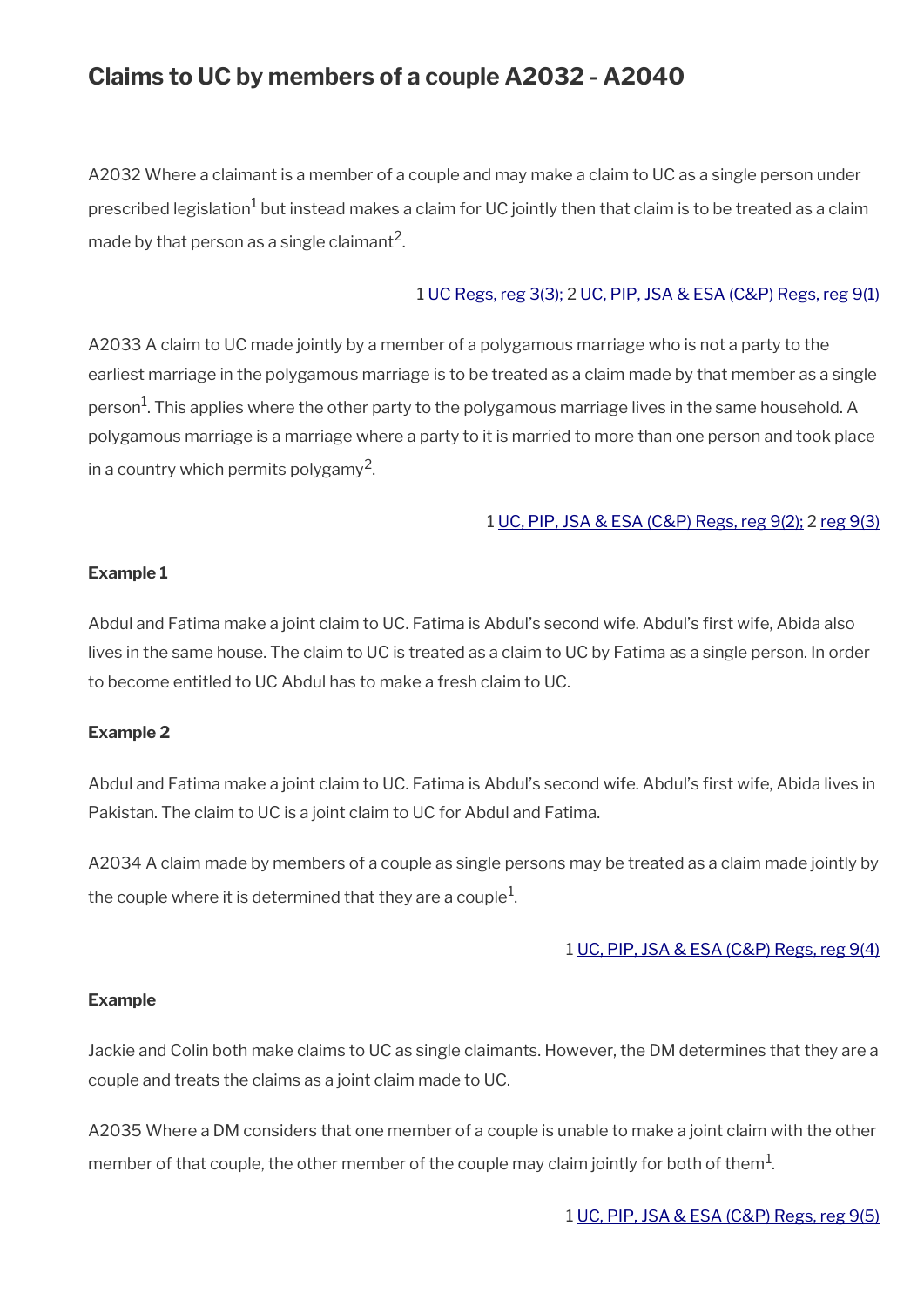## **Claims to UC by members of a couple A2032 - A2040**

A2032 Where a claimant is a member of a couple and may make a claim to UC as a single person under prescribed legislation $^1$  but instead makes a claim for UC jointly then that claim is to be treated as a claim made by that person as a single claimant<sup>2</sup>.

#### 1 [UC Regs, reg 3\(3\);](http://www.legislation.gov.uk/uksi/2013/376/regulation/3) 2 [UC, PIP, JSA & ESA \(C&P\) Regs, reg 9\(1\)](http://www.legislation.gov.uk/uksi/2013/380/regulation/9)

A2033 A claim to UC made jointly by a member of a polygamous marriage who is not a party to the earliest marriage in the polygamous marriage is to be treated as a claim made by that member as a single person<sup>1</sup>. This applies where the other party to the polygamous marriage lives in the same household. A polygamous marriage is a marriage where a party to it is married to more than one person and took place in a country which permits polygamy $^2$ .

#### 1 [UC, PIP, JSA & ESA \(C&P\) Regs, reg 9\(2\);](http://www.legislation.gov.uk/uksi/2013/380/regulation/9) 2 [reg 9\(3\)](http://www.legislation.gov.uk/uksi/2013/380/regulation/9)

#### **Example 1**

Abdul and Fatima make a joint claim to UC. Fatima is Abdul's second wife. Abdul's frst wife, Abida also lives in the same house. The claim to UC is treated as a claim to UC by Fatima as a single person. In order to become entitled to UC Abdul has to make a fresh claim to UC.

#### **Example 2**

Abdul and Fatima make a joint claim to UC. Fatima is Abdul's second wife. Abdul's frst wife, Abida lives in Pakistan. The claim to UC is a joint claim to UC for Abdul and Fatima.

A2034 A claim made by members of a couple as single persons may be treated as a claim made jointly by the couple where it is determined that they are a couple $^1\!\!$ 

#### 1 [UC, PIP, JSA & ESA \(C&P\) Regs, reg 9\(4\)](http://www.legislation.gov.uk/uksi/2013/380/regulation/9)

#### **Example**

Jackie and Colin both make claims to UC as single claimants. However, the DM determines that they are a couple and treats the claims as a joint claim made to UC.

A2035 Where a DM considers that one member of a couple is unable to make a joint claim with the other member of that couple, the other member of the couple may claim jointly for both of them $^{\rm 1}$ .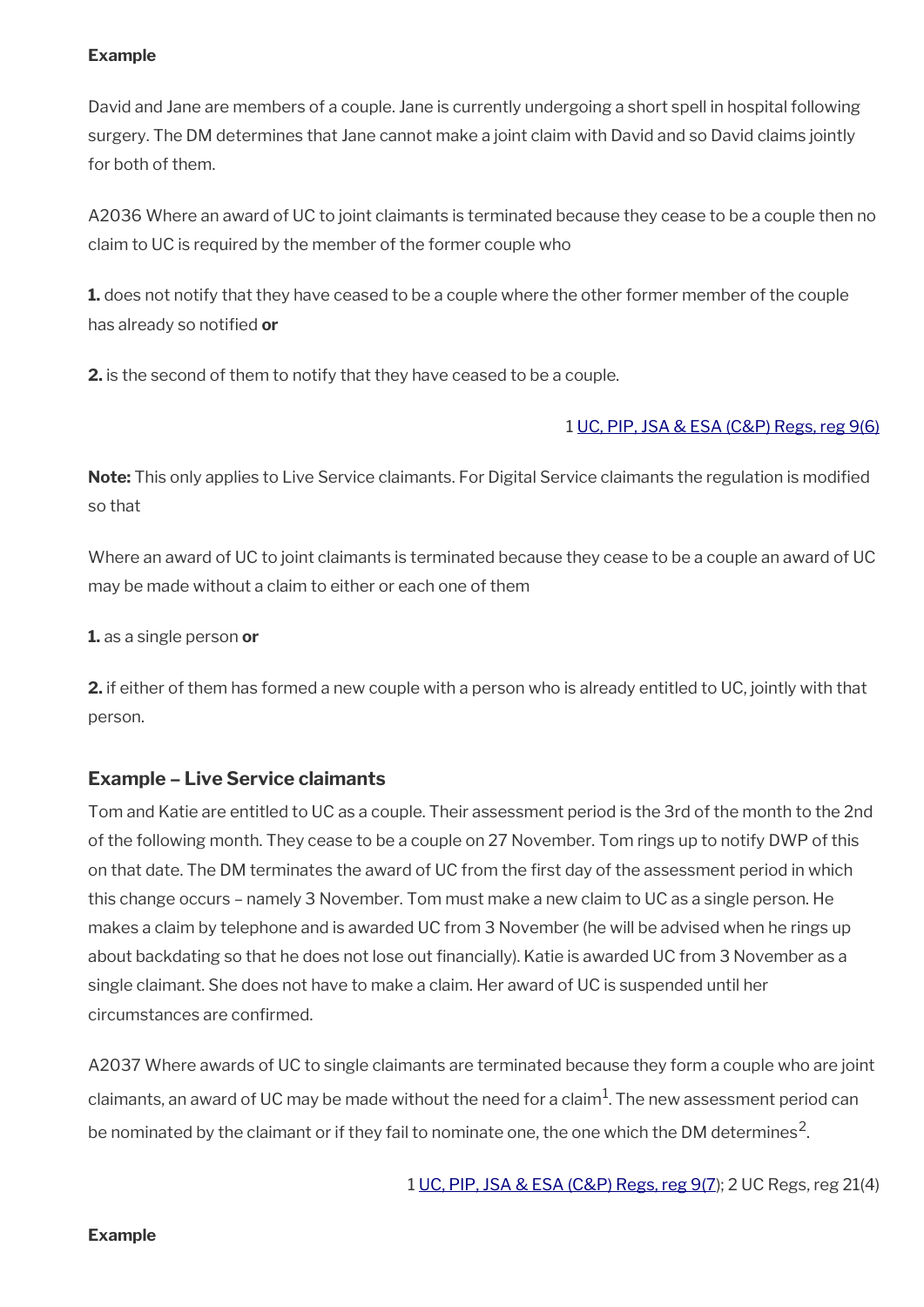#### **Example**

David and Jane are members of a couple. Jane is currently undergoing a short spell in hospital following surgery. The DM determines that Jane cannot make a joint claim with David and so David claims jointly for both of them.

A2036 Where an award of UC to joint claimants is terminated because they cease to be a couple then no claim to UC is required by the member of the former couple who

**1.** does not notify that they have ceased to be a couple where the other former member of the couple has already so notifed **or**

**2.** is the second of them to notify that they have ceased to be a couple.

#### 1 [UC, PIP, JSA & ESA \(C&P\) Regs, reg 9\(6\)](http://www.legislation.gov.uk/uksi/2013/380/regulation/9)

**Note:** This only applies to Live Service claimants. For Digital Service claimants the regulation is modifed so that

Where an award of UC to joint claimants is terminated because they cease to be a couple an award of UC may be made without a claim to either or each one of them

**1.** as a single person **or**

**2.** if either of them has formed a new couple with a person who is already entitled to UC, jointly with that person.

#### **Example – Live Service claimants**

Tom and Katie are entitled to UC as a couple. Their assessment period is the 3rd of the month to the 2nd of the following month. They cease to be a couple on 27 November. Tom rings up to notify DWP of this on that date. The DM terminates the award of UC from the frst day of the assessment period in which this change occurs – namely 3 November. Tom must make a new claim to UC as a single person. He makes a claim by telephone and is awarded UC from 3 November (he will be advised when he rings up about backdating so that he does not lose out fnancially). Katie is awarded UC from 3 November as a single claimant. She does not have to make a claim. Her award of UC is suspended until her circumstances are confrmed.

A2037 Where awards of UC to single claimants are terminated because they form a couple who are joint claimants, an award of UC may be made without the need for a claim $^{\rm 1}$ . The new assessment period can be nominated by the claimant or if they fail to nominate one, the one which the DM determines<sup>2</sup>.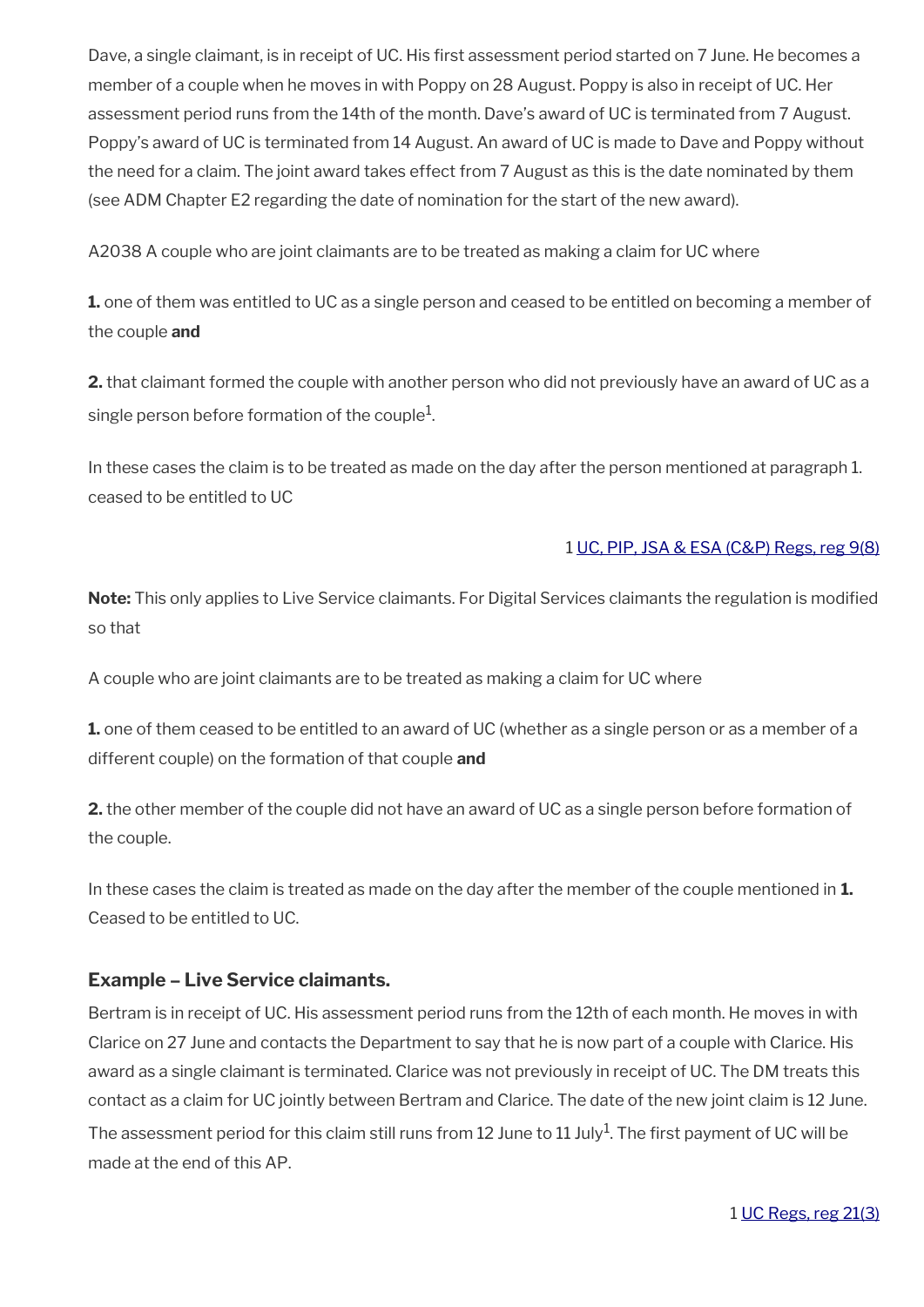Dave, a single claimant, is in receipt of UC. His first assessment period started on 7 June. He becomes a member of a couple when he moves in with Poppy on 28 August. Poppy is also in receipt of UC. Her assessment period runs from the 14th of the month. Dave's award of UC is terminated from 7 August. Poppy's award of UC is terminated from 14 August. An award of UC is made to Dave and Poppy without the need for a claim. The joint award takes effect from 7 August as this is the date nominated by them (see ADM Chapter E2 regarding the date of nomination for the start of the new award).

A2038 A couple who are joint claimants are to be treated as making a claim for UC where

**1.** one of them was entitled to UC as a single person and ceased to be entitled on becoming a member of the couple **and**

**2.** that claimant formed the couple with another person who did not previously have an award of UC as a single person before formation of the couple $^1\!\!$ 

In these cases the claim is to be treated as made on the day after the person mentioned at paragraph 1. ceased to be entitled to UC

#### 1 [UC, PIP, JSA & ESA \(C&P\) Regs, reg 9\(8\)](http://www.legislation.gov.uk/uksi/2013/380/regulation/9)

**Note:** This only applies to Live Service claimants. For Digital Services claimants the regulation is modifed so that

A couple who are joint claimants are to be treated as making a claim for UC where

**1.** one of them ceased to be entitled to an award of UC (whether as a single person or as a member of a different couple) on the formation of that couple **and**

**2.** the other member of the couple did not have an award of UC as a single person before formation of the couple.

In these cases the claim is treated as made on the day after the member of the couple mentioned in **1.**  Ceased to be entitled to UC.

#### **Example – Live Service claimants.**

Bertram is in receipt of UC. His assessment period runs from the 12th of each month. He moves in with Clarice on 27 June and contacts the Department to say that he is now part of a couple with Clarice. His award as a single claimant is terminated. Clarice was not previously in receipt of UC. The DM treats this contact as a claim for UC jointly between Bertram and Clarice. The date of the new joint claim is 12 June. The assessment period for this claim still runs from 12 June to 11 July<sup>1</sup>. The first payment of UC will be made at the end of this AP.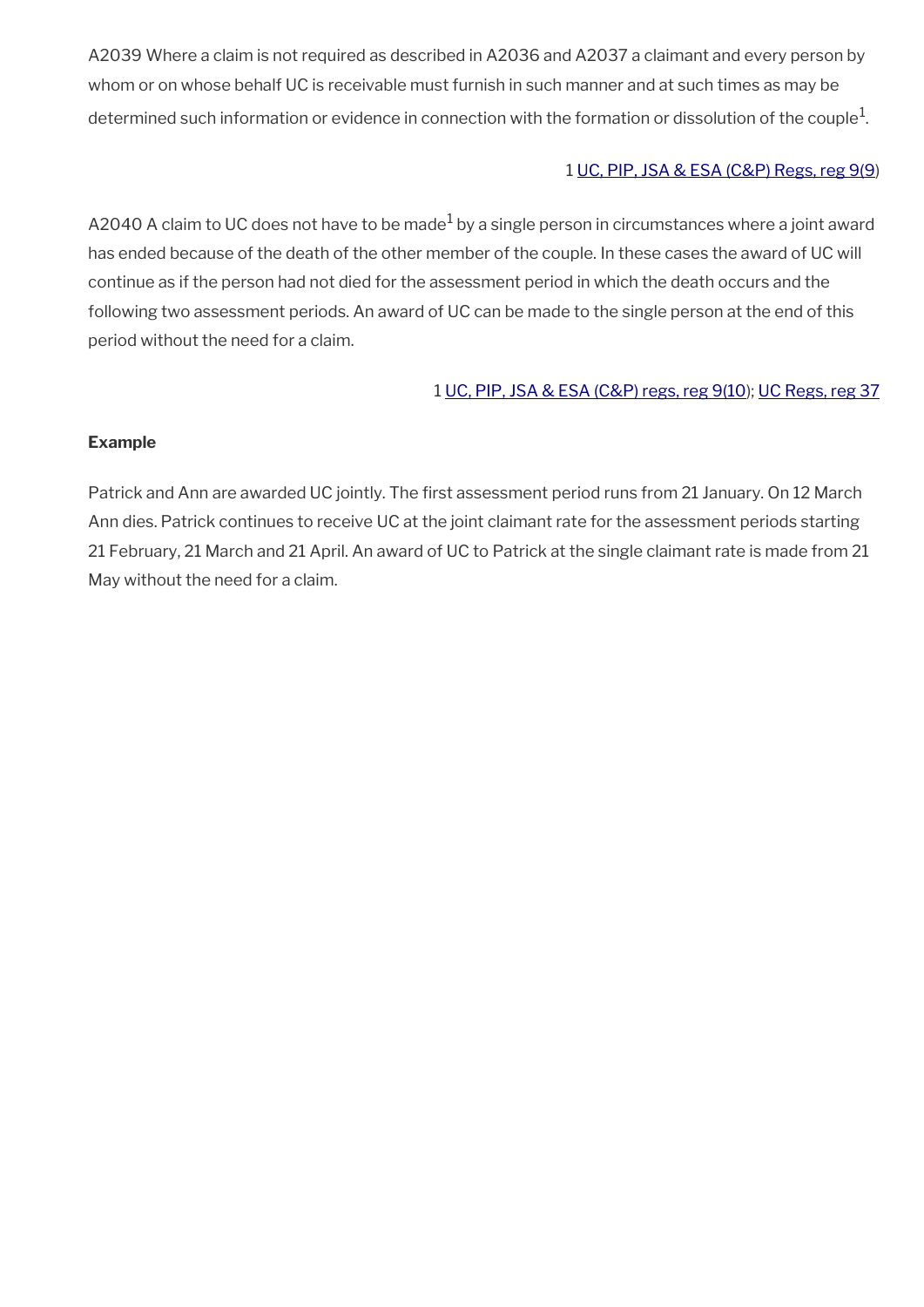A2039 Where a claim is not required as described in A2036 and A2037 a claimant and every person by whom or on whose behalf UC is receivable must furnish in such manner and at such times as may be determined such information or evidence in connection with the formation or dissolution of the couple $^{\mathrm{1}}$ .

#### 1 [UC, PIP, JSA & ESA \(C&P\) Regs, reg 9\(9](http://www.legislation.gov.uk/uksi/2013/380/regulation/9))

<code>A2O4O</code> <code>A</code> claim to UC does not have to be made $^1$  by a single person in circumstances where a joint award has ended because of the death of the other member of the couple. In these cases the award of UC will continue as if the person had not died for the assessment period in which the death occurs and the following two assessment periods. An award of UC can be made to the single person at the end of this period without the need for a claim.

#### 1 [UC, PIP, JSA & ESA \(C&P\) regs, reg 9\(10](http://www.legislation.gov.uk/uksi/2013/380/regulation/9)); [UC Regs, reg 37](http://www.legislation.gov.uk/uksi/2013/376/regulation/37)

#### **Example**

Patrick and Ann are awarded UC jointly. The first assessment period runs from 21 January. On 12 March Ann dies. Patrick continues to receive UC at the joint claimant rate for the assessment periods starting 21 February, 21 March and 21 April. An award of UC to Patrick at the single claimant rate is made from 21 May without the need for a claim.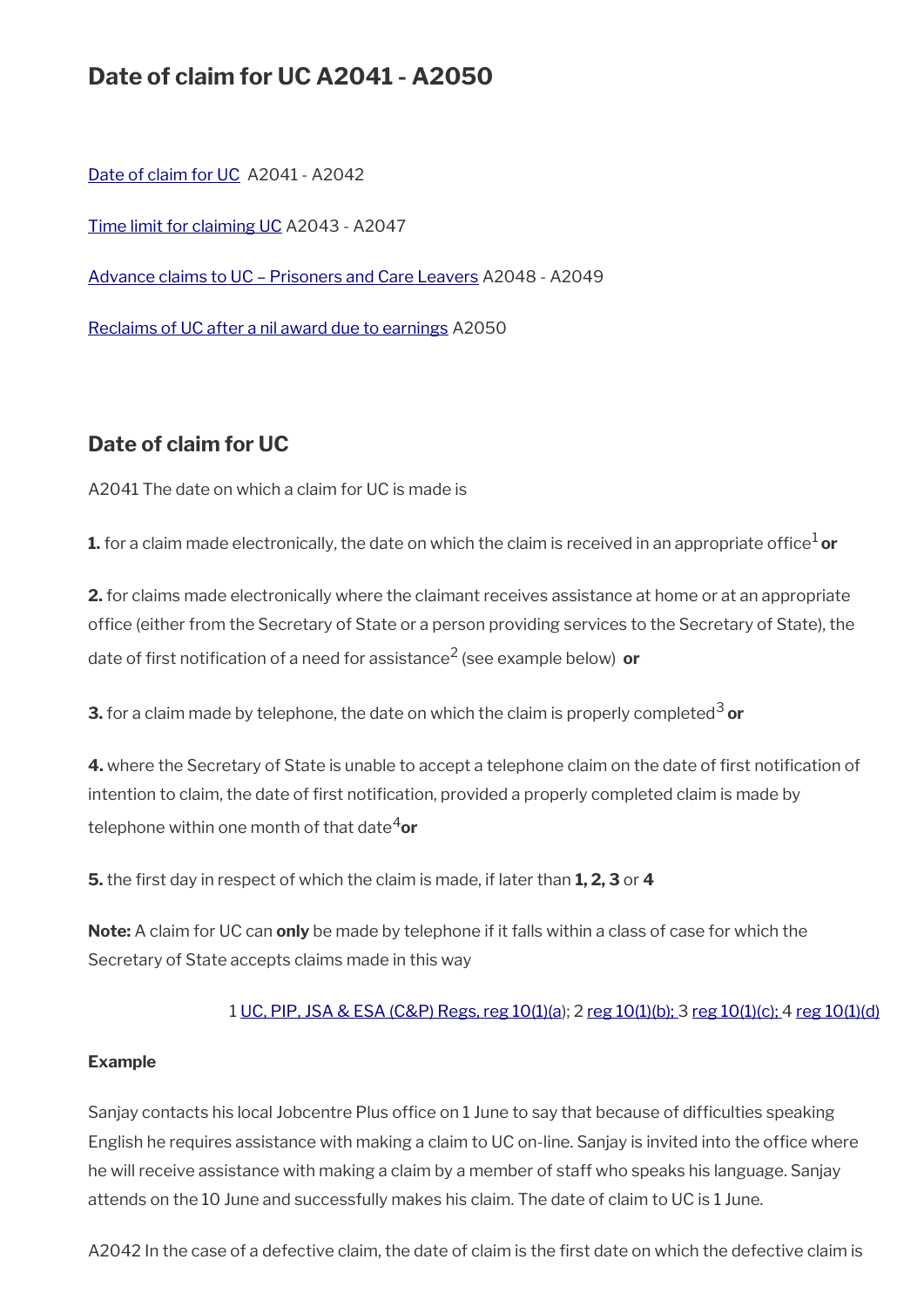## **Date of claim for UC A2041 - A2050**

[Date of claim for UC](#page-14-0) A2041 - A2042

[Time limit for claiming UC](#page-15-0) A2043 - A2047

[Advance claims to UC – Prisoners and Care Leavers](#page-16-0) A2048 - A2049

[Reclaims of UC after a nil award due to earnings](#page-17-0) A2050

### <span id="page-14-0"></span>**Date of claim for UC**

A2041 The date on which a claim for UC is made is

**1.** for a claim made electronically, the date on which the claim is received in an appropriate office<sup>1</sup> or

**2.** for claims made electronically where the claimant receives assistance at home or at an appropriate office (either from the Secretary of State or a person providing services to the Secretary of State), the date of first notification of a need for assistance<sup>2</sup> (see example below)  $\,$  **or** 

**3.** for a claim made by telephone, the date on which the claim is properly completed<sup>3</sup> or

**4.** where the Secretary of State is unable to accept a telephone claim on the date of first notification of intention to claim, the date of first notification, provided a properly completed claim is made by telephone within one month of that date<sup>4</sup>or

**5.** the frst day in respect of which the claim is made, if later than **1, 2, 3** or **4**

**Note:** A claim for UC can **only** be made by telephone if it falls within a class of case for which the Secretary of State accepts claims made in this way

#### 1 [UC, PIP, JSA & ESA \(C&P\) Regs, reg 10\(1\)\(a](http://www.legislation.gov.uk/uksi/2013/380/regulation/10)); 2 [reg 10\(1\)\(b\);](http://www.legislation.gov.uk/uksi/2013/380/regulation/10) 3 [reg 10\(1\)\(c\);](http://www.legislation.gov.uk/uksi/2013/380/regulation/10) 4 [reg 10\(1\)\(d\)](http://www.legislation.gov.uk/uksi/2013/380/regulation/10)

#### **Example**

Sanjay contacts his local Jobcentre Plus office on 1 June to say that because of difficulties speaking English he requires assistance with making a claim to UC on-line. Sanjay is invited into the offce where he will receive assistance with making a claim by a member of staff who speaks his language. Sanjay attends on the 10 June and successfully makes his claim. The date of claim to UC is 1 June.

A2042 In the case of a defective claim, the date of claim is the first date on which the defective claim is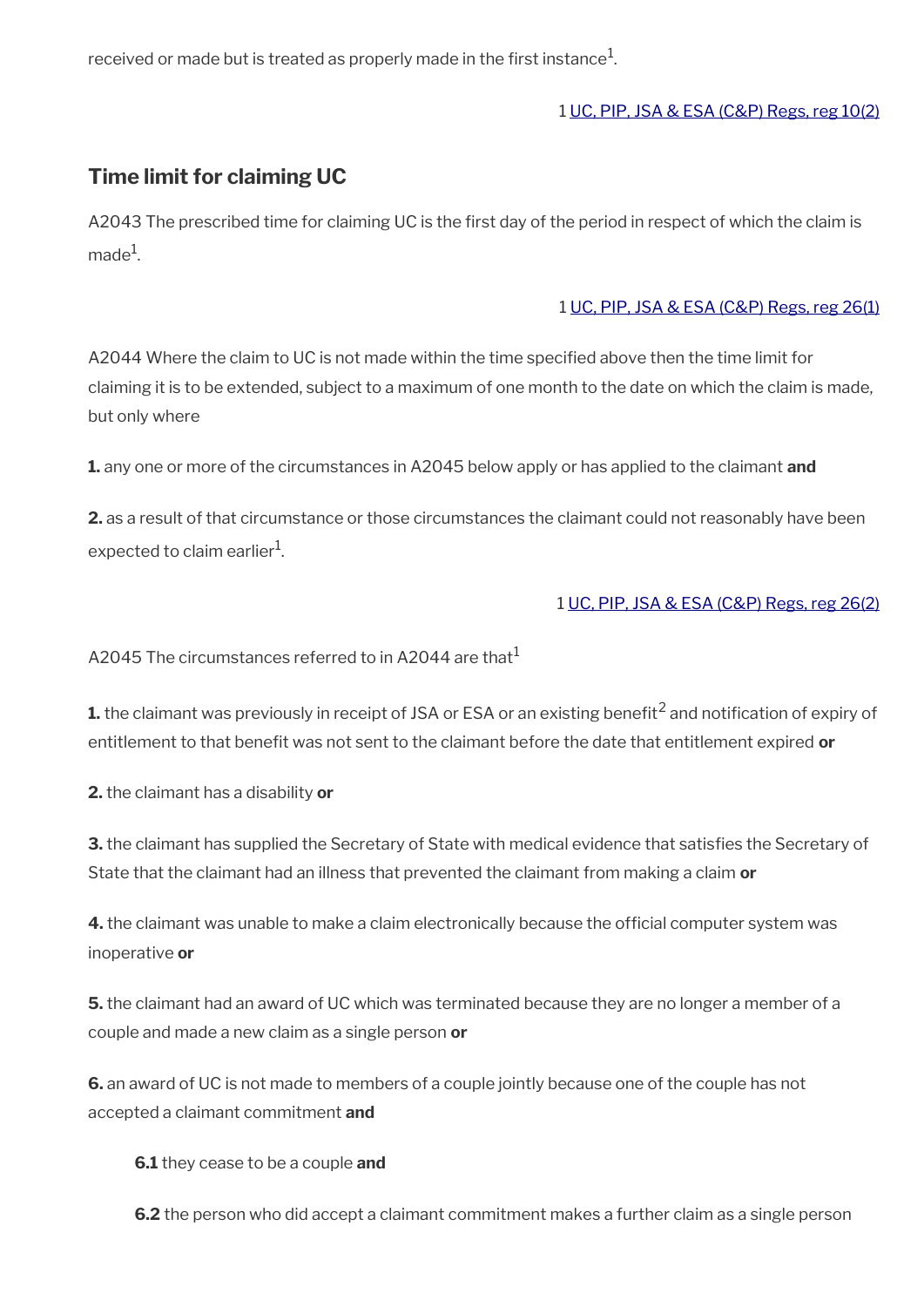received or made but is treated as properly made in the first instance $^1\!$ 

#### 1 [UC, PIP, JSA & ESA \(C&P\) Regs, reg 10\(2\)](http://www.legislation.gov.uk/uksi/2013/380/regulation/10)

### <span id="page-15-0"></span>**Time limit for claiming UC**

A2043 The prescribed time for claiming UC is the frst day of the period in respect of which the claim is made $^1$ .

#### 1 [UC, PIP, JSA & ESA \(C&P\) Regs, reg 26\(1\)](http://www.legislation.gov.uk/uksi/2013/380/regulation/26)

A2044 Where the claim to UC is not made within the time specifed above then the time limit for claiming it is to be extended, subject to a maximum of one month to the date on which the claim is made, but only where

**1.** any one or more of the circumstances in A2045 below apply or has applied to the claimant **and**

**2.** as a result of that circumstance or those circumstances the claimant could not reasonably have been expected to claim earlier $^{\rm 1}$ .

#### 1 [UC, PIP, JSA & ESA \(C&P\) Regs, reg 26\(2\)](http://www.legislation.gov.uk/uksi/2013/380/regulation/26)

A2045 The circumstances referred to in A2044 are that<sup>1</sup>

 ${\bf 1}$ . the claimant was previously in receipt of JSA or ESA or an existing benefit<sup>2</sup> and notification of expiry of entitlement to that benefit was not sent to the claimant before the date that entitlement expired or

**2.** the claimant has a disability **or**

**3.** the claimant has supplied the Secretary of State with medical evidence that satisfies the Secretary of State that the claimant had an illness that prevented the claimant from making a claim **or**

4. the claimant was unable to make a claim electronically because the official computer system was inoperative **or**

**5.** the claimant had an award of UC which was terminated because they are no longer a member of a couple and made a new claim as a single person **or**

**6.** an award of UC is not made to members of a couple jointly because one of the couple has not accepted a claimant commitment **and**

**6.1** they cease to be a couple **and**

**6.2** the person who did accept a claimant commitment makes a further claim as a single person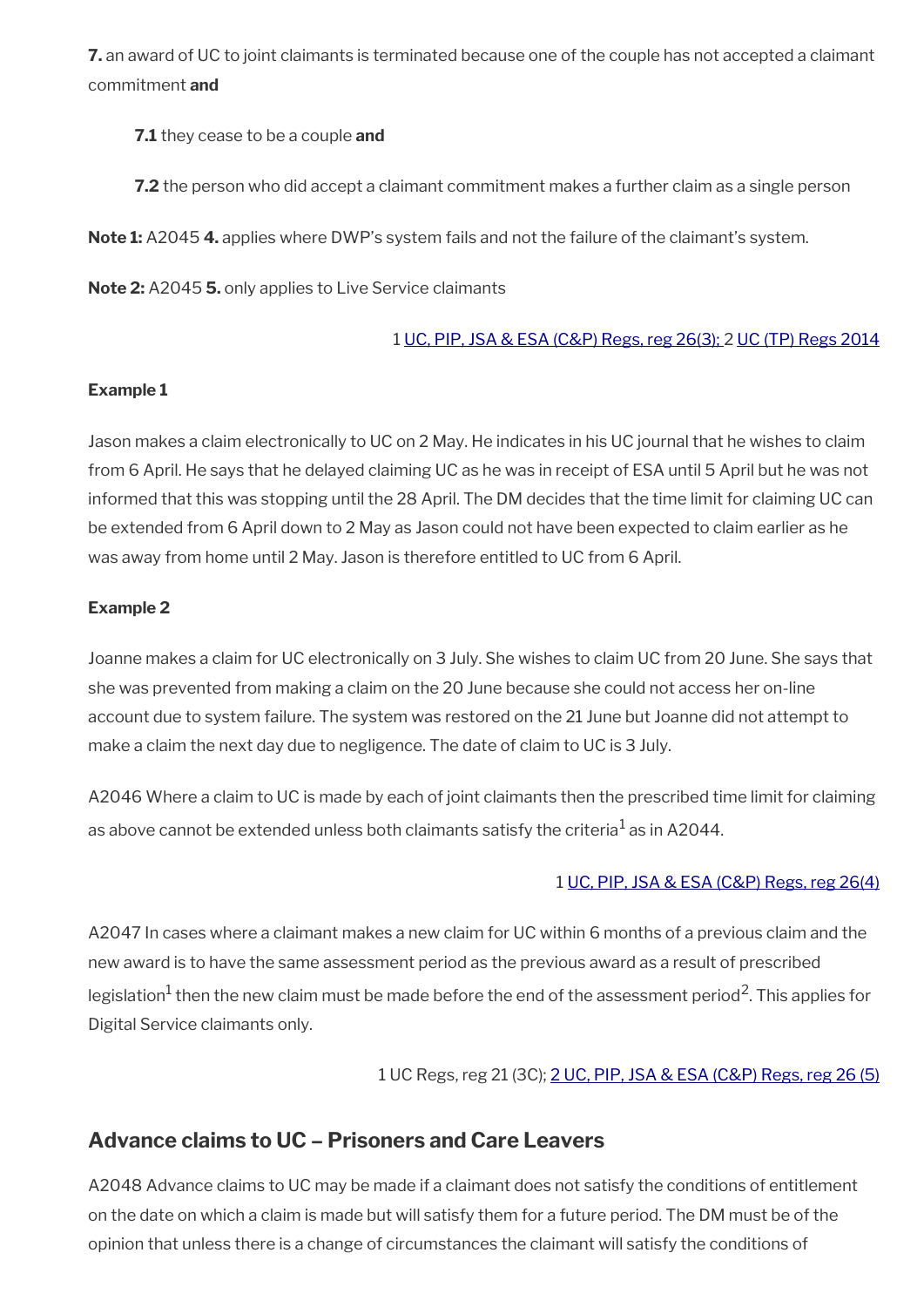**7.** an award of UC to joint claimants is terminated because one of the couple has not accepted a claimant commitment **and**

**7.1** they cease to be a couple **and**

**7.2** the person who did accept a claimant commitment makes a further claim as a single person

**Note 1:** A2045 **4.** applies where DWP's system fails and not the failure of the claimant's system.

**Note 2:** A2045 **5.** only applies to Live Service claimants

### 1 [UC, PIP, JSA & ESA \(C&P\) Regs, reg 26\(3\); 2](http://www.legislation.gov.uk/uksi/2013/380/regulation/26) [UC \(TP\) Regs 2014](http://www.legislation.gov.uk/uksi/2014/1230/contents)

#### **Example 1**

Jason makes a claim electronically to UC on 2 May. He indicates in his UC journal that he wishes to claim from 6 April. He says that he delayed claiming UC as he was in receipt of ESA until 5 April but he was not informed that this was stopping until the 28 April. The DM decides that the time limit for claiming UC can be extended from 6 April down to 2 May as Jason could not have been expected to claim earlier as he was away from home until 2 May. Jason is therefore entitled to UC from 6 April.

### **Example 2**

Joanne makes a claim for UC electronically on 3 July. She wishes to claim UC from 20 June. She says that she was prevented from making a claim on the 20 June because she could not access her on-line account due to system failure. The system was restored on the 21 June but Joanne did not attempt to make a claim the next day due to negligence. The date of claim to UC is 3 July.

A2046 Where a claim to UC is made by each of joint claimants then the prescribed time limit for claiming as above cannot be extended unless both claimants satisfy the criteria $^1$  as in A2044.

### 1 [UC, PIP, JSA & ESA \(C&P\) Regs, reg 26\(4\)](http://www.legislation.gov.uk/uksi/2013/380/regulation/26)

A2047 In cases where a claimant makes a new claim for UC within 6 months of a previous claim and the new award is to have the same assessment period as the previous award as a result of prescribed legislation $^1$  then the new claim must be made before the end of the assessment period<sup>2</sup>. This applies for Digital Service claimants only.

1 UC Regs, reg 21 (3C); [2 UC, PIP, JSA & ESA \(C&P\) Regs, reg 26 \(5\)](http://www.legislation.gov.uk/uksi/2013/380/regulation/26)

## <span id="page-16-0"></span>**Advance claims to UC – Prisoners and Care Leavers**

A2048 Advance claims to UC may be made if a claimant does not satisfy the conditions of entitlement on the date on which a claim is made but will satisfy them for a future period. The DM must be of the opinion that unless there is a change of circumstances the claimant will satisfy the conditions of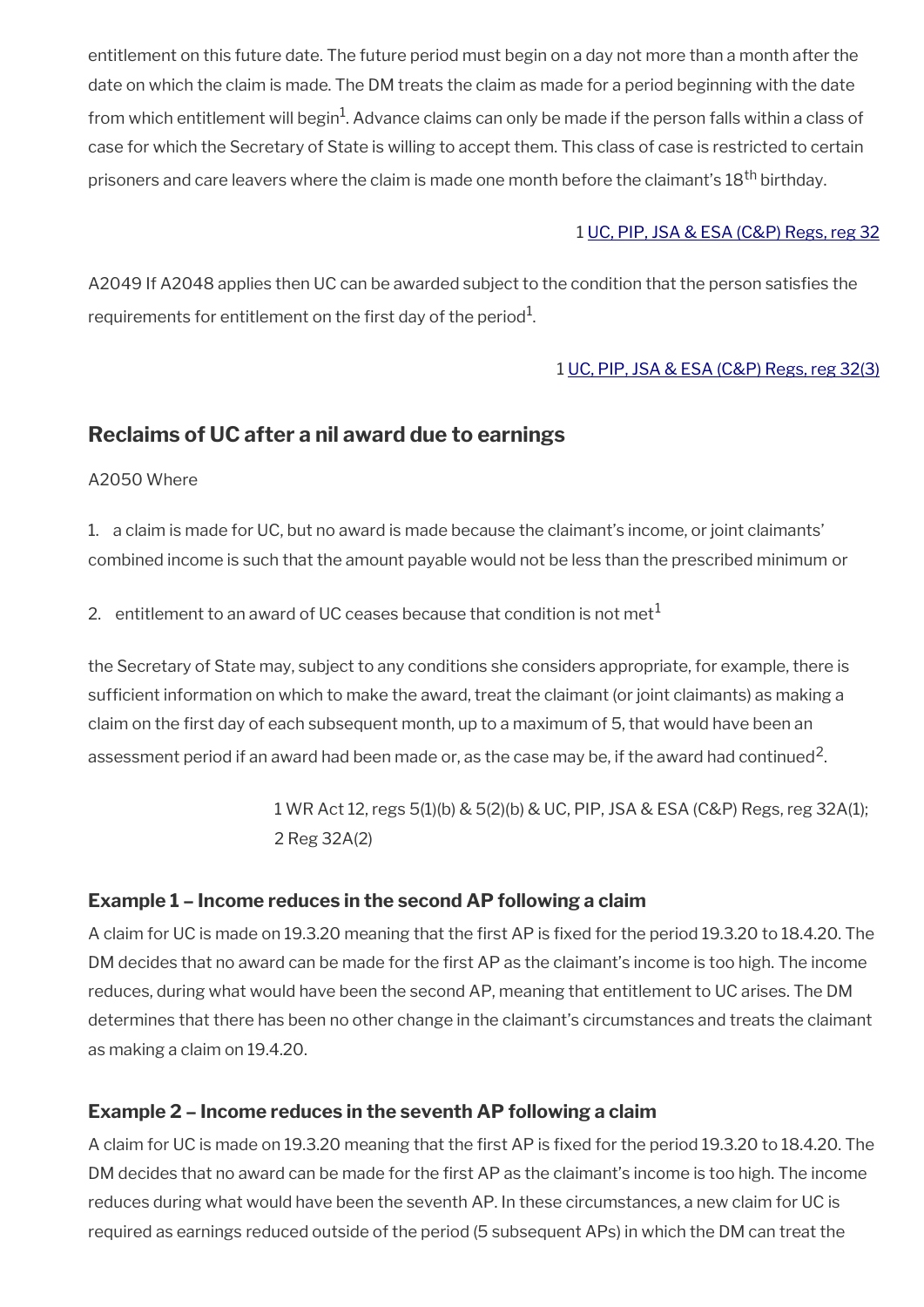entitlement on this future date. The future period must begin on a day not more than a month after the date on which the claim is made. The DM treats the claim as made for a period beginning with the date from which entitlement will begin<sup>1</sup>. Advance claims can only be made if the person falls within a class of case for which the Secretary of State is willing to accept them. This class of case is restricted to certain prisoners and care leavers where the claim is made one month before the claimant's 18<sup>th</sup> birthdav.

#### 1 [UC, PIP, JSA & ESA \(C&P\) Regs, reg 32](http://www.legislation.gov.uk/uksi/2013/380/regulation/32)

A2049 If A2048 applies then UC can be awarded subject to the condition that the person satisfes the requirements for entitlement on the first day of the period $^{\rm 1}$ .

#### 1 [UC, PIP, JSA & ESA \(C&P\) Regs, reg 32\(3\)](http://www.legislation.gov.uk/uksi/2013/380/regulation/32)

### <span id="page-17-0"></span>**Reclaims of UC after a nil award due to earnings**

A2050 Where

1. a claim is made for UC, but no award is made because the claimant's income, or joint claimants' combined income is such that the amount payable would not be less than the prescribed minimum or

2. entitlement to an award of UC ceases because that condition is not met $<sup>1</sup>$ </sup>

the Secretary of State may, subject to any conditions she considers appropriate, for example, there is sufficient information on which to make the award, treat the claimant (or joint claimants) as making a claim on the frst day of each subsequent month, up to a maximum of 5, that would have been an assessment period if an award had been made or, as the case may be, if the award had continued<sup>2</sup>.

> 1 WR Act 12, regs 5(1)(b) & 5(2)(b) & UC, PIP, JSA & ESA (C&P) Regs, reg 32A(1); 2 Reg 32A(2)

#### **Example 1 – Income reduces in the second AP following a claim**

A claim for UC is made on 19.3.20 meaning that the first AP is fixed for the period 19.3.20 to 18.4.20. The DM decides that no award can be made for the frst AP as the claimant's income is too high. The income reduces, during what would have been the second AP, meaning that entitlement to UC arises. The DM determines that there has been no other change in the claimant's circumstances and treats the claimant as making a claim on 19.4.20.

#### **Example 2 – Income reduces in the seventh AP following a claim**

A claim for UC is made on 19.3.20 meaning that the first AP is fixed for the period 19.3.20 to 18.4.20. The DM decides that no award can be made for the frst AP as the claimant's income is too high. The income reduces during what would have been the seventh AP. In these circumstances, a new claim for UC is required as earnings reduced outside of the period (5 subsequent APs) in which the DM can treat the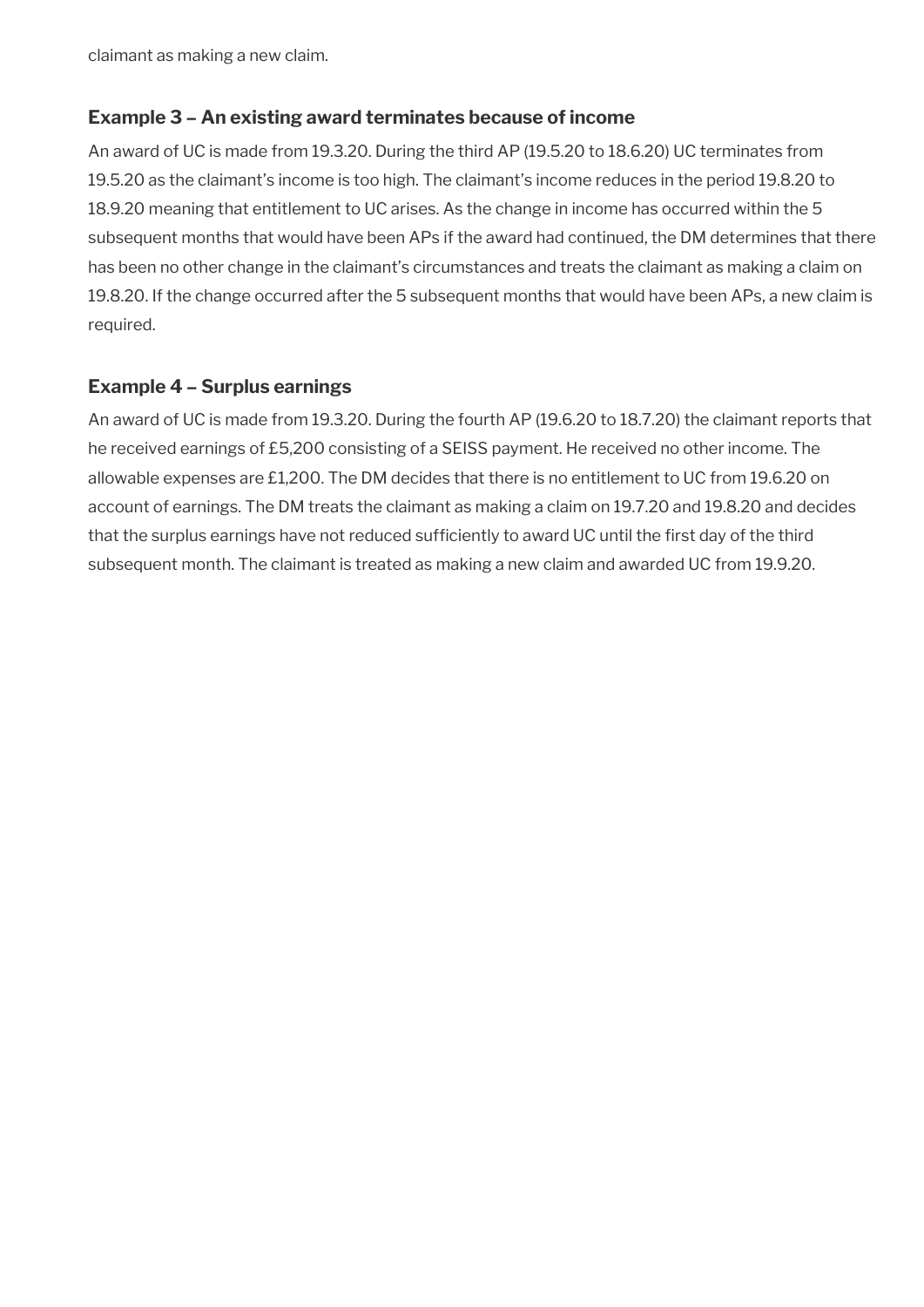claimant as making a new claim.

#### **Example 3 – An existing award terminates because of income**

An award of UC is made from 19.3.20. During the third AP (19.5.20 to 18.6.20) UC terminates from 19.5.20 as the claimant's income is too high. The claimant's income reduces in the period 19.8.20 to 18.9.20 meaning that entitlement to UC arises. As the change in income has occurred within the 5 subsequent months that would have been APs if the award had continued, the DM determines that there has been no other change in the claimant's circumstances and treats the claimant as making a claim on 19.8.20. If the change occurred after the 5 subsequent months that would have been APs, a new claim is required.

#### **Example 4 – Surplus earnings**

An award of UC is made from 19.3.20. During the fourth AP (19.6.20 to 18.7.20) the claimant reports that he received earnings of £5,200 consisting of a SEISS payment. He received no other income. The allowable expenses are £1,200. The DM decides that there is no entitlement to UC from 19.6.20 on account of earnings. The DM treats the claimant as making a claim on 19.7.20 and 19.8.20 and decides that the surplus earnings have not reduced sufficiently to award UC until the first day of the third subsequent month. The claimant is treated as making a new claim and awarded UC from 19.9.20.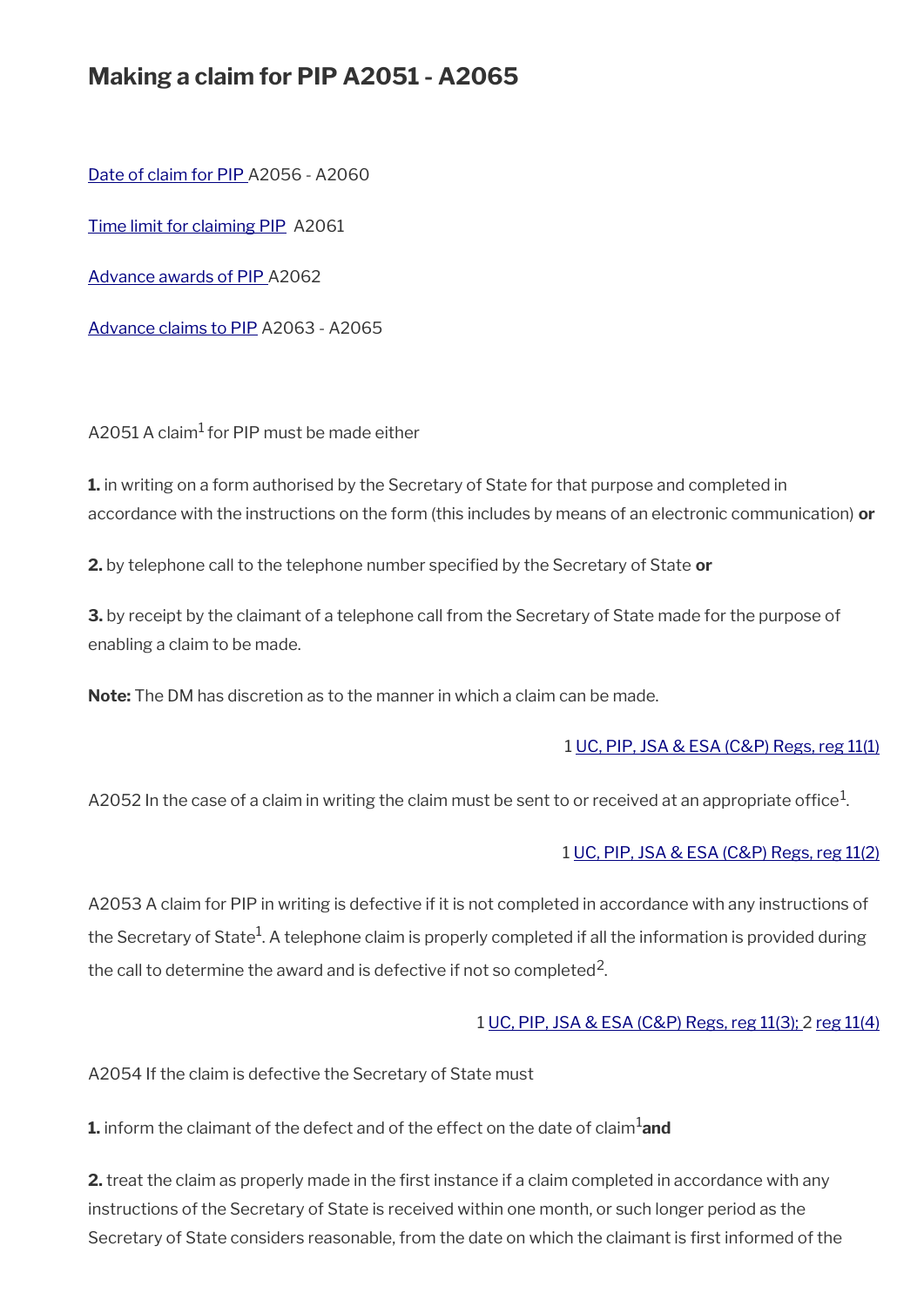## **Making a claim for PIP A2051 - A2065**

[Date of claim for PIP A](#page-20-0)2056 - A2060

[Time limit for claiming PIP](#page-22-2) A2061

[Advance awards of PIP A](#page-22-1)2062

[Advance claims to PIP](#page-22-0) A2063 - A2065

A2051 A claim<sup>1</sup> for PIP must be made either

**1.** in writing on a form authorised by the Secretary of State for that purpose and completed in accordance with the instructions on the form (this includes by means of an electronic communication) **or**

**2.** by telephone call to the telephone number specifed by the Secretary of State **or**

**3.** by receipt by the claimant of a telephone call from the Secretary of State made for the purpose of enabling a claim to be made.

**Note:** The DM has discretion as to the manner in which a claim can be made.

#### 1 [UC, PIP, JSA & ESA \(C&P\) Regs, reg 11\(1\)](http://www.legislation.gov.uk/uksi/2013/380/regulation/11)

A2052 In the case of a claim in writing the claim must be sent to or received at an appropriate office $^1\!$ 

#### 1 [UC, PIP, JSA & ESA \(C&P\) Regs, reg 11\(2\)](http://www.legislation.gov.uk/uksi/2013/380/regulation/11)

A2053 A claim for PIP in writing is defective if it is not completed in accordance with any instructions of the Secretary of State $^1$ . A telephone claim is properly completed if all the information is provided during the call to determine the award and is defective if not so completed<sup>2</sup>.

#### 1 [UC, PIP, JSA & ESA \(C&P\) Regs, reg 11\(3\);](http://www.legislation.gov.uk/uksi/2013/380/regulation/11) 2 [reg 11\(4\)](http://www.legislation.gov.uk/uksi/2013/380/regulation/11)

A2054 If the claim is defective the Secretary of State must

**1.** inform the claimant of the defect and of the effect on the date of claim<sup>1</sup>and

**2.** treat the claim as properly made in the first instance if a claim completed in accordance with any instructions of the Secretary of State is received within one month, or such longer period as the Secretary of State considers reasonable, from the date on which the claimant is frst informed of the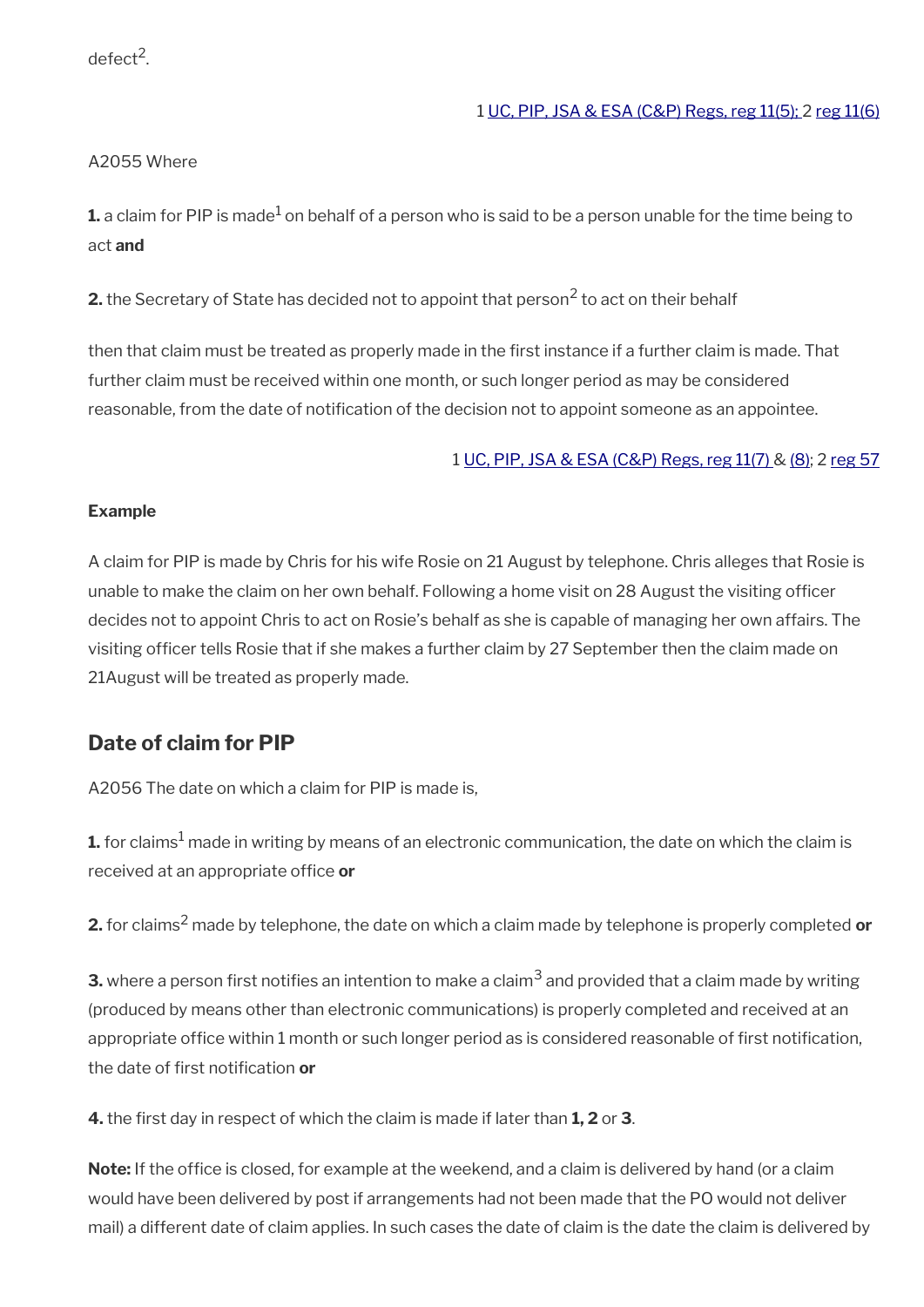defect<sup>2</sup>.

#### 1 [UC, PIP, JSA & ESA \(C&P\) Regs, reg 11\(5\);](http://www.legislation.gov.uk/uksi/2013/380/regulation/11) 2 [reg 11\(6\)](http://www.legislation.gov.uk/uksi/2013/380/regulation/11)

#### A2055 Where

 ${\bf 1}.$  a claim for PIP is made $^1$  on behalf of a person who is said to be a person unable for the time being to act **and**

**2.** the Secretary of State has decided not to appoint that person<sup>2</sup> to act on their behalf

then that claim must be treated as properly made in the frst instance if a further claim is made. That further claim must be received within one month, or such longer period as may be considered reasonable, from the date of notifcation of the decision not to appoint someone as an appointee.

#### 1 [UC, PIP, JSA & ESA \(C&P\) Regs, reg 11\(7\) & \(8\)](http://www.legislation.gov.uk/uksi/2013/380/regulation/11); 2 [reg 57](http://www.legislation.gov.uk/uksi/2013/380/regulation/57)

#### **Example**

A claim for PIP is made by Chris for his wife Rosie on 21 August by telephone. Chris alleges that Rosie is unable to make the claim on her own behalf. Following a home visit on 28 August the visiting officer decides not to appoint Chris to act on Rosie's behalf as she is capable of managing her own affairs. The visiting officer tells Rosie that if she makes a further claim by 27 September then the claim made on 21August will be treated as properly made.

#### <span id="page-20-0"></span>**Date of claim for PIP**

A2056 The date on which a claim for PIP is made is,

 ${\bf 1.}$  for claims $^1$  made in writing by means of an electronic communication, the date on which the claim is received at an appropriate office or

**2.** for claims<sup>2</sup> made by telephone, the date on which a claim made by telephone is properly completed **or**

 ${\bf 3}$ . where a person first notifies an intention to make a claim $^3$  and provided that a claim made by writing (produced by means other than electronic communications) is properly completed and received at an appropriate office within 1 month or such longer period as is considered reasonable of first notification, the date of frst notifcation **or**

**4.** the frst day in respect of which the claim is made if later than **1, 2** or **3**.

**Note:** If the office is closed, for example at the weekend, and a claim is delivered by hand (or a claim would have been delivered by post if arrangements had not been made that the PO would not deliver mail) a different date of claim applies. In such cases the date of claim is the date the claim is delivered by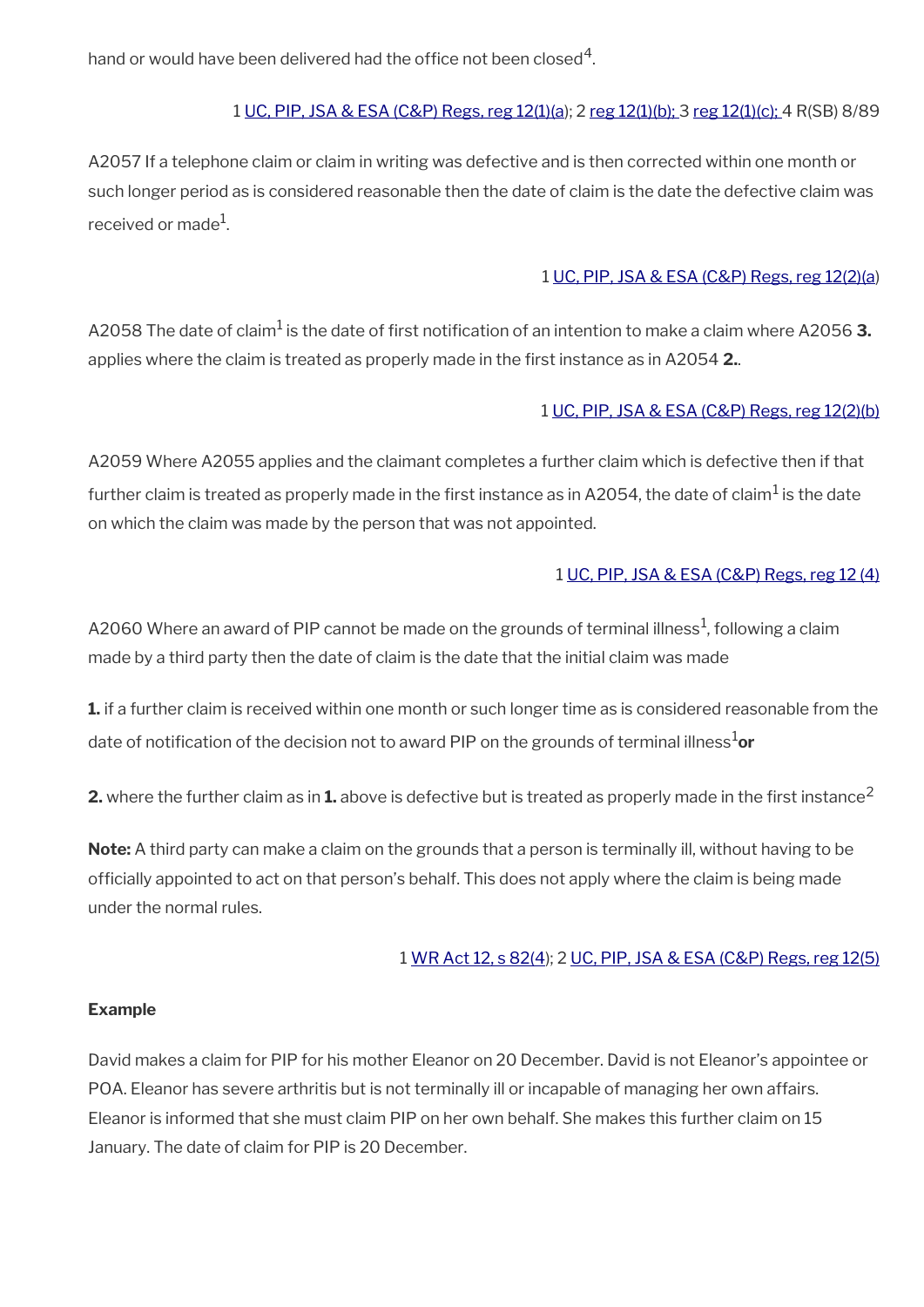hand or would have been delivered had the office not been closed $^{\mathsf{4}}$ .

#### 1 [UC, PIP, JSA & ESA \(C&P\) Regs, reg 12\(1\)\(a\)](http://www.legislation.gov.uk/uksi/2013/380/regulation/12); 2 [reg 12\(1\)\(b\); 3](http://www.legislation.gov.uk/uksi/2013/380/regulation/12) [reg 12\(1\)\(c\); 4](http://www.legislation.gov.uk/uksi/2013/380/regulation/12) R(SB) 8/89

A2057 If a telephone claim or claim in writing was defective and is then corrected within one month or such longer period as is considered reasonable then the date of claim is the date the defective claim was received or made $^{\rm 1}$ .

#### 1 [UC, PIP, JSA & ESA \(C&P\) Regs, reg 12\(2\)\(a](http://www.legislation.gov.uk/uksi/2013/380/regulation/12))

A2058 The date of claim<sup>1</sup> is the date of first notification of an intention to make a claim where A2056 **3.** applies where the claim is treated as properly made in the frst instance as in A2054 **2.**.

#### 1 [UC, PIP, JSA & ESA \(C&P\) Regs, reg 12\(2\)\(b\)](http://www.legislation.gov.uk/uksi/2013/380/regulation/12)

A2059 Where A2055 applies and the claimant completes a further claim which is defective then if that further claim is treated as properly made in the first instance as in A2054, the date of claim $^1$  is the date on which the claim was made by the person that was not appointed.

#### 1 [UC, PIP, JSA & ESA \(C&P\) Regs, reg 12 \(4\)](http://www.legislation.gov.uk/uksi/2013/380/regulation/12)

A2060 Where an award of PIP cannot be made on the grounds of terminal illness $^{\rm 1}$ , following a claim made by a third party then the date of claim is the date that the initial claim was made

**1.** if a further claim is received within one month or such longer time as is considered reasonable from the date of notification of the decision not to award PIP on the grounds of terminal illness<sup>1</sup>or

**2.** where the further claim as in 1. above is defective but is treated as properly made in the first instance<sup>2</sup>

**Note:** A third party can make a claim on the grounds that a person is terminally ill, without having to be offcially appointed to act on that person's behalf. This does not apply where the claim is being made under the normal rules.

#### 1 [WR Act 12, s 82\(4](http://www.legislation.gov.uk/ukpga/2012/5/section/82)); 2 [UC, PIP, JSA & ESA \(C&P\) Regs, reg 12\(5\)](http://www.legislation.gov.uk/uksi/2013/380/regulation/12)

#### **Example**

David makes a claim for PIP for his mother Eleanor on 20 December. David is not Eleanor's appointee or POA. Eleanor has severe arthritis but is not terminally ill or incapable of managing her own affairs. Eleanor is informed that she must claim PIP on her own behalf. She makes this further claim on 15 January. The date of claim for PIP is 20 December.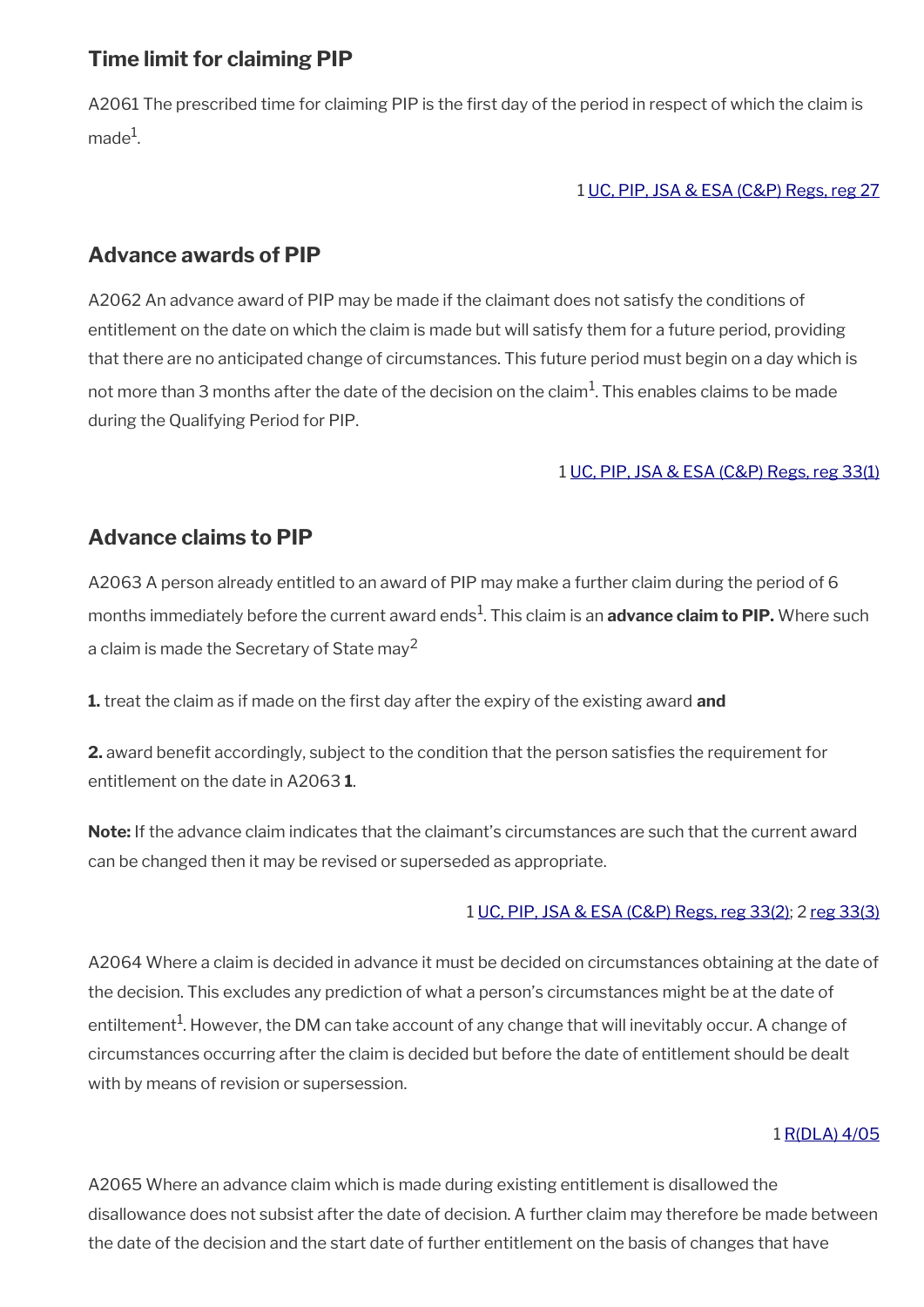### <span id="page-22-2"></span>**Time limit for claiming PIP**

A2061 The prescribed time for claiming PIP is the first day of the period in respect of which the claim is made $^1$ .

#### 1 [UC, PIP, JSA & ESA \(C&P\) Regs, reg 27](http://www.legislation.gov.uk/uksi/2013/380/regulation/27)

### <span id="page-22-1"></span>**Advance awards of PIP**

A2062 An advance award of PIP may be made if the claimant does not satisfy the conditions of entitlement on the date on which the claim is made but will satisfy them for a future period, providing that there are no anticipated change of circumstances. This future period must begin on a day which is not more than 3 months after the date of the decision on the claim $^1\!$ . This enables claims to be made during the Qualifying Period for PIP.

#### 1 [UC, PIP, JSA & ESA \(C&P\) Regs, reg 33\(1\)](http://www.legislation.gov.uk/uksi/2013/380/regulation/33)

## <span id="page-22-0"></span>**Advance claims to PIP**

A2063 A person already entitled to an award of PIP may make a further claim during the period of 6 months immediately before the current award ends<sup>1</sup>. This claim is an **advance claim to PIP.** Where such a claim is made the Secretary of State may<sup>2</sup>

**1.** treat the claim as if made on the frst day after the expiry of the existing award **and**

**2.** award benefit accordingly, subject to the condition that the person satisfies the requirement for entitlement on the date in A2063 **1**.

**Note:** If the advance claim indicates that the claimant's circumstances are such that the current award can be changed then it may be revised or superseded as appropriate.

#### 1 [UC, PIP, JSA & ESA \(C&P\) Regs, reg 33\(2\)](http://www.legislation.gov.uk/uksi/2013/380/regulation/33); 2 [reg 33\(3\)](http://www.legislation.gov.uk/uksi/2013/380/regulation/33)

A2064 Where a claim is decided in advance it must be decided on circumstances obtaining at the date of the decision. This excludes any prediction of what a person's circumstances might be at the date of entiltement<sup>1</sup>. However, the DM can take account of any change that will inevitably occur. A change of circumstances occurring after the claim is decided but before the date of entitlement should be dealt with by means of revision or supersession.

#### 1 [R\(DLA\) 4/05](http://intranet.dwp.gov.uk/manual/decision-benefit/rdla-4-05)

A2065 Where an advance claim which is made during existing entitlement is disallowed the disallowance does not subsist after the date of decision. A further claim may therefore be made between the date of the decision and the start date of further entitlement on the basis of changes that have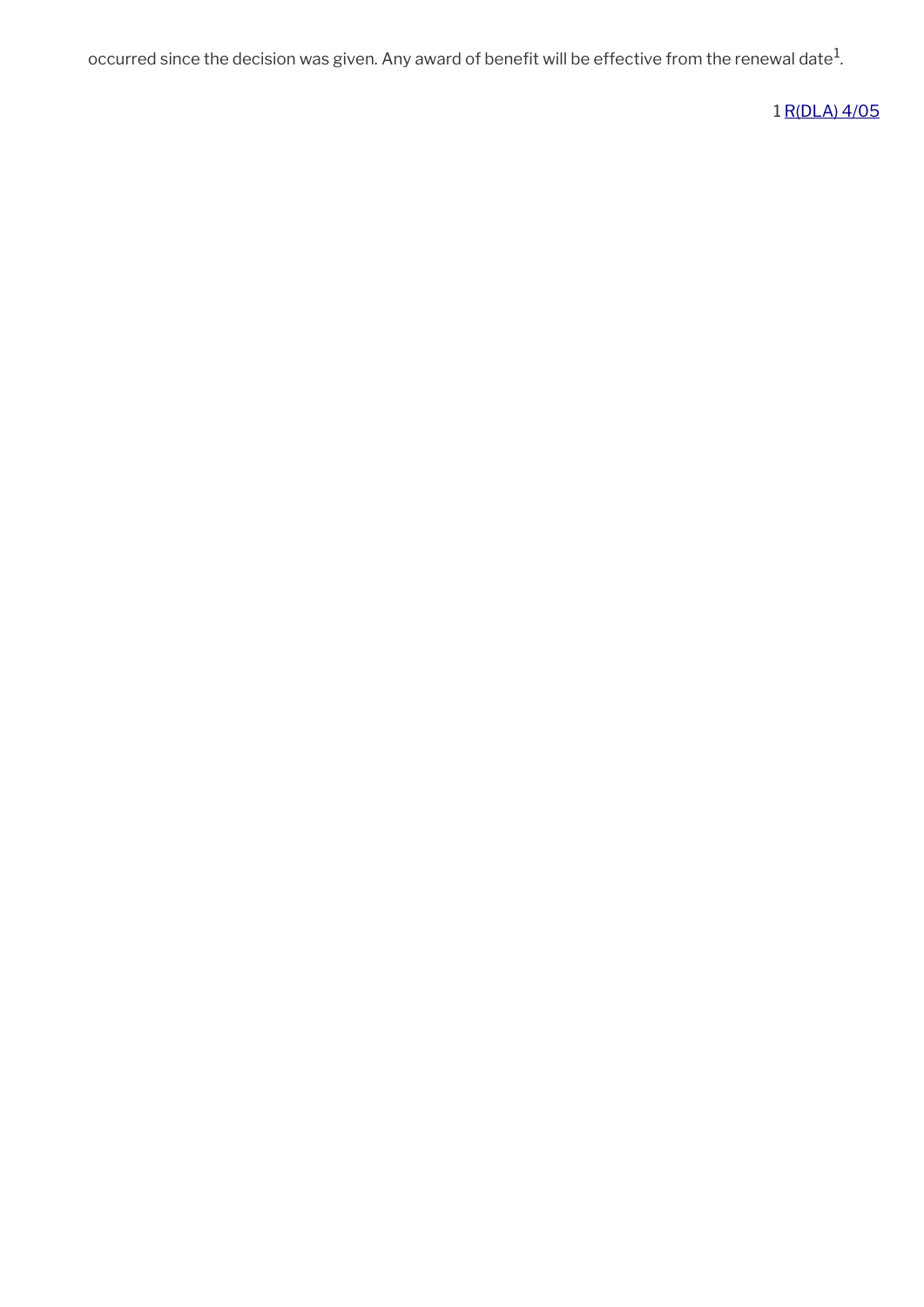occurred since the decision was given. Any award of benefit will be effective from the renewal date $^1\!$ 

1 [R\(DLA\) 4/05](http://intranet.dwp.gov.uk/manual/decision-benefit/rdla-4-05)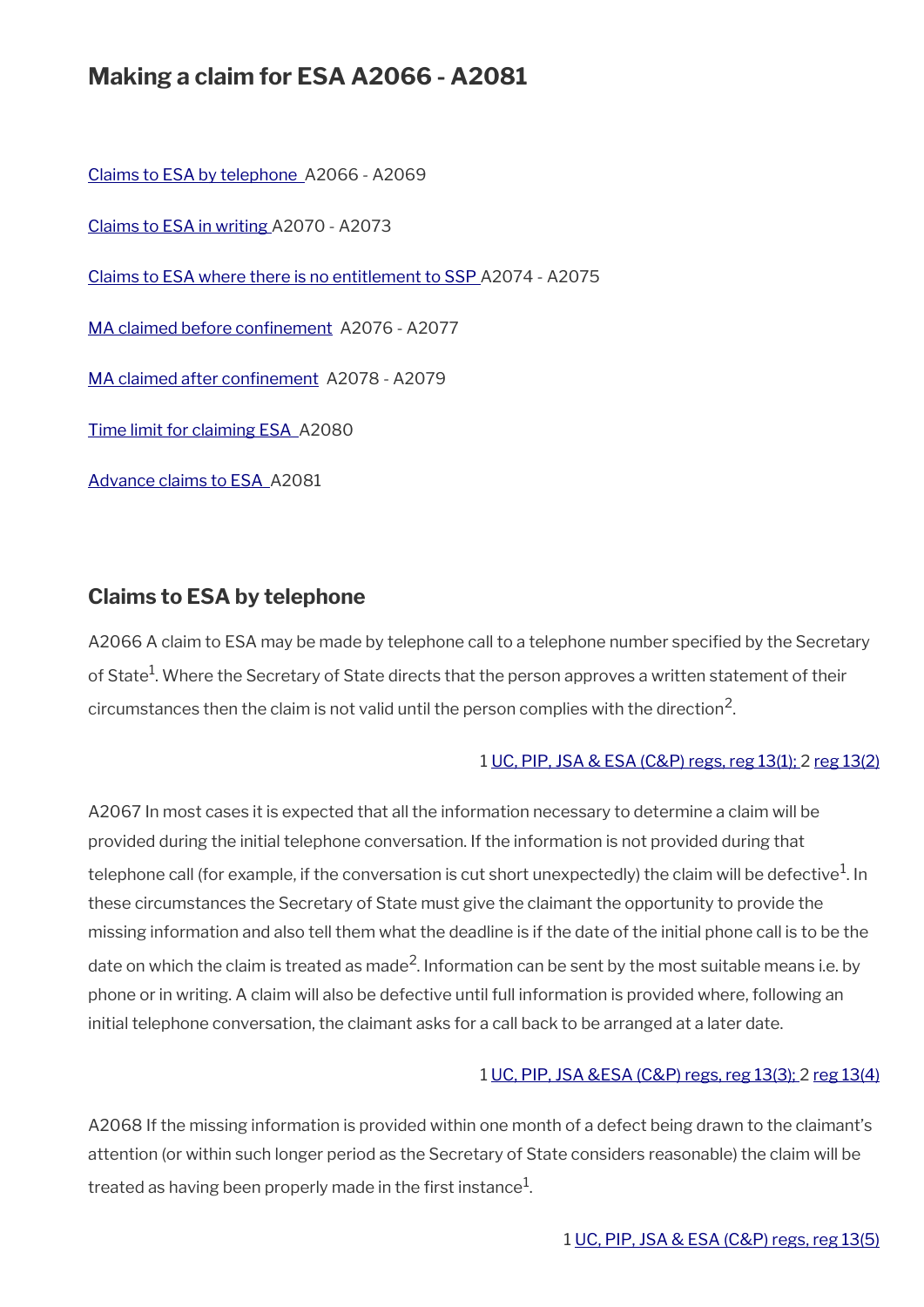## **Making a claim for ESA A2066 - A2081**

[Claims to ESA by telephone](#page-24-0) A2066 - A2069

[Claims to ESA in writing](#page-25-0) A2070 - A2073

[Claims to ESA where there is no entitlement to SSP A](#page-26-1)2074 - A2075

MA claimed before confinement A2076 - A2077

MA claimed after confinement A2078 - A2079

[Time limit for claiming ESA](#page-27-1) A2080

[Advance claims to ESA](#page-27-0) A2081

### <span id="page-24-0"></span>**Claims to ESA by telephone**

A2066 A claim to ESA may be made by telephone call to a telephone number specifed by the Secretary of State<sup>1</sup>. Where the Secretary of State directs that the person approves a written statement of their circumstances then the claim is not valid until the person complies with the direction $^2\!$ 

#### 1 [UC, PIP, JSA & ESA \(C&P\) regs, reg 13\(1\);](http://www.legislation.gov.uk/uksi/2013/380/regulation/13) 2 [reg 13\(2\)](http://www.legislation.gov.uk/uksi/2013/380/regulation/13)

A2067 In most cases it is expected that all the information necessary to determine a claim will be provided during the initial telephone conversation. If the information is not provided during that telephone call (for example, if the conversation is cut short unexpectedly) the claim will be defective $^{\rm 1}$ . In these circumstances the Secretary of State must give the claimant the opportunity to provide the missing information and also tell them what the deadline is if the date of the initial phone call is to be the date on which the claim is treated as made<sup>2</sup>. Information can be sent by the most suitable means i.e. by phone or in writing. A claim will also be defective until full information is provided where, following an initial telephone conversation, the claimant asks for a call back to be arranged at a later date.

#### 1 [UC, PIP, JSA &ESA \(C&P\) regs, reg 13\(3\);](http://www.legislation.gov.uk/uksi/2013/380/regulation/13) 2 [reg 13\(4\)](http://www.legislation.gov.uk/uksi/2013/380/regulation/13)

A2068 If the missing information is provided within one month of a defect being drawn to the claimant's attention (or within such longer period as the Secretary of State considers reasonable) the claim will be treated as having been properly made in the first instance $^1$ .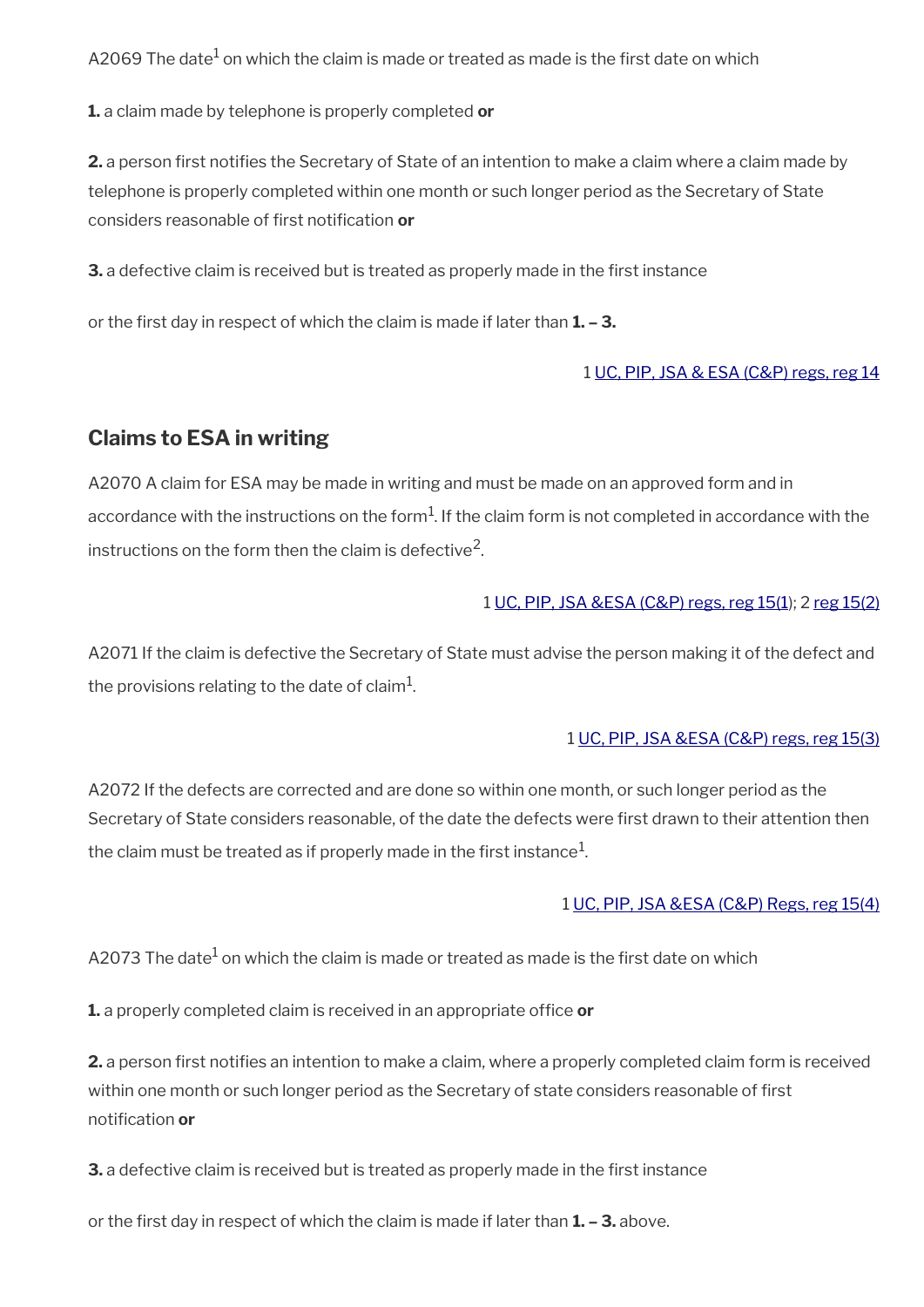A2069 The date $^{\rm 1}$  on which the claim is made or treated as made is the first date on which

**1.** a claim made by telephone is properly completed **or**

**2.** a person frst notifes the Secretary of State of an intention to make a claim where a claim made by telephone is properly completed within one month or such longer period as the Secretary of State considers reasonable of first notification or

**3.** a defective claim is received but is treated as properly made in the first instance

or the frst day in respect of which the claim is made if later than **1. – 3.**

#### 1 [UC, PIP, JSA & ESA \(C&P\) regs, reg 14](http://www.legislation.gov.uk/uksi/2013/380/regulation/14)

### <span id="page-25-0"></span>**Claims to ESA in writing**

A2070 A claim for ESA may be made in writing and must be made on an approved form and in accordance with the instructions on the form $^1$ . If the claim form is not completed in accordance with the instructions on the form then the claim is defective<sup>2</sup>.

#### 1 [UC, PIP, JSA &ESA \(C&P\) regs, reg 15\(1](http://www.legislation.gov.uk/uksi/2013/380/regulation/15)); 2 [reg 15\(2\)](http://www.legislation.gov.uk/uksi/2013/380/regulation/15)

A2071 If the claim is defective the Secretary of State must advise the person making it of the defect and the provisions relating to the date of claim $^1\!\!$ .

#### 1 [UC, PIP, JSA &ESA \(C&P\) regs, reg 15\(3\)](http://www.legislation.gov.uk/uksi/2013/380/regulation/15)

A2072 If the defects are corrected and are done so within one month, or such longer period as the Secretary of State considers reasonable, of the date the defects were frst drawn to their attention then the claim must be treated as if properly made in the first instance $^1\!$ 

#### 1 [UC, PIP, JSA &ESA \(C&P\) Regs, reg 15\(4\)](http://www.legislation.gov.uk/uksi/2013/380/regulation/15)

A2073 The date $^1$  on which the claim is made or treated as made is the first date on which

**1.** a properly completed claim is received in an appropriate office or

**2.** a person first notifies an intention to make a claim, where a properly completed claim form is received within one month or such longer period as the Secretary of state considers reasonable of frst notifcation **or**

**3.** a defective claim is received but is treated as properly made in the first instance

or the frst day in respect of which the claim is made if later than **1. – 3.** above.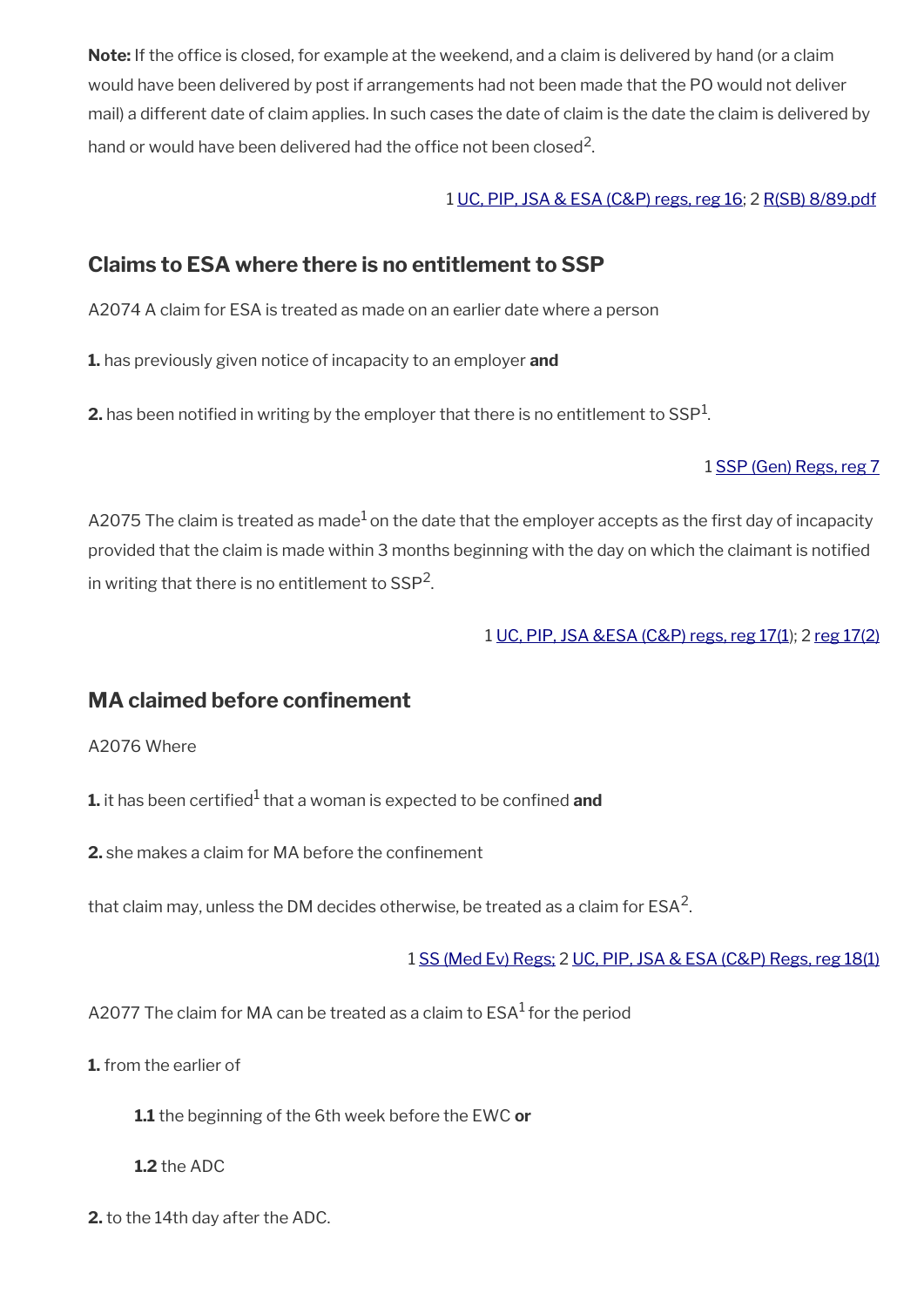Note: If the office is closed, for example at the weekend, and a claim is delivered by hand (or a claim would have been delivered by post if arrangements had not been made that the PO would not deliver mail) a different date of claim applies. In such cases the date of claim is the date the claim is delivered by hand or would have been delivered had the office not been closed<sup>2</sup>.

#### 1 [UC, PIP, JSA & ESA \(C&P\) regs, reg 16;](http://www.legislation.gov.uk/uksi/2013/380/regulation/16) 2 [R\(SB\) 8/89.pdf](../file/877451/download/R%2528SB%2529%25208%252F89.pdf)

### <span id="page-26-1"></span>**Claims to ESA where there is no entitlement to SSP**

A2074 A claim for ESA is treated as made on an earlier date where a person

**1.** has previously given notice of incapacity to an employer **and**

 $\mathbf{2}.$  has been notified in writing by the employer that there is no entitlement to SSP $^1$ .

#### 1 [SSP \(Gen\) Regs, reg 7](http://www.legislation.gov.uk/uksi/1982/894/regulation/7)

A2075 The claim is treated as made<sup>1</sup> on the date that the employer accepts as the first day of incapacity provided that the claim is made within 3 months beginning with the day on which the claimant is notifed in writing that there is no entitlement to SSP<sup>2</sup>.

1 [UC, PIP, JSA &ESA \(C&P\) regs, reg 17\(1\)](http://www.legislation.gov.uk/uksi/2013/380/regulation/17); 2 [reg 17\(2\)](http://www.legislation.gov.uk/uksi/2013/380/regulation/17)

### <span id="page-26-0"></span>**MA claimed before confnement**

A2076 Where

**1.** it has been certified<sup>1</sup> that a woman is expected to be confined **and** 

**2.** she makes a claim for MA before the confinement

that claim may, unless the DM decides otherwise, be treated as a claim for ESA<sup>2</sup>.

1 [SS \(Med Ev\) Regs;](http://www.legislation.gov.uk/uksi/1976/615/contents) 2 [UC, PIP, JSA & ESA \(C&P\) Regs, reg 18\(1\)](http://www.legislation.gov.uk/uksi/2013/380/regulation/18)

A2077 The claim for MA can be treated as a claim to  $\text{ESA}^1$  for the period

**1.** from the earlier of

**1.1** the beginning of the 6th week before the EWC **or**

**1.2** the ADC

**2.** to the 14th day after the ADC.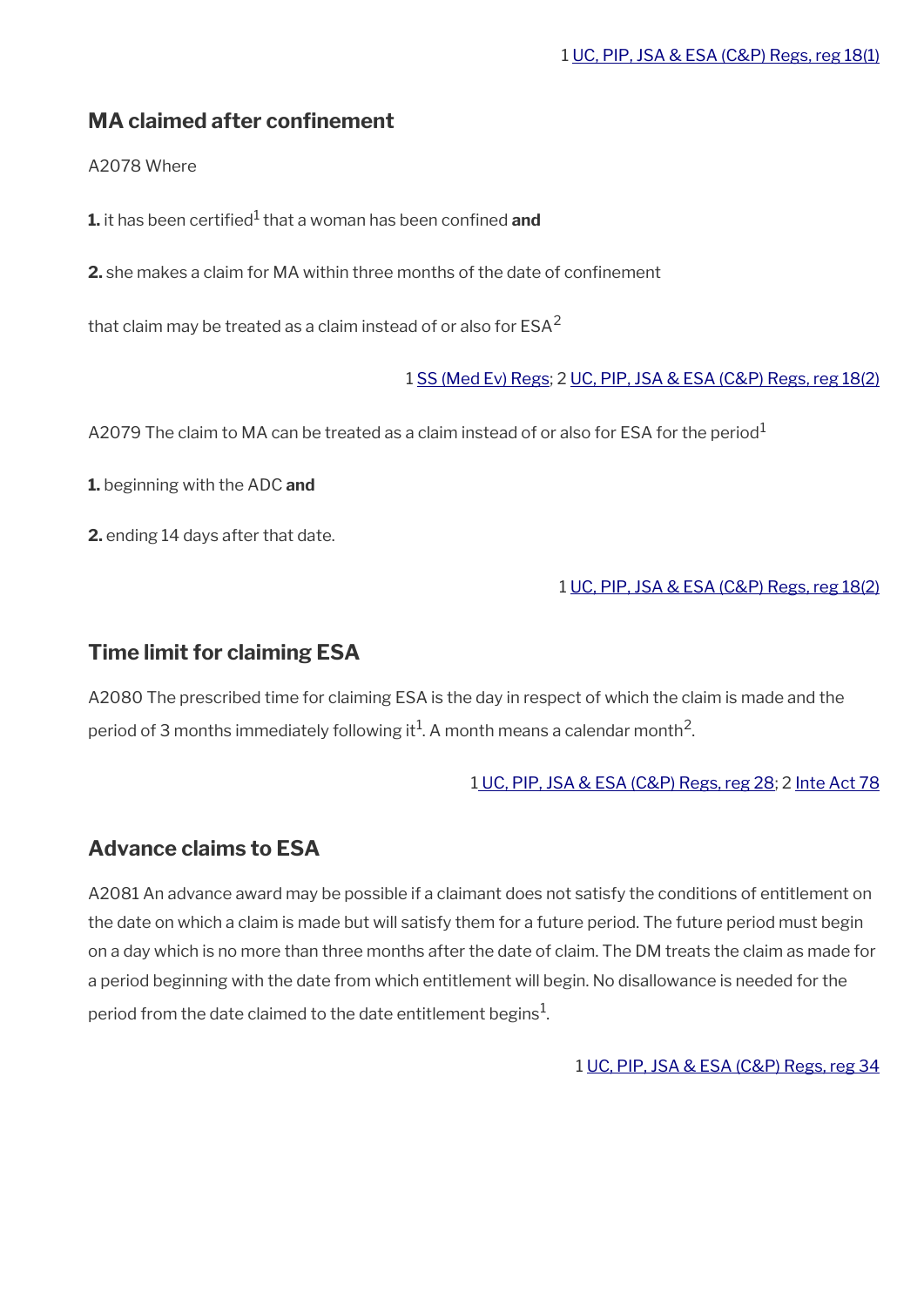### <span id="page-27-2"></span>**MA claimed after confnement**

A2078 Where

**1.** it has been certified<sup>1</sup> that a woman has been confined **and** 

**2.** she makes a claim for MA within three months of the date of confnement

that claim may be treated as a claim instead of or also for  $ESA<sup>2</sup>$ 

1 [SS \(Med Ev\) Regs](http://www.legislation.gov.uk/uksi/1976/615/contents); 2 [UC, PIP, JSA & ESA \(C&P\) Regs, reg 18\(2\)](http://www.legislation.gov.uk/uksi/2013/380/regulation/18)

A2079 The claim to MA can be treated as a claim instead of or also for ESA for the period<sup>1</sup>

**1.** beginning with the ADC **and**

**2.** ending 14 days after that date.

#### 1 [UC, PIP, JSA & ESA \(C&P\) Regs, reg 18\(2\)](http://www.legislation.gov.uk/uksi/2013/380/regulation/18)

### <span id="page-27-1"></span>**Time limit for claiming ESA**

A2080 The prescribed time for claiming ESA is the day in respect of which the claim is made and the period of 3 months immediately following it $^1$ . A month means a calendar month $^2$ .

#### [1 UC, PIP, JSA & ESA \(C&P\) Regs, reg 28](http://www.legislation.gov.uk/uksi/2013/380/regulation/28); 2 [Inte Act 78](http://www.legislation.gov.uk/ukpga/1978/30/contents)

### <span id="page-27-0"></span>**Advance claims to ESA**

A2081 An advance award may be possible if a claimant does not satisfy the conditions of entitlement on the date on which a claim is made but will satisfy them for a future period. The future period must begin on a day which is no more than three months after the date of claim. The DM treats the claim as made for a period beginning with the date from which entitlement will begin. No disallowance is needed for the period from the date claimed to the date entitlement begins $^{\mathrm{1}}$ .

1 [UC, PIP, JSA & ESA \(C&P\) Regs, reg 34](http://www.legislation.gov.uk/uksi/2013/380/regulation/34)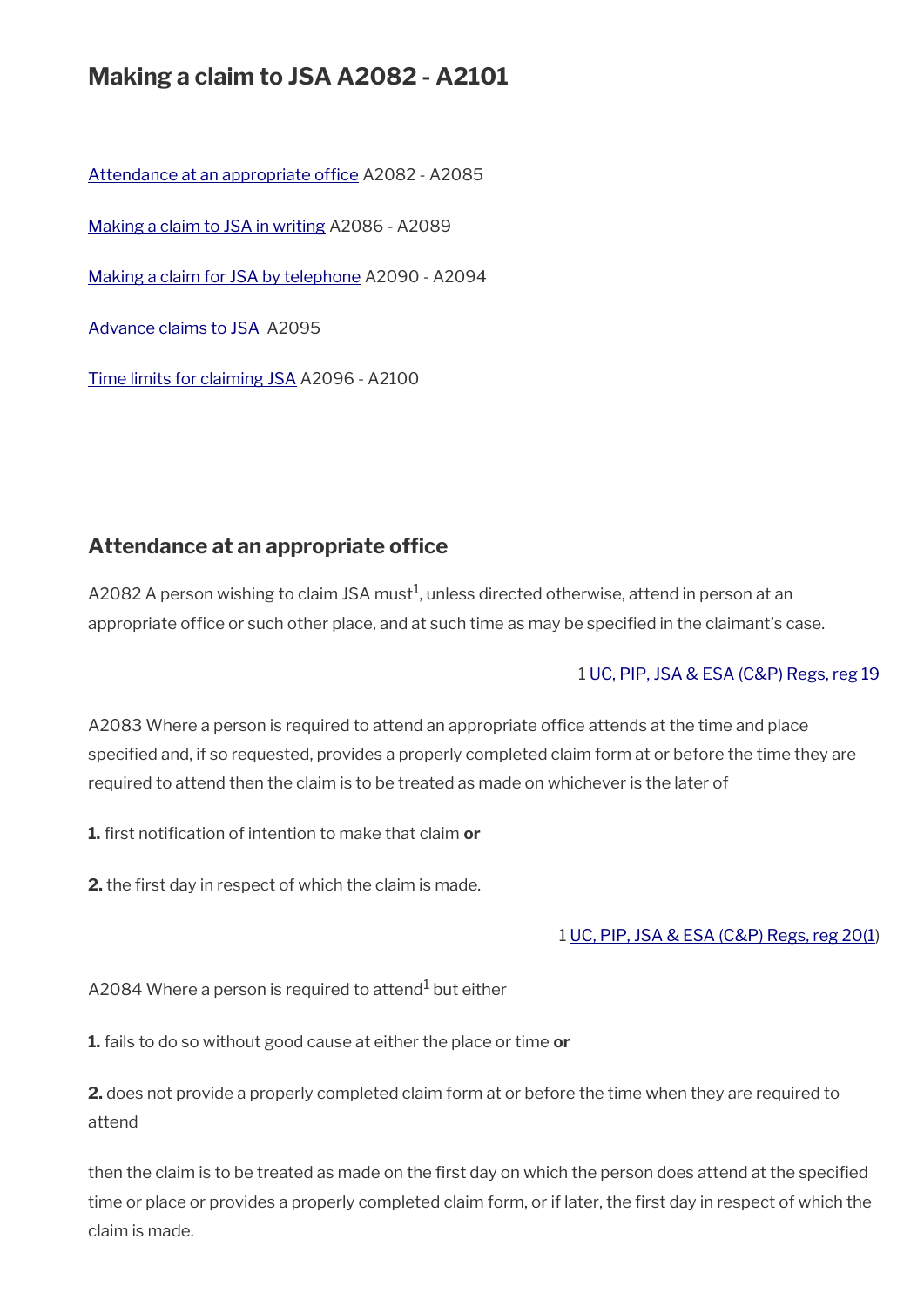## **Making a claim to JSA A2082 - A2101**

Attendance at an appropriate office A2082 - A2085 [Making a claim to JSA in writing](#page-29-1) A2086 - A2089 [Making a claim for JSA by telephone](#page-29-0) A2090 - A2094 [Advance claims to JSA](#page-30-0) A2095 [Time limits for claiming JSA](#page-31-0) A2096 - A2100

### <span id="page-28-0"></span>Attendance at an appropriate office

A2082 A person wishing to claim JSA must $^1$ , unless directed otherwise, attend in person at an appropriate office or such other place, and at such time as may be specified in the claimant's case.

#### 1 [UC, PIP, JSA & ESA \(C&P\) Regs, reg 19](http://www.legislation.gov.uk/uksi/2013/380/regulation/19)

A2083 Where a person is required to attend an appropriate office attends at the time and place specifed and, if so requested, provides a properly completed claim form at or before the time they are required to attend then the claim is to be treated as made on whichever is the later of

**1.** frst notifcation of intention to make that claim **or**

**2.** the first day in respect of which the claim is made.

#### 1 [UC, PIP, JSA & ESA \(C&P\) Regs, reg 20\(1](http://www.legislation.gov.uk/uksi/2013/380/regulation/20))

A2084 Where a person is required to attend $^{\rm 1}$  but either

**1.** fails to do so without good cause at either the place or time **or**

**2.** does not provide a properly completed claim form at or before the time when they are required to attend

then the claim is to be treated as made on the frst day on which the person does attend at the specifed time or place or provides a properly completed claim form, or if later, the first day in respect of which the claim is made.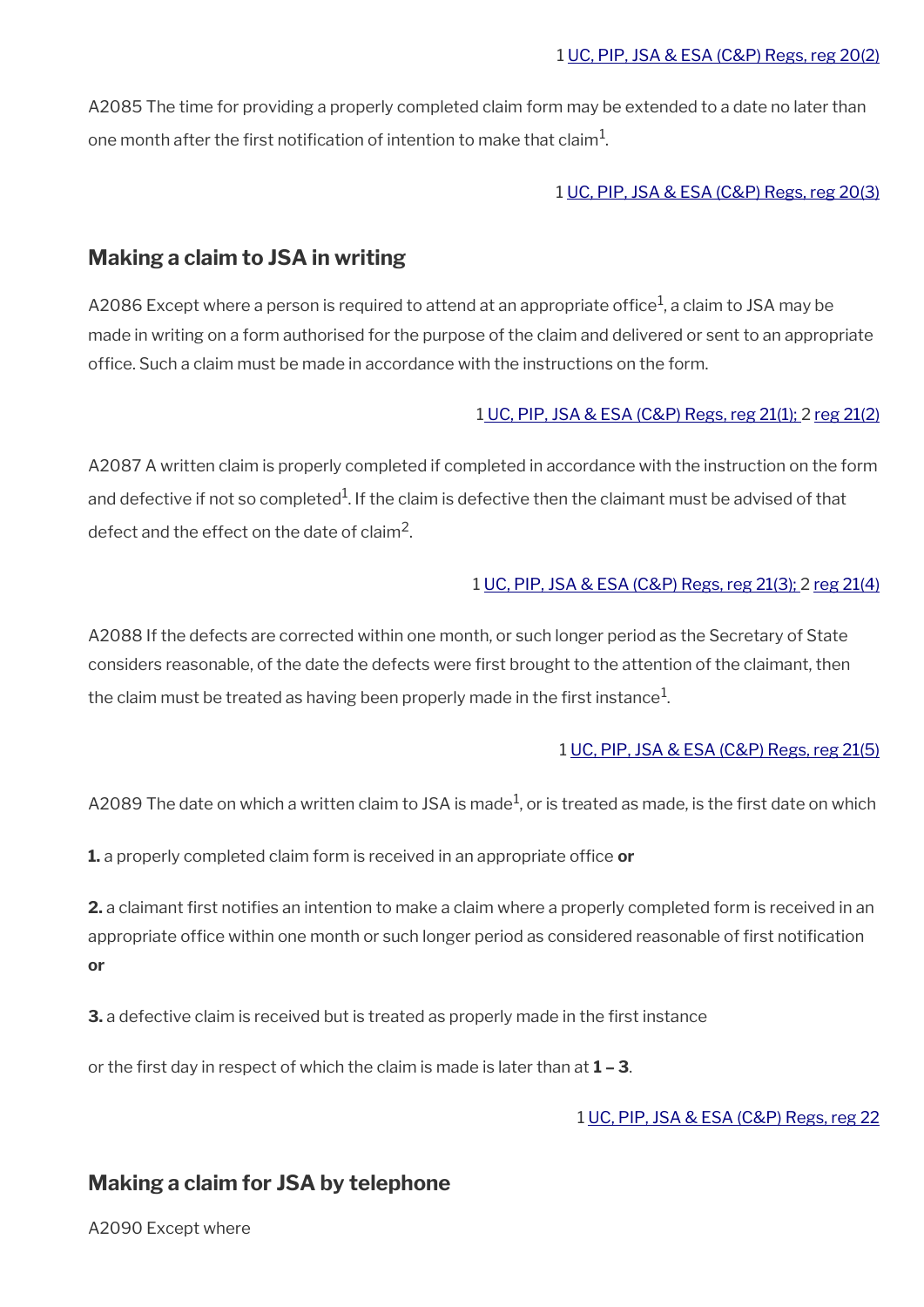A2085 The time for providing a properly completed claim form may be extended to a date no later than one month after the first notification of intention to make that claim $^{\rm 1}$ .

#### 1 [UC, PIP, JSA & ESA \(C&P\) Regs, reg 20\(3\)](http://www.legislation.gov.uk/uksi/2013/380/regulation/20)

### <span id="page-29-1"></span>**Making a claim to JSA in writing**

A2086 Except where a person is required to attend at an appropriate office $^1$ , a claim to JSA may be made in writing on a form authorised for the purpose of the claim and delivered or sent to an appropriate office. Such a claim must be made in accordance with the instructions on the form.

#### 1 [UC, PIP, JSA & ESA \(C&P\) Regs, reg 21\(1\);](http://www.legislation.gov.uk/uksi/2013/380/regulation/21) 2 [reg 21\(2\)](http://www.legislation.gov.uk/uksi/2013/380/regulation/21)

A2087 A written claim is properly completed if completed in accordance with the instruction on the form and defective if not so completed $^{\rm 1}$ . If the claim is defective then the claimant must be advised of that defect and the effect on the date of claim<sup>2</sup>.

#### 1 [UC, PIP, JSA & ESA \(C&P\) Regs, reg 21\(3\); 2 reg 21\(4\)](http://www.legislation.gov.uk/uksi/2013/380/regulation/21)

A2088 If the defects are corrected within one month, or such longer period as the Secretary of State considers reasonable, of the date the defects were frst brought to the attention of the claimant, then the claim must be treated as having been properly made in the first instance $^1\!$ 

#### 1 [UC, PIP, JSA & ESA \(C&P\) Regs, reg 21\(5\)](http://www.legislation.gov.uk/uksi/2013/380/regulation/21)

A2089 The date on which a written claim to JSA is made $^1$ , or is treated as made, is the first date on which

**1.** a properly completed claim form is received in an appropriate office or

**2.** a claimant first notifies an intention to make a claim where a properly completed form is received in an appropriate office within one month or such longer period as considered reasonable of first notification **or**

**3.** a defective claim is received but is treated as properly made in the first instance

or the frst day in respect of which the claim is made is later than at **1 – 3**.

#### 1 [UC, PIP, JSA & ESA \(C&P\) Regs, reg 22](http://www.legislation.gov.uk/uksi/2013/380/regulation/22)

#### <span id="page-29-0"></span>**Making a claim for JSA by telephone**

A2090 Except where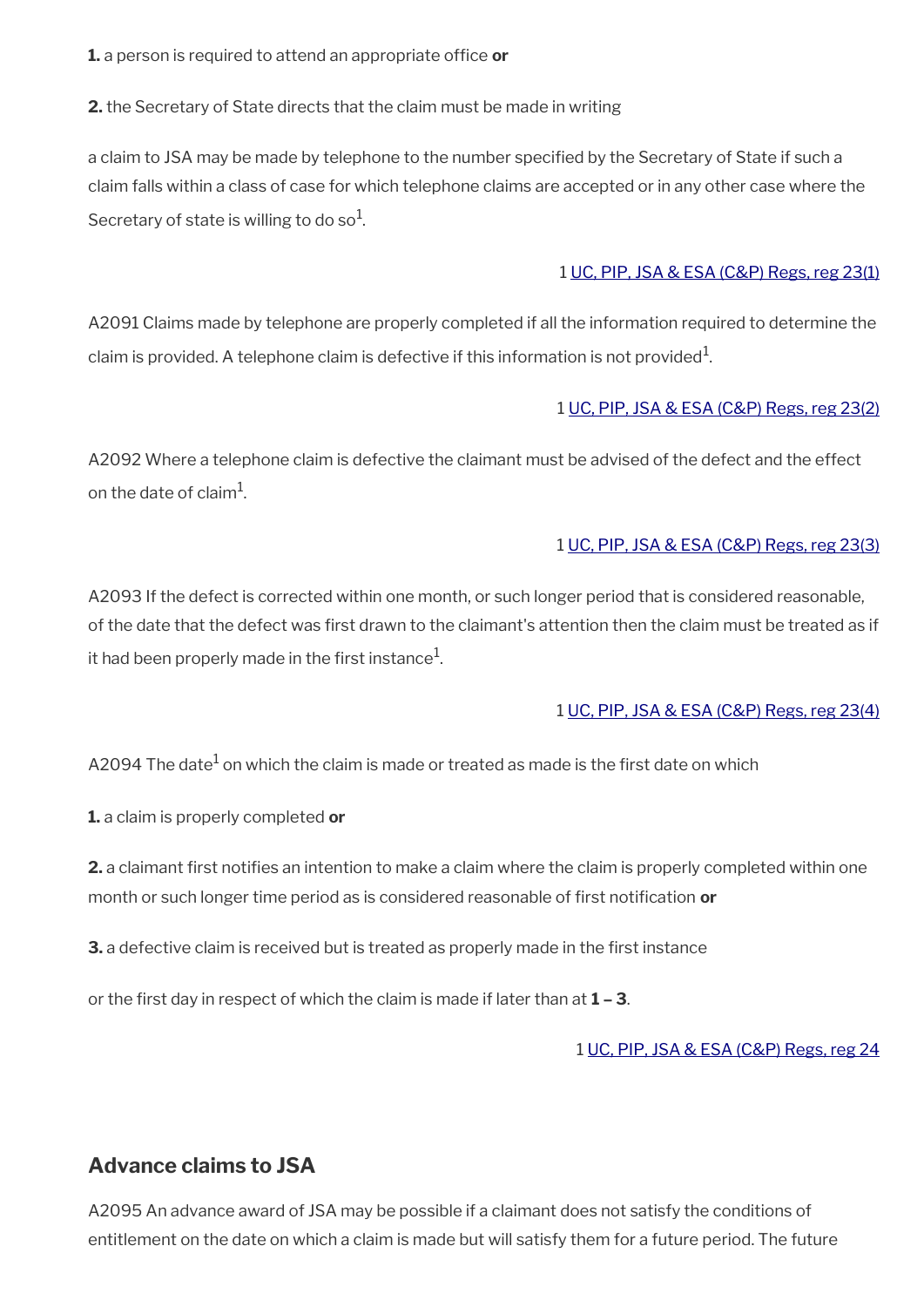**1.** a person is required to attend an appropriate office **or** 

**2.** the Secretary of State directs that the claim must be made in writing

a claim to JSA may be made by telephone to the number specifed by the Secretary of State if such a claim falls within a class of case for which telephone claims are accepted or in any other case where the Secretary of state is willing to do so $^1$ .

#### 1 [UC, PIP, JSA & ESA \(C&P\) Regs, reg 23\(1\)](http://www.legislation.gov.uk/uksi/2013/380/regulation/23)

A2091 Claims made by telephone are properly completed if all the information required to determine the claim is provided. A telephone claim is defective if this information is not provided $^1$ .

#### 1 [UC, PIP, JSA & ESA \(C&P\) Regs, reg 23\(2\)](http://www.legislation.gov.uk/uksi/2013/380/regulation/23)

A2092 Where a telephone claim is defective the claimant must be advised of the defect and the effect on the date of claim $^{\rm 1}$ .

#### 1 [UC, PIP, JSA & ESA \(C&P\) Regs, reg 23\(3\)](http://www.legislation.gov.uk/uksi/2013/380/regulation/23)

A2093 If the defect is corrected within one month, or such longer period that is considered reasonable, of the date that the defect was frst drawn to the claimant's attention then the claim must be treated as if it had been properly made in the first instance $^1\!\!$ .

#### 1 [UC, PIP, JSA & ESA \(C&P\) Regs, reg 23\(4\)](http://www.legislation.gov.uk/uksi/2013/380/regulation/23)

A2094 The date $^{\rm 1}$  on which the claim is made or treated as made is the first date on which

**1.** a claim is properly completed **or**

**2.** a claimant first notifies an intention to make a claim where the claim is properly completed within one month or such longer time period as is considered reasonable of frst notifcation **or**

**3.** a defective claim is received but is treated as properly made in the first instance

or the frst day in respect of which the claim is made if later than at **1 – 3**.

#### 1 [UC, PIP, JSA & ESA \(C&P\) Regs, reg 24](http://www.legislation.gov.uk/uksi/2013/380/regulation/24)

### <span id="page-30-0"></span>**Advance claims to JSA**

A2095 An advance award of JSA may be possible if a claimant does not satisfy the conditions of entitlement on the date on which a claim is made but will satisfy them for a future period. The future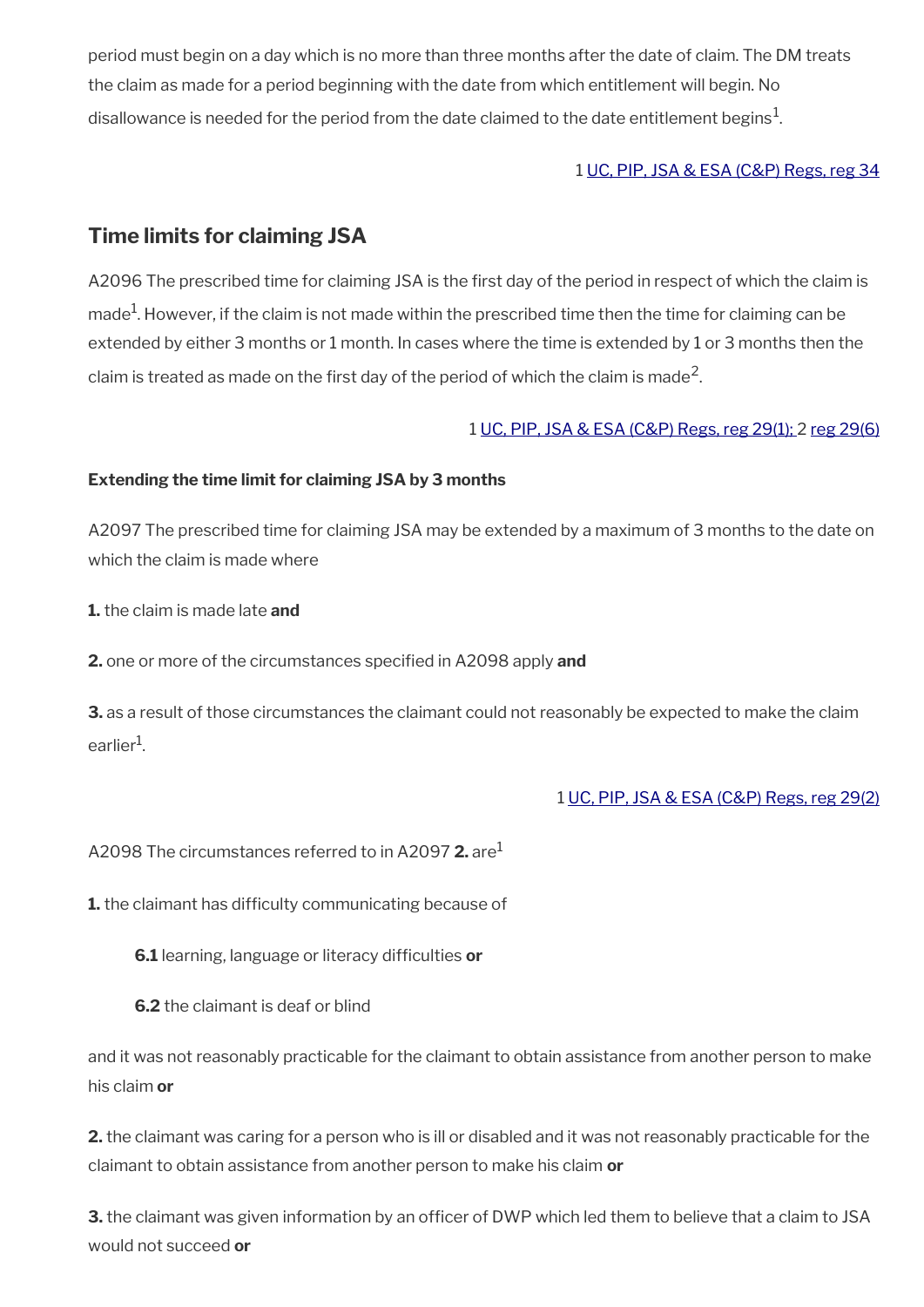period must begin on a day which is no more than three months after the date of claim. The DM treats the claim as made for a period beginning with the date from which entitlement will begin. No disallowance is needed for the period from the date claimed to the date entitlement begins $^{\mathrm{1}}$ .

#### 1 [UC, PIP, JSA & ESA \(C&P\) Regs, reg 34](http://www.legislation.gov.uk/uksi/2013/380/regulation/34)

### <span id="page-31-0"></span>**Time limits for claiming JSA**

A2096 The prescribed time for claiming JSA is the first day of the period in respect of which the claim is made<sup>1</sup>. However, if the claim is not made within the prescribed time then the time for claiming can be extended by either 3 months or 1 month. In cases where the time is extended by 1 or 3 months then the claim is treated as made on the first day of the period of which the claim is made<sup>2</sup>.

#### 1 [UC, PIP, JSA & ESA \(C&P\) Regs, reg 29\(1\); 2 reg 29\(6\)](http://www.legislation.gov.uk/uksi/2013/380/regulation/29)

#### **Extending the time limit for claiming JSA by 3 months**

A2097 The prescribed time for claiming JSA may be extended by a maximum of 3 months to the date on which the claim is made where

**1.** the claim is made late **and**

**2.** one or more of the circumstances specifed in A2098 apply **and**

**3.** as a result of those circumstances the claimant could not reasonably be expected to make the claim earlier<sup>1</sup>.

#### 1 [UC, PIP, JSA & ESA \(C&P\) Regs, reg 29\(2\)](http://www.legislation.gov.uk/uksi/2013/380/regulation/29)

A2098 The circumstances referred to in A2097 **2.** are<sup>1</sup>

**1.** the claimant has difficulty communicating because of

**6.1** learning, language or literacy difficulties or

**6.2** the claimant is deaf or blind

and it was not reasonably practicable for the claimant to obtain assistance from another person to make his claim **or**

**2.** the claimant was caring for a person who is ill or disabled and it was not reasonably practicable for the claimant to obtain assistance from another person to make his claim **or**

**3.** the claimant was given information by an officer of DWP which led them to believe that a claim to JSA would not succeed **or**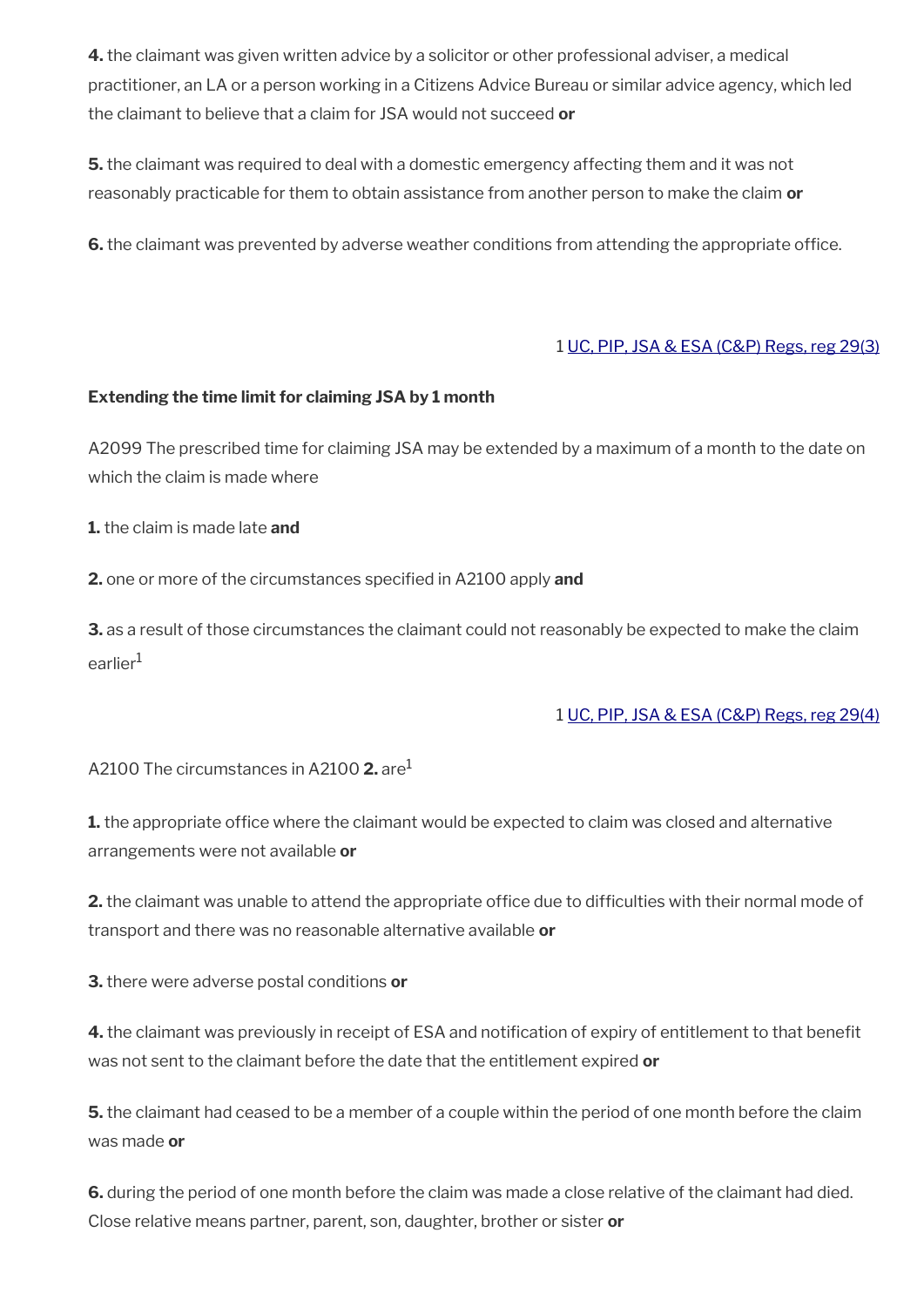**4.** the claimant was given written advice by a solicitor or other professional adviser, a medical practitioner, an LA or a person working in a Citizens Advice Bureau or similar advice agency, which led the claimant to believe that a claim for JSA would not succeed **or**

**5.** the claimant was required to deal with a domestic emergency affecting them and it was not reasonably practicable for them to obtain assistance from another person to make the claim **or**

**6.** the claimant was prevented by adverse weather conditions from attending the appropriate office.

#### 1 [UC, PIP, JSA & ESA \(C&P\) Regs, reg 29\(3\)](http://www.legislation.gov.uk/uksi/2013/380/regulation/29)

#### **Extending the time limit for claiming JSA by 1 month**

A2099 The prescribed time for claiming JSA may be extended by a maximum of a month to the date on which the claim is made where

**1.** the claim is made late **and**

**2.** one or more of the circumstances specifed in A2100 apply **and**

**3.** as a result of those circumstances the claimant could not reasonably be expected to make the claim earlier<sup>1</sup>

#### 1 [UC, PIP, JSA & ESA \(C&P\) Regs, reg 29\(4\)](http://www.legislation.gov.uk/uksi/2013/380/regulation/29)

A2100 The circumstances in A2100 **2.** are<sup>1</sup>

**1.** the appropriate office where the claimant would be expected to claim was closed and alternative arrangements were not available **or**

**2.** the claimant was unable to attend the appropriate office due to difficulties with their normal mode of transport and there was no reasonable alternative available **or**

**3.** there were adverse postal conditions **or**

**4.** the claimant was previously in receipt of ESA and notification of expiry of entitlement to that benefit was not sent to the claimant before the date that the entitlement expired **or**

**5.** the claimant had ceased to be a member of a couple within the period of one month before the claim was made **or**

**6.** during the period of one month before the claim was made a close relative of the claimant had died. Close relative means partner, parent, son, daughter, brother or sister **or**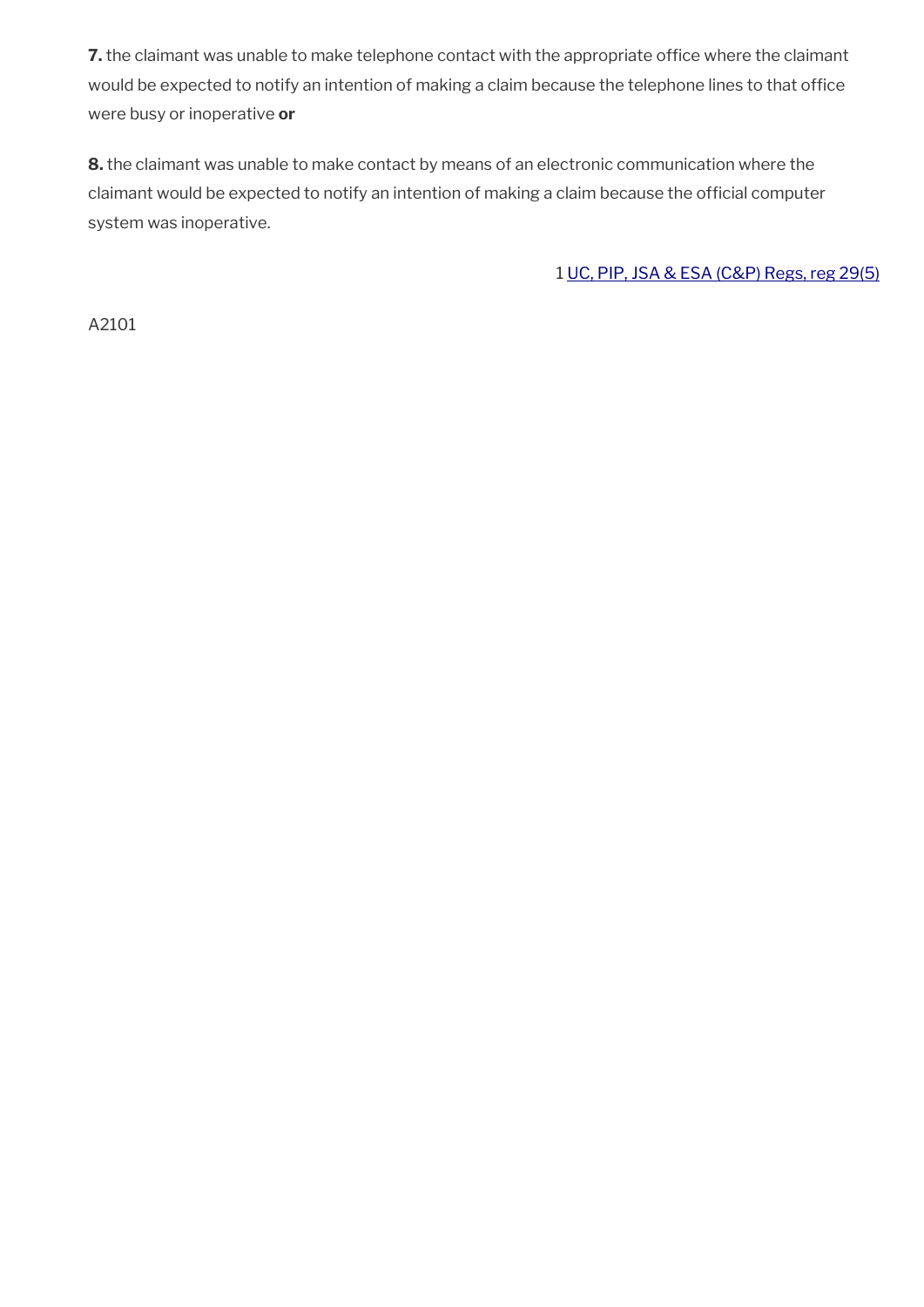7. the claimant was unable to make telephone contact with the appropriate office where the claimant would be expected to notify an intention of making a claim because the telephone lines to that office were busy or inoperative **or**

**8.** the claimant was unable to make contact by means of an electronic communication where the claimant would be expected to notify an intention of making a claim because the official computer system was inoperative.

1 [UC, PIP, JSA & ESA \(C&P\) Regs, reg 29\(5\)](http://www.legislation.gov.uk/uksi/2013/380/regulation/29)

A2101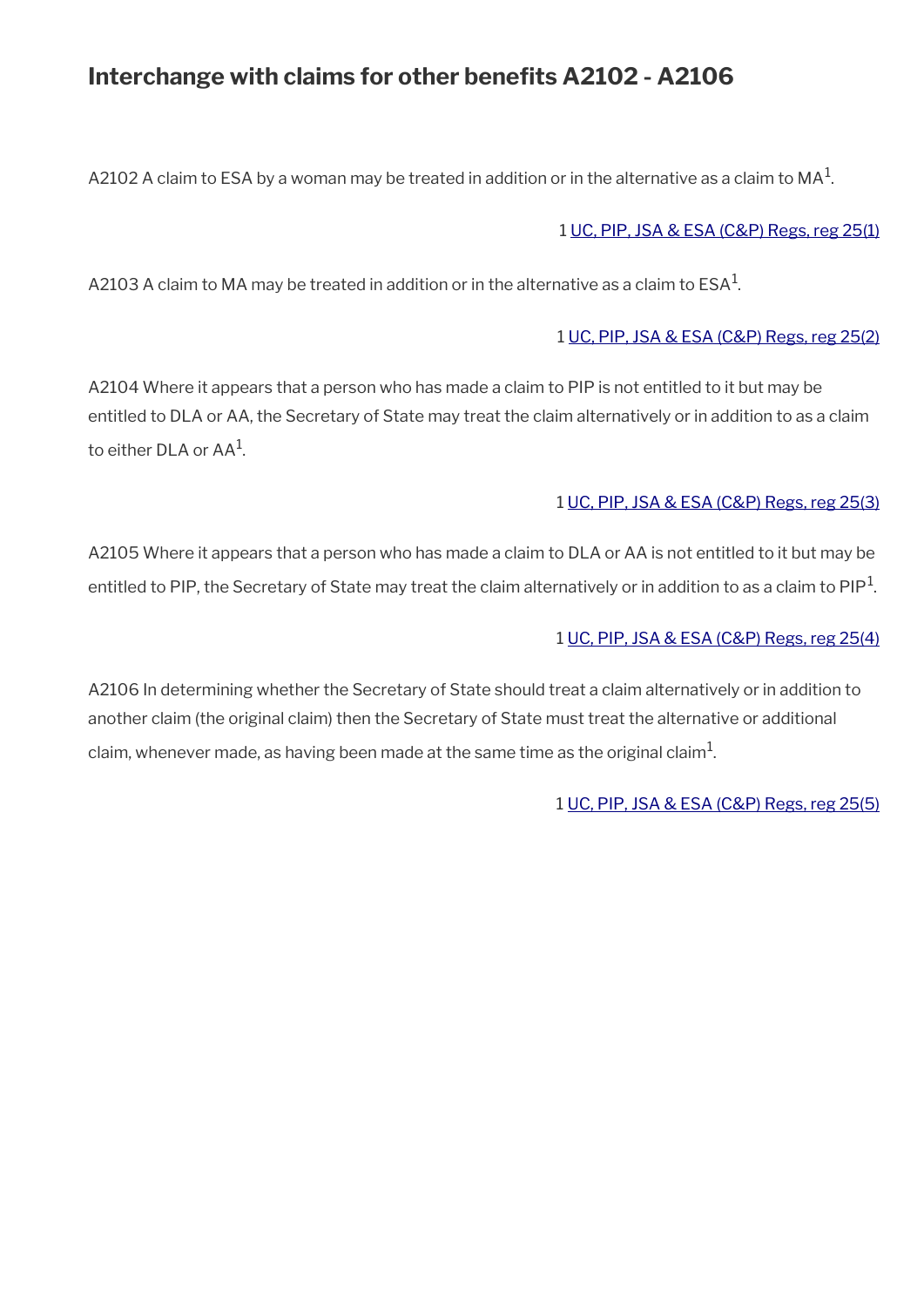## Interchange with claims for other benefits A2102 - A2106

A2102 A claim to ESA by a woman may be treated in addition or in the alternative as a claim to MA $^{\rm 1}$ .

#### 1 [UC, PIP, JSA & ESA \(C&P\) Regs, reg 25\(1\)](http://www.legislation.gov.uk/uksi/2013/380/regulation/25)

A2103 A claim to MA may be treated in addition or in the alternative as a claim to ESA $^{\rm 1}$ .

#### 1 [UC, PIP, JSA & ESA \(C&P\) Regs, reg 25\(2\)](http://www.legislation.gov.uk/uksi/2013/380/regulation/25)

A2104 Where it appears that a person who has made a claim to PIP is not entitled to it but may be entitled to DLA or AA, the Secretary of State may treat the claim alternatively or in addition to as a claim to either DLA or AA $^{\rm 1}$ .

#### 1 [UC, PIP, JSA & ESA \(C&P\) Regs, reg 25\(3\)](http://www.legislation.gov.uk/uksi/2013/380/regulation/25)

A2105 Where it appears that a person who has made a claim to DLA or AA is not entitled to it but may be entitled to PIP, the Secretary of State may treat the claim alternatively or in addition to as a claim to PIP $^1$ .

#### 1 [UC, PIP, JSA & ESA \(C&P\) Regs, reg 25\(4\)](http://www.legislation.gov.uk/uksi/2013/380/regulation/25)

A2106 In determining whether the Secretary of State should treat a claim alternatively or in addition to another claim (the original claim) then the Secretary of State must treat the alternative or additional claim, whenever made, as having been made at the same time as the original claim $^{\rm 1}$ .

1 [UC, PIP, JSA & ESA \(C&P\) Regs, reg 25\(5\)](http://www.legislation.gov.uk/uksi/2013/380/regulation/25)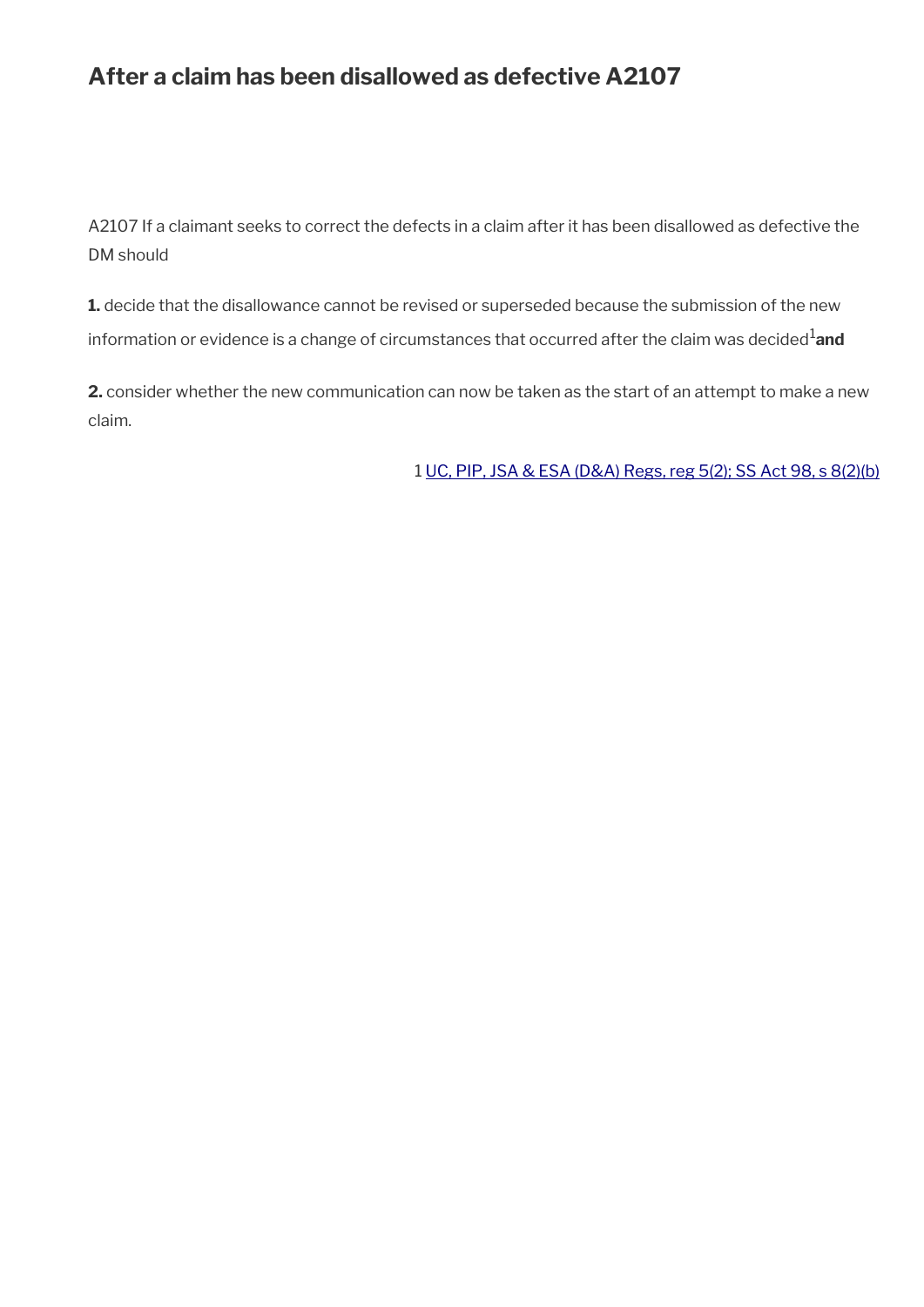## **After a claim has been disallowed as defective A2107**

A2107 If a claimant seeks to correct the defects in a claim after it has been disallowed as defective the DM should

**1.** decide that the disallowance cannot be revised or superseded because the submission of the new information or evidence is a change of circumstances that occurred after the claim was decided<sup>1</sup>and

**2.** consider whether the new communication can now be taken as the start of an attempt to make a new claim.

1 [UC, PIP, JSA & ESA \(D&A\) Regs, reg 5\(2\);](http://www.legislation.gov.uk/uksi/2013/381/regulation/5) [SS Act 98, s 8\(2\)\(b\)](http://www.legislation.gov.uk/ukpga/1998/14/contents)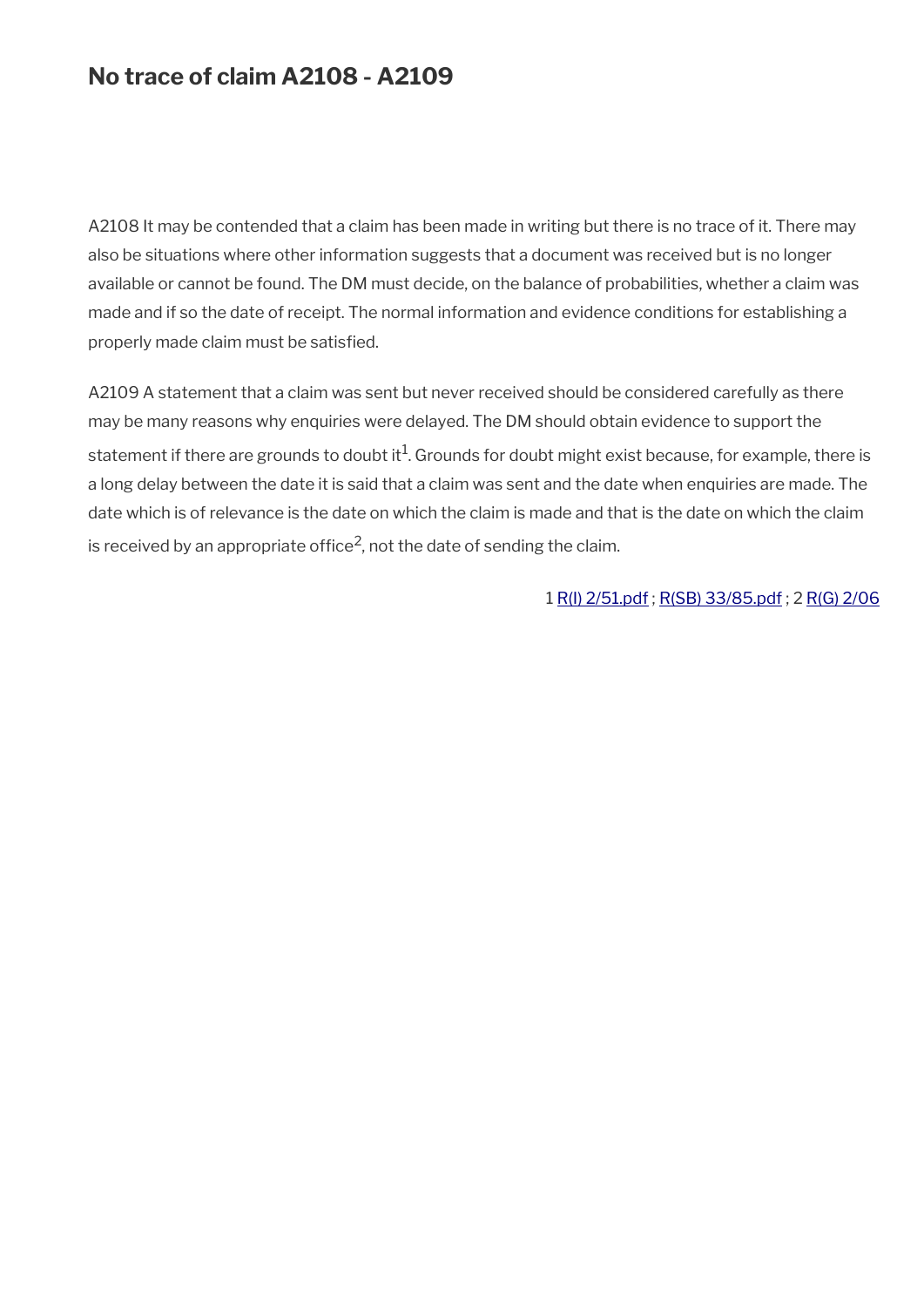## **No trace of claim A2108 - A2109**

A2108 It may be contended that a claim has been made in writing but there is no trace of it. There may also be situations where other information suggests that a document was received but is no longer available or cannot be found. The DM must decide, on the balance of probabilities, whether a claim was made and if so the date of receipt. The normal information and evidence conditions for establishing a properly made claim must be satisfed.

A2109 A statement that a claim was sent but never received should be considered carefully as there may be many reasons why enquiries were delayed. The DM should obtain evidence to support the statement if there are grounds to doubt it $^1$ . Grounds for doubt might exist because, for example, there is a long delay between the date it is said that a claim was sent and the date when enquiries are made. The date which is of relevance is the date on which the claim is made and that is the date on which the claim is received by an appropriate office<sup>2</sup>, not the date of sending the claim.

1 [R\(I\) 2/51.pdf](../file/877468/download/R%2528I%2529%25202%252F51.pdf) ; [R\(SB\) 33/85.pdf](../file/877473/download/R%2528SB%2529%252033%252F85.pdf) ; 2 [R\(G\) 2/06](http://intranet.dwp.gov.uk/manual/decision-benefit/rg-2-06)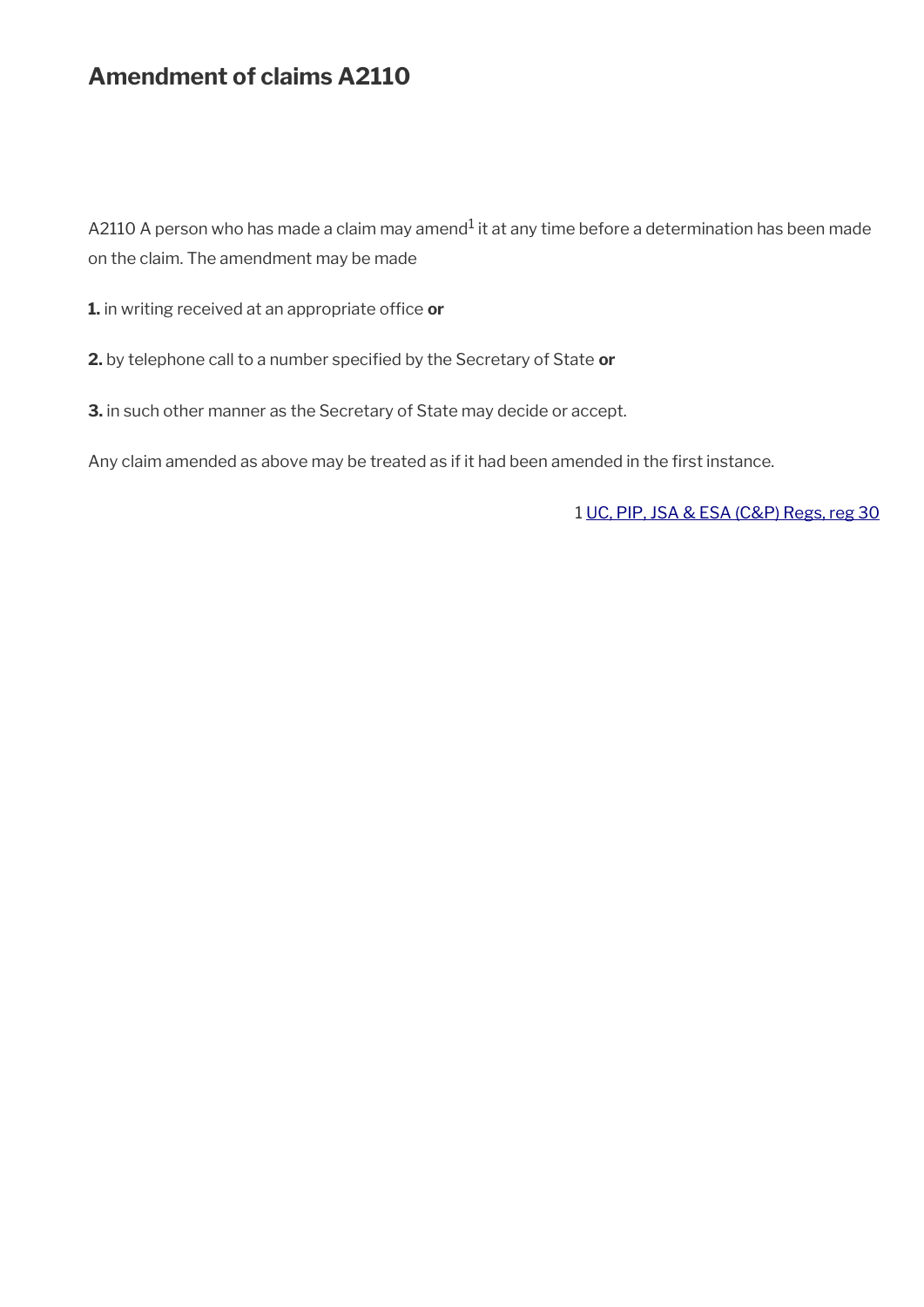## **Amendment of claims A2110**

A2110 A person who has made a claim may amend $^1$  it at any time before a determination has been made on the claim. The amendment may be made

1. in writing received at an appropriate office or

**2.** by telephone call to a number specifed by the Secretary of State **or**

**3.** in such other manner as the Secretary of State may decide or accept.

Any claim amended as above may be treated as if it had been amended in the first instance.

1 [UC, PIP, JSA & ESA \(C&P\) Regs, reg 30](http://www.legislation.gov.uk/uksi/2013/380/regulation/30)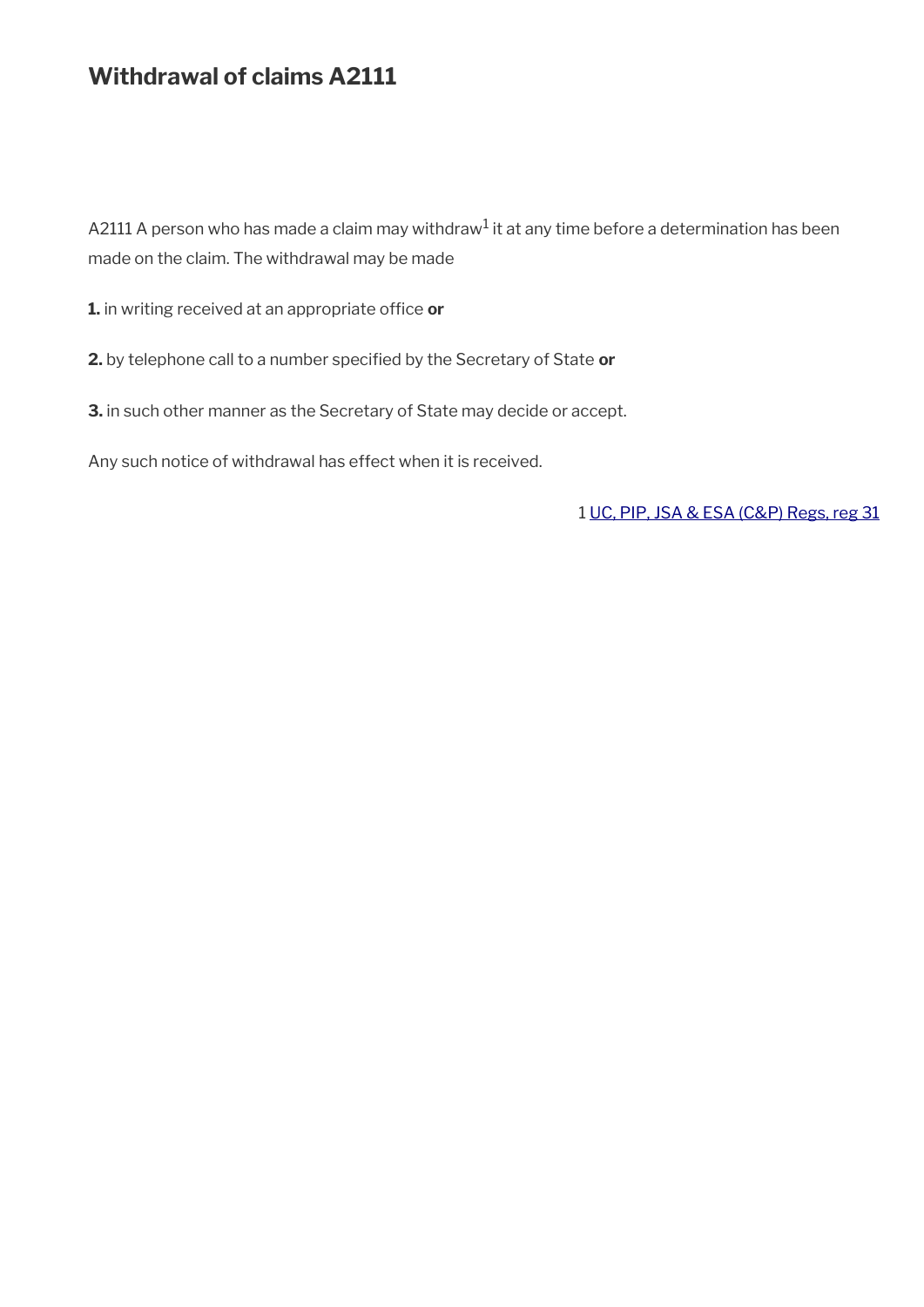## **Withdrawal of claims A2111**

<code>A2111</code> A person who has made a claim may withdraw $^{\rm 1}$  it at any time before a determination has been made on the claim. The withdrawal may be made

1. in writing received at an appropriate office or

**2.** by telephone call to a number specifed by the Secretary of State **or**

**3.** in such other manner as the Secretary of State may decide or accept.

Any such notice of withdrawal has effect when it is received.

1 [UC, PIP, JSA & ESA \(C&P\) Regs, reg 31](http://www.legislation.gov.uk/uksi/2013/380/regulation/31)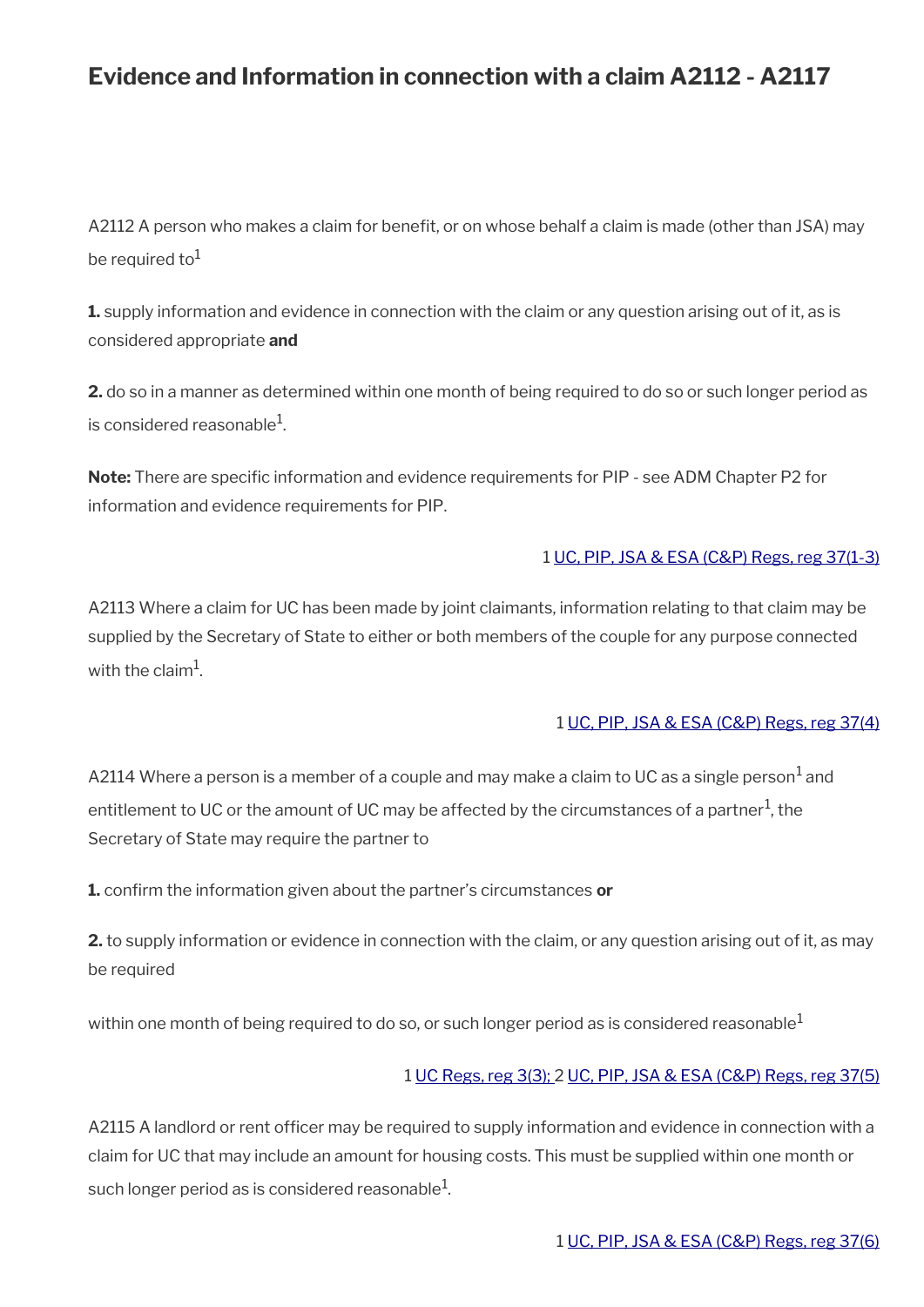## **Evidence and Information in connection with a claim A2112 - A2117**

A2112 A person who makes a claim for benefit, or on whose behalf a claim is made (other than JSA) may be required to $1$ 

**1.** supply information and evidence in connection with the claim or any question arising out of it, as is considered appropriate **and**

**2.** do so in a manner as determined within one month of being required to do so or such longer period as is considered reasonable $^{\rm 1}$ .

Note: There are specific information and evidence requirements for PIP - see ADM Chapter P2 for information and evidence requirements for PIP.

#### 1 [UC, PIP, JSA & ESA \(C&P\) Regs, reg 37\(1-3\)](http://www.legislation.gov.uk/uksi/2013/380/regulation/37)

A2113 Where a claim for UC has been made by joint claimants, information relating to that claim may be supplied by the Secretary of State to either or both members of the couple for any purpose connected with the claim $^{\rm 1}$ .

#### 1 [UC, PIP, JSA & ESA \(C&P\) Regs, reg 37\(4\)](http://www.legislation.gov.uk/uksi/2013/380/regulation/37)

A2114 Where a person is a member of a couple and may make a claim to UC as a single person $^{\rm 1}$  and entitlement to UC or the amount of UC may be affected by the circumstances of a partner $^1$ , the Secretary of State may require the partner to

**1.** confrm the information given about the partner's circumstances **or**

**2.** to supply information or evidence in connection with the claim, or any question arising out of it, as may be required

within one month of being required to do so, or such longer period as is considered reasonable<sup>1</sup>

#### 1 [UC Regs, reg 3\(3\);](http://www.legislation.gov.uk/uksi/2013/376/regulation/3) 2 [UC, PIP, JSA & ESA \(C&P\) Regs, reg 37\(5\)](http://www.legislation.gov.uk/uksi/2013/380/regulation/37)

A2115 A landlord or rent officer may be required to supply information and evidence in connection with a claim for UC that may include an amount for housing costs. This must be supplied within one month or such longer period as is considered reasonable $^1\!$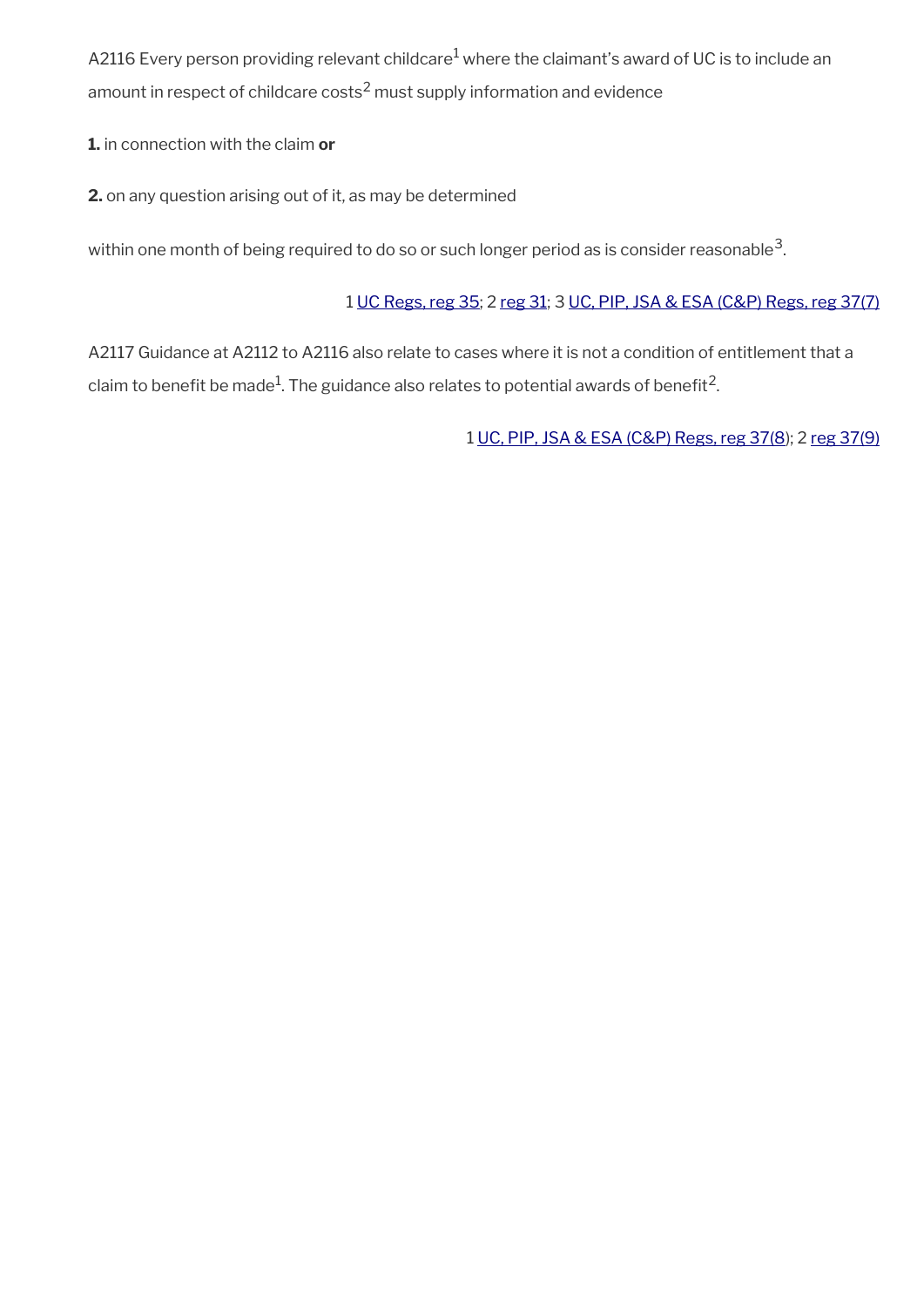A2116 Every person providing relevant childcare $^1$  where the claimant's award of UC is to include an amount in respect of childcare costs $^2$  must supply information and evidence

**1.** in connection with the claim **or**

**2.** on any question arising out of it, as may be determined

within one month of being required to do so or such longer period as is consider reasonable $^3\!$ 

#### 1 [UC Regs, reg 35](http://www.legislation.gov.uk/uksi/2013/376/regulation/35); 2 [reg 31;](http://www.legislation.gov.uk/uksi/2013/376/regulation/31) 3 [UC, PIP, JSA & ESA \(C&P\) Regs, reg 37\(7\)](http://www.legislation.gov.uk/uksi/2013/380/regulation/37)

A2117 Guidance at A2112 to A2116 also relate to cases where it is not a condition of entitlement that a claim to benefit be made $^1$ . The guidance also relates to potential awards of benefit $^2$ .

1 [UC, PIP, JSA & ESA \(C&P\) Regs, reg 37\(8](http://www.legislation.gov.uk/uksi/2013/380/regulation/37)); 2 [reg 37\(9\)](http://www.legislation.gov.uk/uksi/2013/380/regulation/37)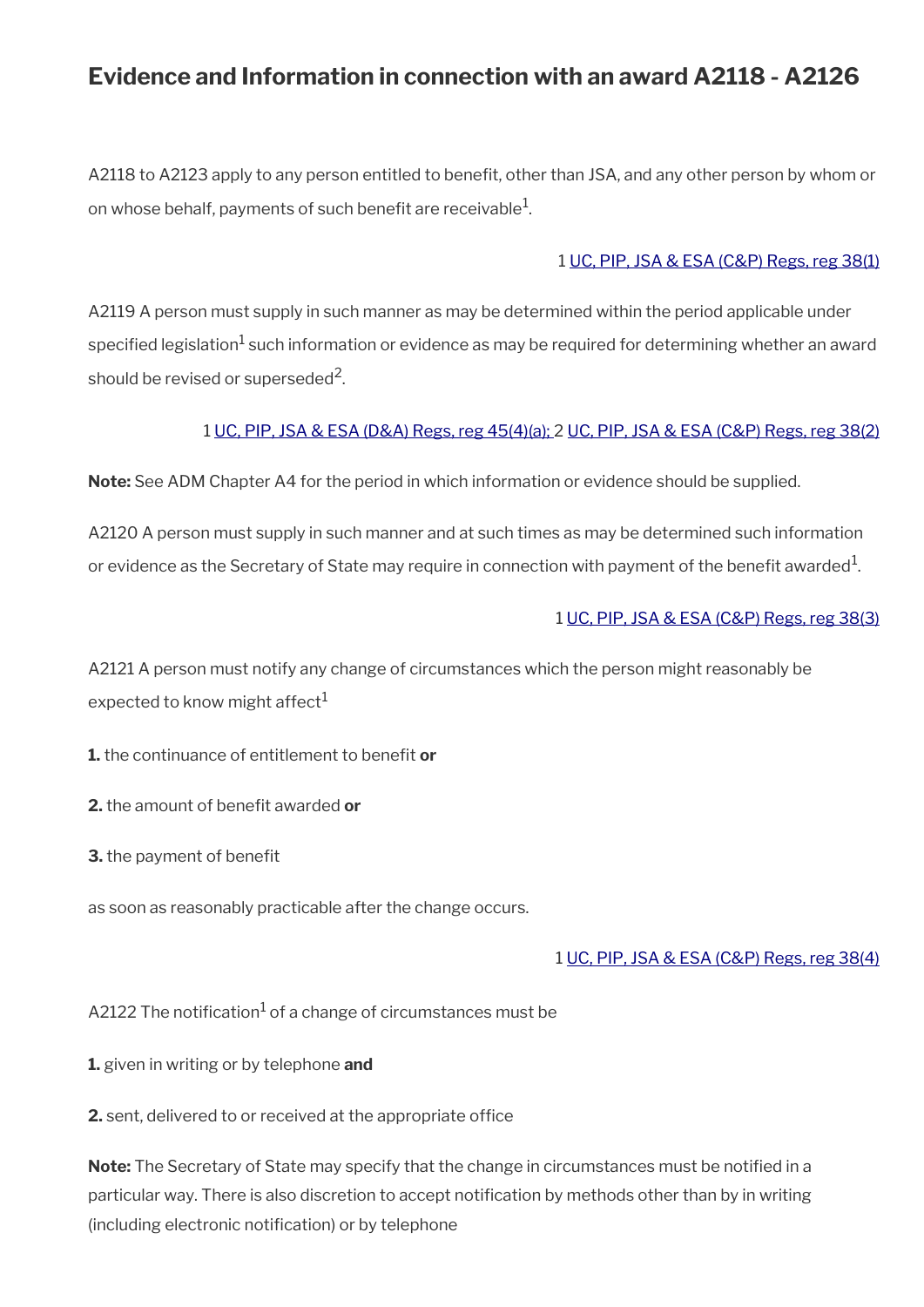## **Evidence and Information in connection with an award A2118 - A2126**

A2118 to A2123 apply to any person entitled to beneft, other than JSA, and any other person by whom or on whose behalf, payments of such benefit are receivable $^{\mathrm{1}}$ .

#### 1 [UC, PIP, JSA & ESA \(C&P\) Regs, reg 38\(1\)](http://www.legislation.gov.uk/uksi/2013/380/regulation/38)

A2119 A person must supply in such manner as may be determined within the period applicable under specified legislation $^1$  such information or evidence as may be required for determining whether an award should be revised or superseded<sup>2</sup>.

#### 1 [UC, PIP, JSA & ESA \(D&A\) Regs, reg 45\(4\)\(a\);](http://www.legislation.gov.uk/uksi/2013/381/regulation/45) 2 [UC, PIP, JSA & ESA \(C&P\) Regs, reg 38\(2\)](https://www.legislation.gov.uk/uksi/2013/380/regulation/38)

**Note:** See ADM Chapter A4 for the period in which information or evidence should be supplied.

A2120 A person must supply in such manner and at such times as may be determined such information or evidence as the Secretary of State may require in connection with payment of the benefit awarded $^1$ .

#### 1 [UC, PIP, JSA & ESA \(C&P\) Regs, reg 38\(3\)](http://www.legislation.gov.uk/uksi/2013/380/regulation/38)

A2121 A person must notify any change of circumstances which the person might reasonably be expected to know might affect $<sup>1</sup>$ </sup>

**1.** the continuance of entitlement to benefit or

**2.** the amount of benefit awarded or

**3.** the payment of benefit

as soon as reasonably practicable after the change occurs.

#### 1 [UC, PIP, JSA & ESA \(C&P\) Regs, reg 38\(4\)](http://www.legislation.gov.uk/uksi/2013/380/regulation/38)

A2122 The notification $^1$  of a change of circumstances must be

**1.** given in writing or by telephone **and**

**2.** sent, delivered to or received at the appropriate office

**Note:** The Secretary of State may specify that the change in circumstances must be notifed in a particular way. There is also discretion to accept notifcation by methods other than by in writing (including electronic notification) or by telephone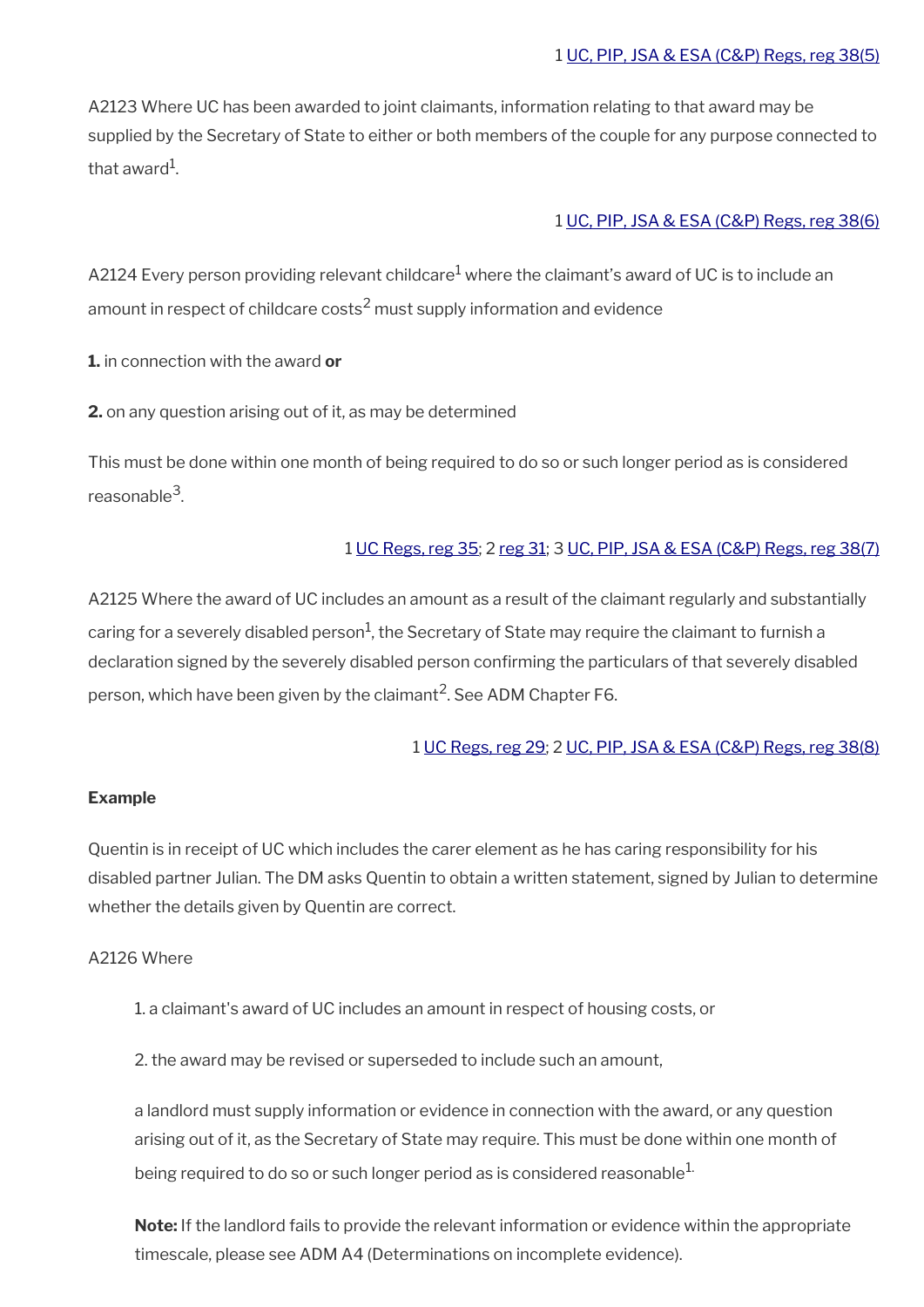A2123 Where UC has been awarded to joint claimants, information relating to that award may be supplied by the Secretary of State to either or both members of the couple for any purpose connected to that award $^1\!\!$  .

#### 1 [UC, PIP, JSA & ESA \(C&P\) Regs, reg 38\(6\)](http://www.legislation.gov.uk/uksi/2013/380/regulation/38)

A2124 Every person providing relevant childcare $^1$  where the claimant's award of UC is to include an amount in respect of childcare costs $^2$  must supply information and evidence

**1.** in connection with the award **or**

**2.** on any question arising out of it, as may be determined

This must be done within one month of being required to do so or such longer period as is considered reasonable<sup>3</sup>.

#### 1 [UC Regs, reg 35](http://www.legislation.gov.uk/uksi/2013/376/regulation/35); 2 [reg 31](http://www.legislation.gov.uk/uksi/2013/376/regulation/31); 3 [UC, PIP, JSA & ESA \(C&P\) Regs, reg 38\(7\)](http://www.legislation.gov.uk/uksi/2013/380/regulation/38)

A2125 Where the award of UC includes an amount as a result of the claimant regularly and substantially caring for a severely disabled person $^1$ , the Secretary of State may require the claimant to furnish a declaration signed by the severely disabled person confrming the particulars of that severely disabled person, which have been given by the claimant $^2$ . See ADM Chapter F6.

#### 1 [UC Regs, reg 29;](http://www.legislation.gov.uk/uksi/2013/376/regulation/29) 2 [UC, PIP, JSA & ESA \(C&P\) Regs, reg 38\(8\)](http://www.legislation.gov.uk/uksi/2013/380/regulation/38)

#### **Example**

Quentin is in receipt of UC which includes the carer element as he has caring responsibility for his disabled partner Julian. The DM asks Quentin to obtain a written statement, signed by Julian to determine whether the details given by Quentin are correct.

#### A2126 Where

- 1. a claimant's award of UC includes an amount in respect of housing costs, or
- 2. the award may be revised or superseded to include such an amount,

a landlord must supply information or evidence in connection with the award, or any question arising out of it, as the Secretary of State may require. This must be done within one month of being required to do so or such longer period as is considered reasonable $^{1}$ .

**Note:** If the landlord fails to provide the relevant information or evidence within the appropriate timescale, please see ADM A4 (Determinations on incomplete evidence).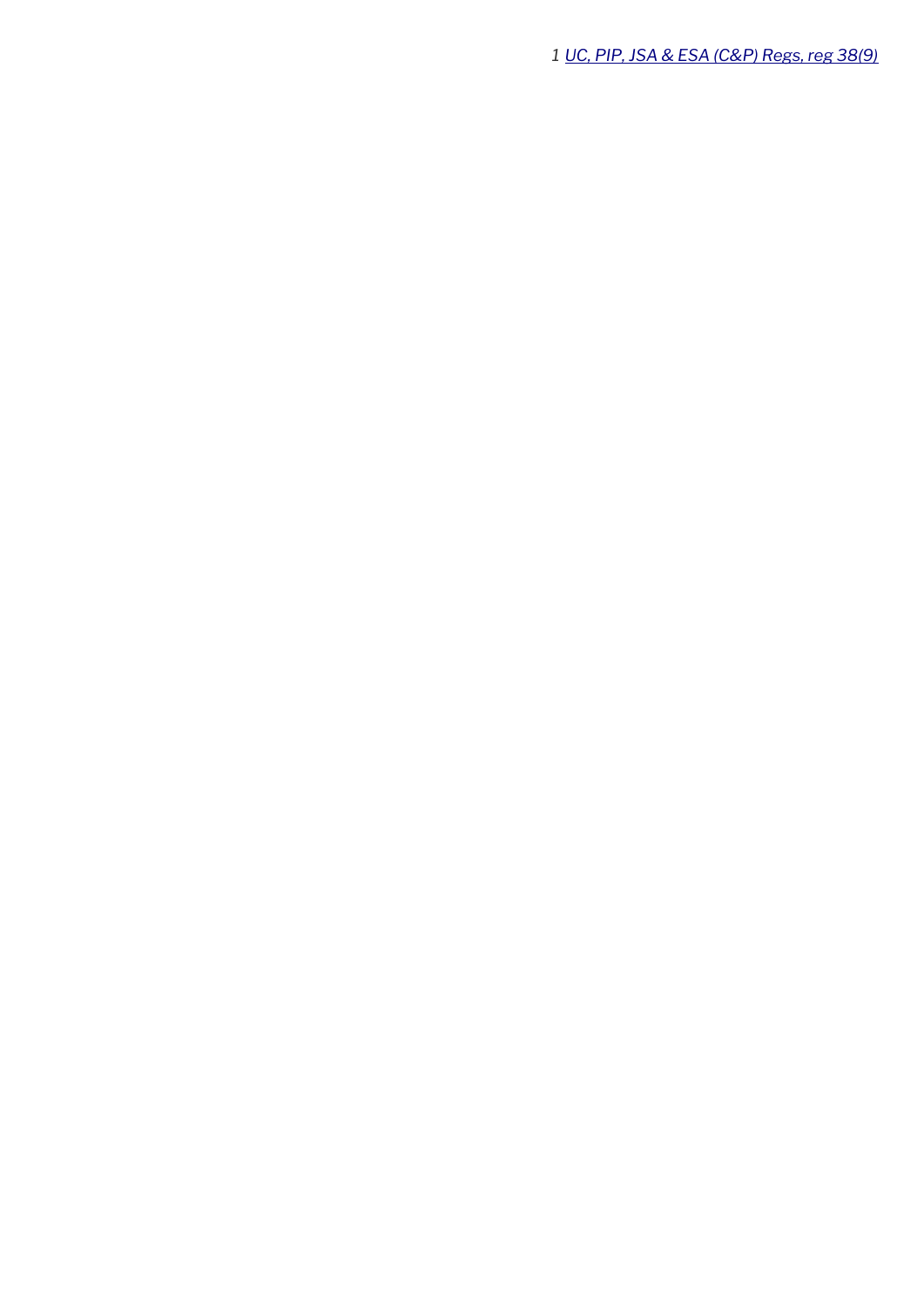*[UC, PIP, JSA & ESA \(C&P\) Regs, reg 38\(9\)](http://www.legislation.gov.uk/uksi/2013/380/regulation/38)*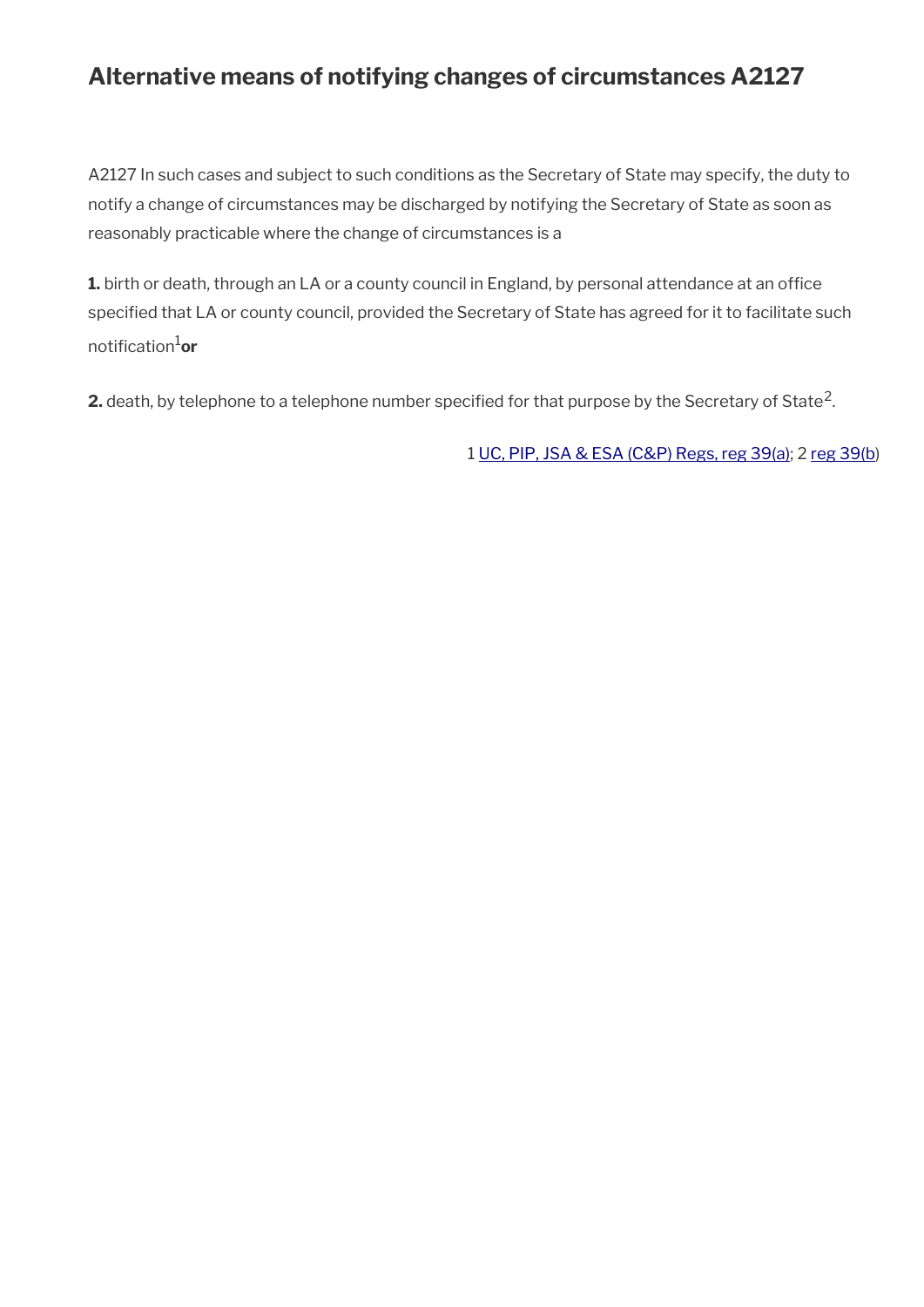## **Alternative means of notifying changes of circumstances A2127**

A2127 In such cases and subject to such conditions as the Secretary of State may specify, the duty to notify a change of circumstances may be discharged by notifying the Secretary of State as soon as reasonably practicable where the change of circumstances is a

1. birth or death, through an LA or a county council in England, by personal attendance at an office specifed that LA or county council, provided the Secretary of State has agreed for it to facilitate such notifcation1**or**

**2.** death, by telephone to a telephone number specified for that purpose by the Secretary of State<sup>2</sup>.

1 [UC, PIP, JSA & ESA \(C&P\) Regs, reg 39\(a\)](http://www.legislation.gov.uk/uksi/2013/380/regulation/39); 2 [reg 39\(b](http://www.legislation.gov.uk/uksi/2013/380/regulation/39))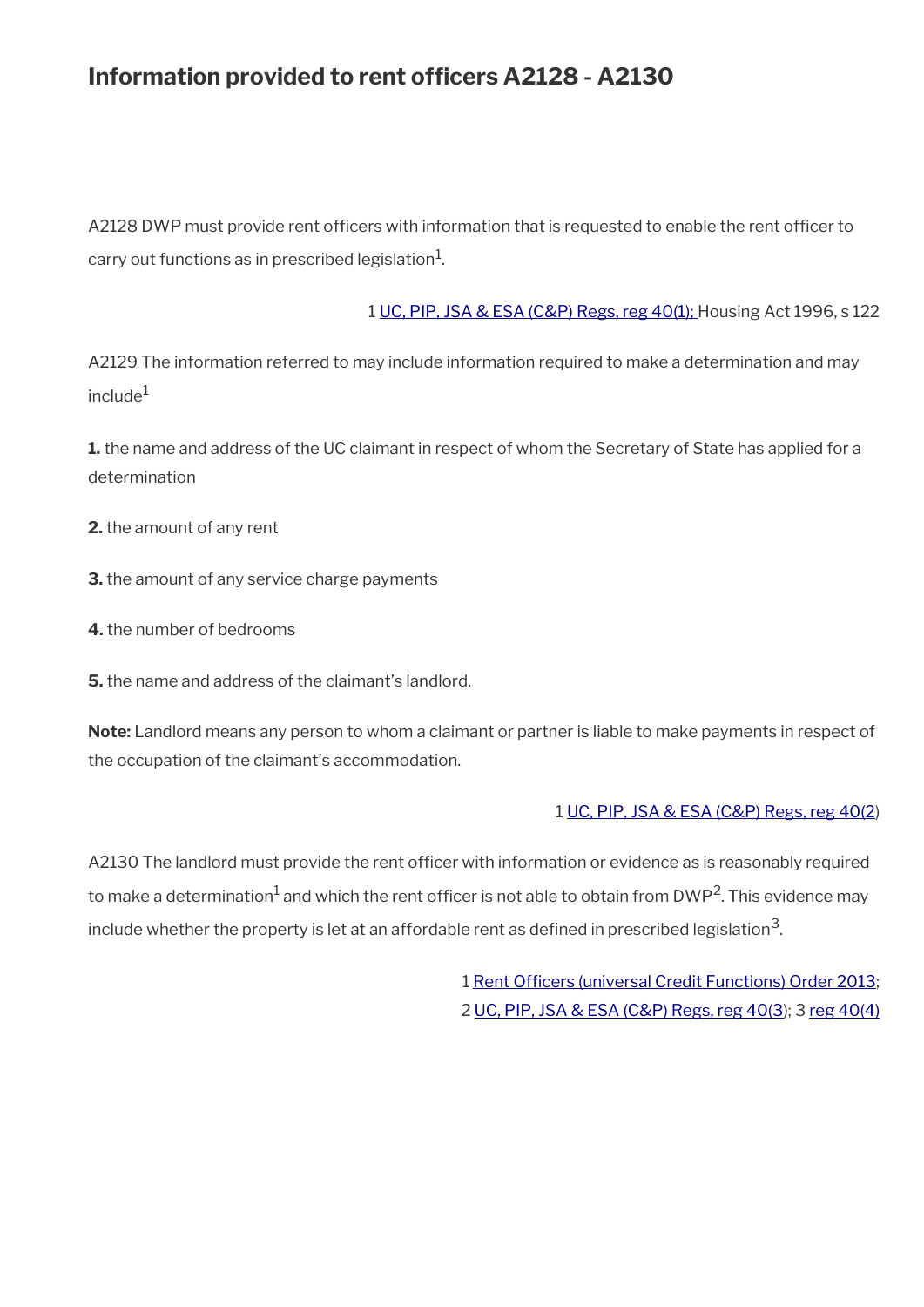## **Information provided to rent officers A2128 - A2130**

A2128 DWP must provide rent officers with information that is requested to enable the rent officer to carry out functions as in prescribed legislation $^1\!\!$ .

1 [UC, PIP, JSA & ESA \(C&P\) Regs, reg 40\(1\); H](http://www.legislation.gov.uk/uksi/2013/380/regulation/40)ousing Act 1996, s 122

A2129 The information referred to may include information required to make a determination and may  $include^1$ 

**1.** the name and address of the UC claimant in respect of whom the Secretary of State has applied for a determination

- **2.** the amount of any rent
- **3.** the amount of any service charge payments
- **4.** the number of bedrooms
- **5.** the name and address of the claimant's landlord.

**Note:** Landlord means any person to whom a claimant or partner is liable to make payments in respect of the occupation of the claimant's accommodation.

#### 1 [UC, PIP, JSA & ESA \(C&P\) Regs, reg 40\(2](http://www.legislation.gov.uk/uksi/2013/380/regulation/40))

A2130 The landlord must provide the rent officer with information or evidence as is reasonably required to make a determination $^1$  and which the rent officer is not able to obtain from DWP<sup>2</sup>. This evidence may include whether the property is let at an affordable rent as defined in prescribed legislation $^{\mathsf{3}}$ .

> 1 Rent Officers (universal Credit Functions) Order 2013; 2 [UC, PIP, JSA & ESA \(C&P\) Regs, reg 40\(3\)](http://www.legislation.gov.uk/uksi/2013/380/regulation/40); 3 [reg 40\(4\)](http://www.legislation.gov.uk/uksi/2013/380/regulation/40)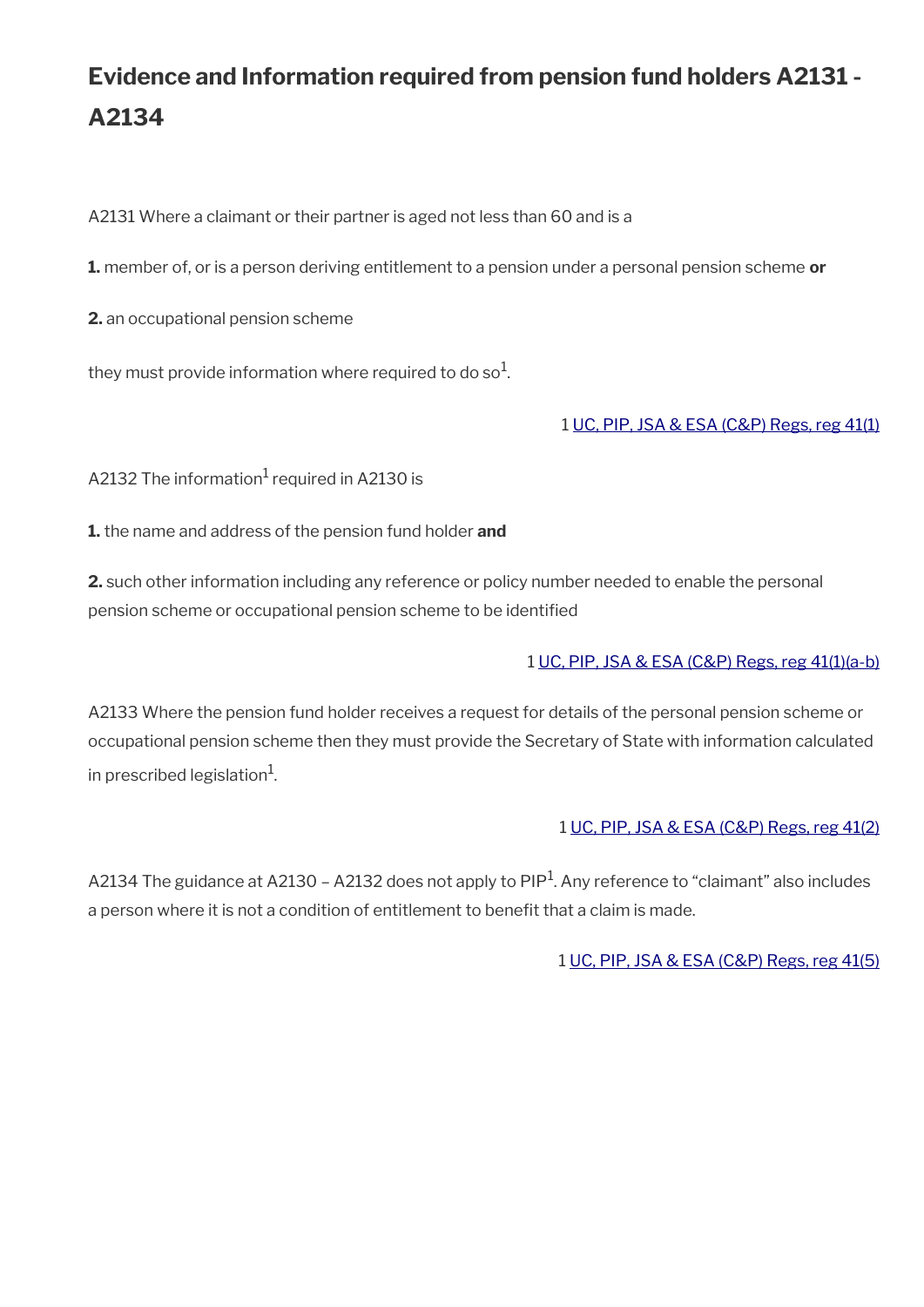# **Evidence and Information required from pension fund holders A2131 - A2134**

A2131 Where a claimant or their partner is aged not less than 60 and is a

**1.** member of, or is a person deriving entitlement to a pension under a personal pension scheme **or**

**2.** an occupational pension scheme

they must provide information where required to do so $^{\rm 1}$ .

#### 1 [UC, PIP, JSA & ESA \(C&P\) Regs, reg 41\(1\)](http://www.legislation.gov.uk/uksi/2013/380/regulation/41)

A2132 The information $^{\rm 1}$  required in A2130 is

**1.** the name and address of the pension fund holder **and**

**2.** such other information including any reference or policy number needed to enable the personal pension scheme or occupational pension scheme to be identifed

#### 1 [UC, PIP, JSA & ESA \(C&P\) Regs, reg 41\(1\)\(a-b\)](http://www.legislation.gov.uk/uksi/2013/380/regulation/41)

A2133 Where the pension fund holder receives a request for details of the personal pension scheme or occupational pension scheme then they must provide the Secretary of State with information calculated in prescribed legislation $^{\rm 1}$ .

#### 1 [UC, PIP, JSA & ESA \(C&P\) Regs, reg 41\(2\)](http://www.legislation.gov.uk/uksi/2013/380/regulation/41)

A2134 The guidance at A2130 - A2132 does not apply to PIP<sup>1</sup>. Any reference to "claimant" also includes a person where it is not a condition of entitlement to beneft that a claim is made.

1 [UC, PIP, JSA & ESA \(C&P\) Regs, reg 41\(5\)](http://www.legislation.gov.uk/uksi/2013/380/regulation/41)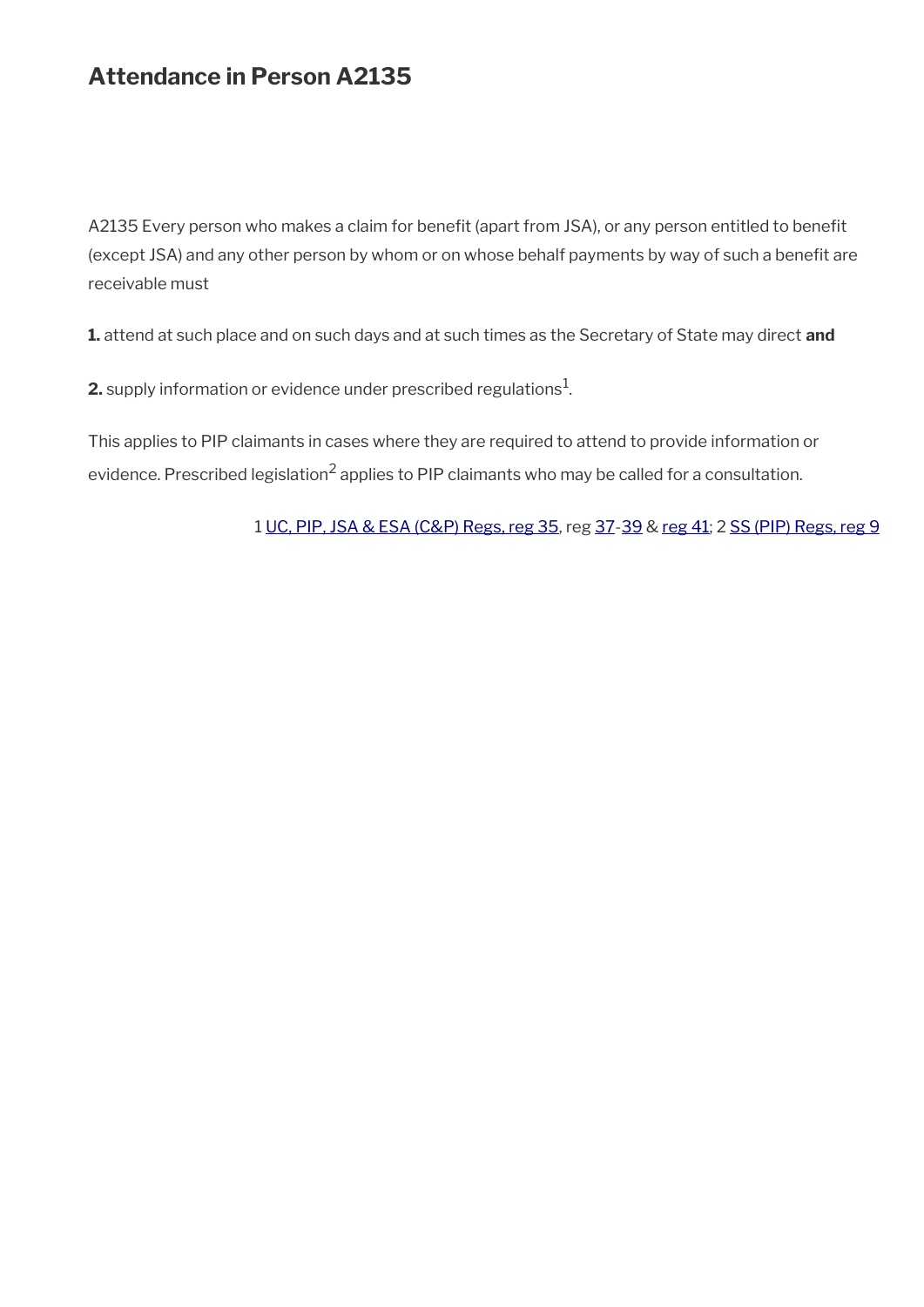## **Attendance in Person A2135**

A2135 Every person who makes a claim for benefit (apart from JSA), or any person entitled to benefit (except JSA) and any other person by whom or on whose behalf payments by way of such a benefit are receivable must

**1.** attend at such place and on such days and at such times as the Secretary of State may direct **and**

**2.** supply information or evidence under prescribed regulations $^1$ .

This applies to PIP claimants in cases where they are required to attend to provide information or evidence. Prescribed legislation<sup>2</sup> applies to PIP claimants who may be called for a consultation.

1 [UC, PIP, JSA & ESA \(C&P\) Regs, reg 35](http://www.legislation.gov.uk/uksi/2013/380/regulation/35), reg [37](http://www.legislation.gov.uk/uksi/2013/380/regulation/37)[-39](http://www.legislation.gov.uk/uksi/2013/380/regulation/39) & [reg 41](http://www.legislation.gov.uk/uksi/2013/380/regulation/41); 2 [SS \(PIP\) Regs, reg 9](http://www.legislation.gov.uk/uksi/2013/377/regulation/9)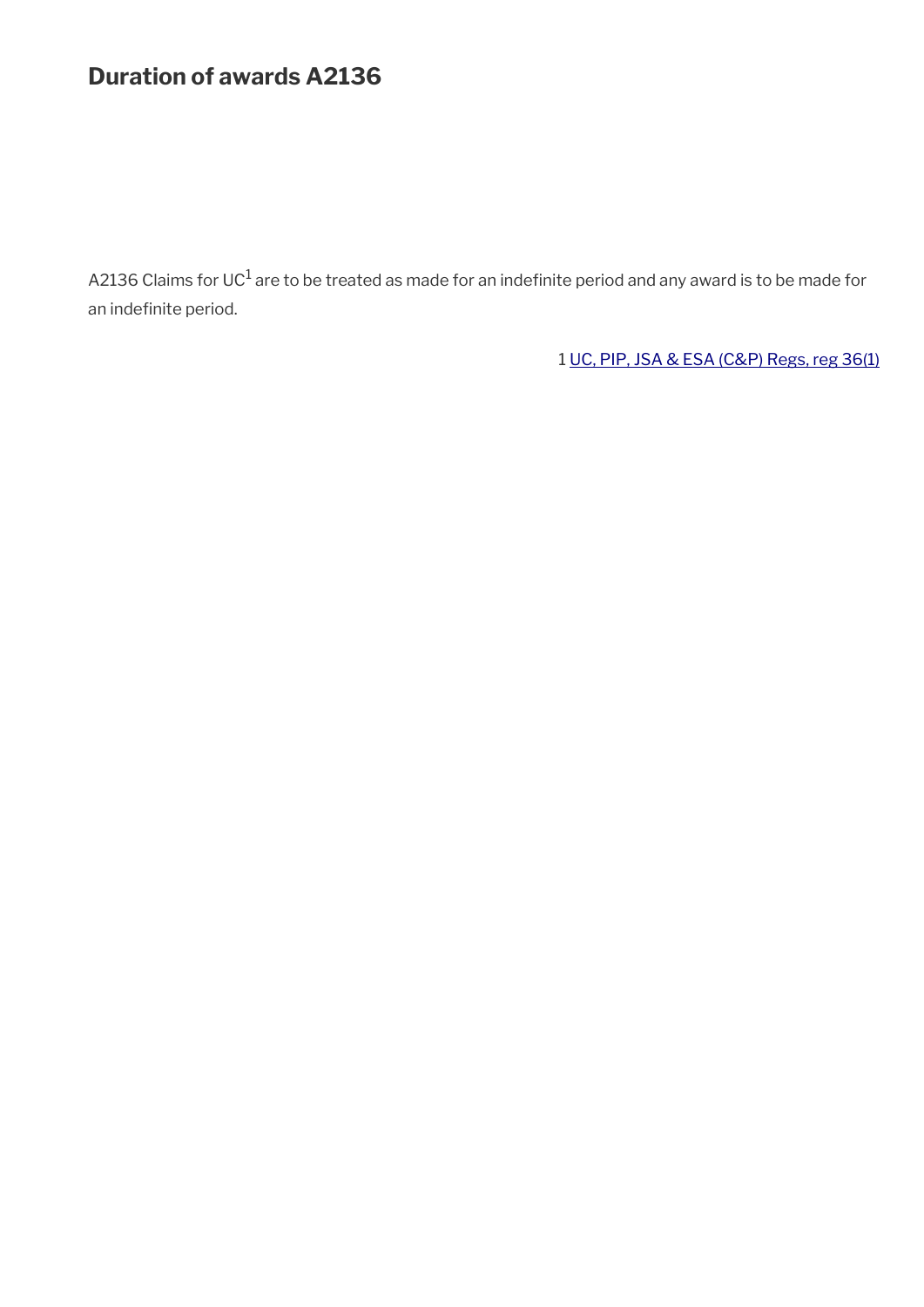## **Duration of awards A2136**

A2136 Claims for UC $^1$  are to be treated as made for an indefinite period and any award is to be made for an indefinite period.

1 [UC, PIP, JSA & ESA \(C&P\) Regs, reg 36\(1\)](http://www.legislation.gov.uk/uksi/2013/380/regulation/36)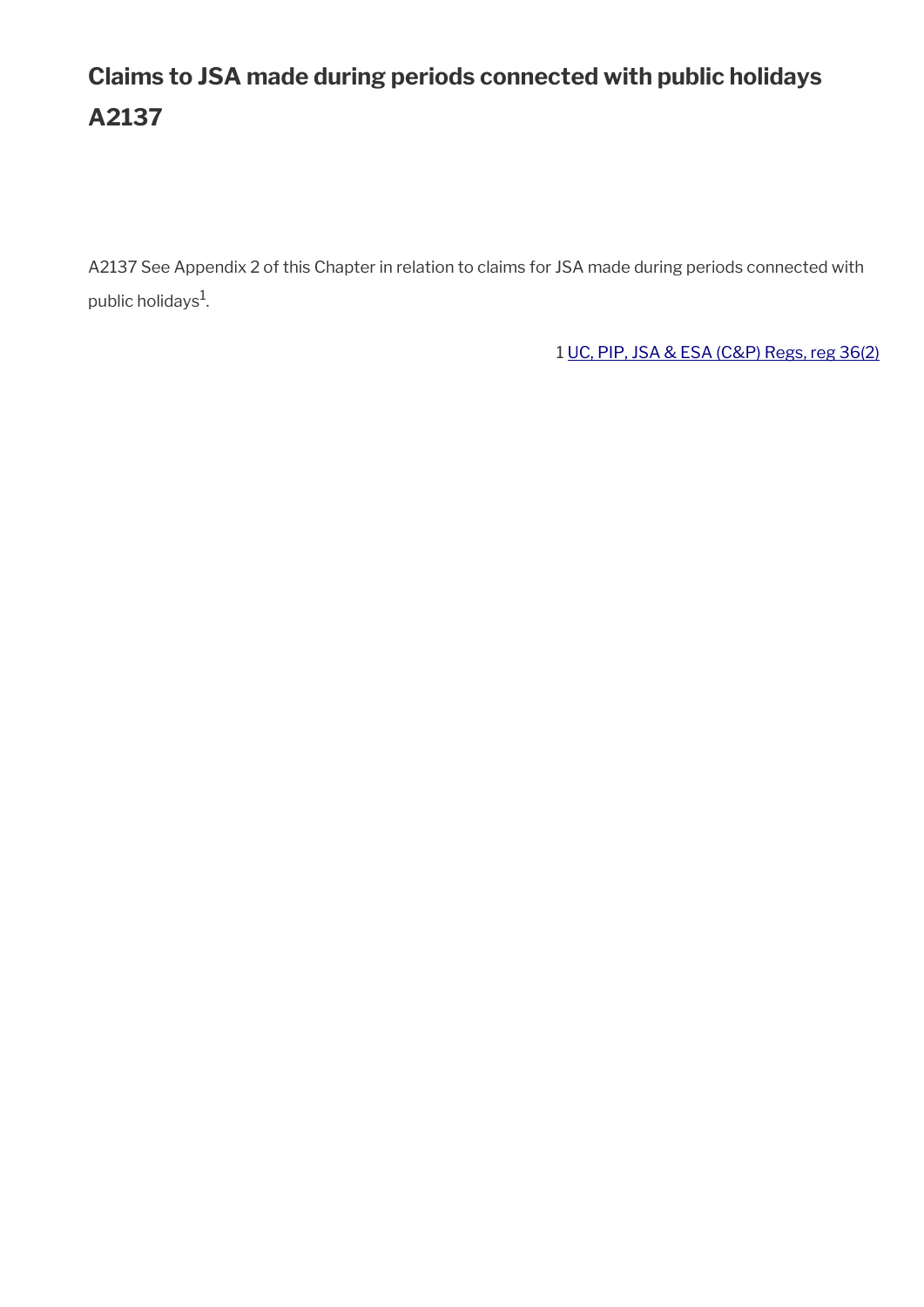# **Claims to JSA made during periods connected with public holidays A2137**

A2137 See Appendix 2 of this Chapter in relation to claims for JSA made during periods connected with public holidays $^1$ .

1 [UC, PIP, JSA & ESA \(C&P\) Regs, reg 36\(2\)](http://www.legislation.gov.uk/uksi/2013/380/regulation/36)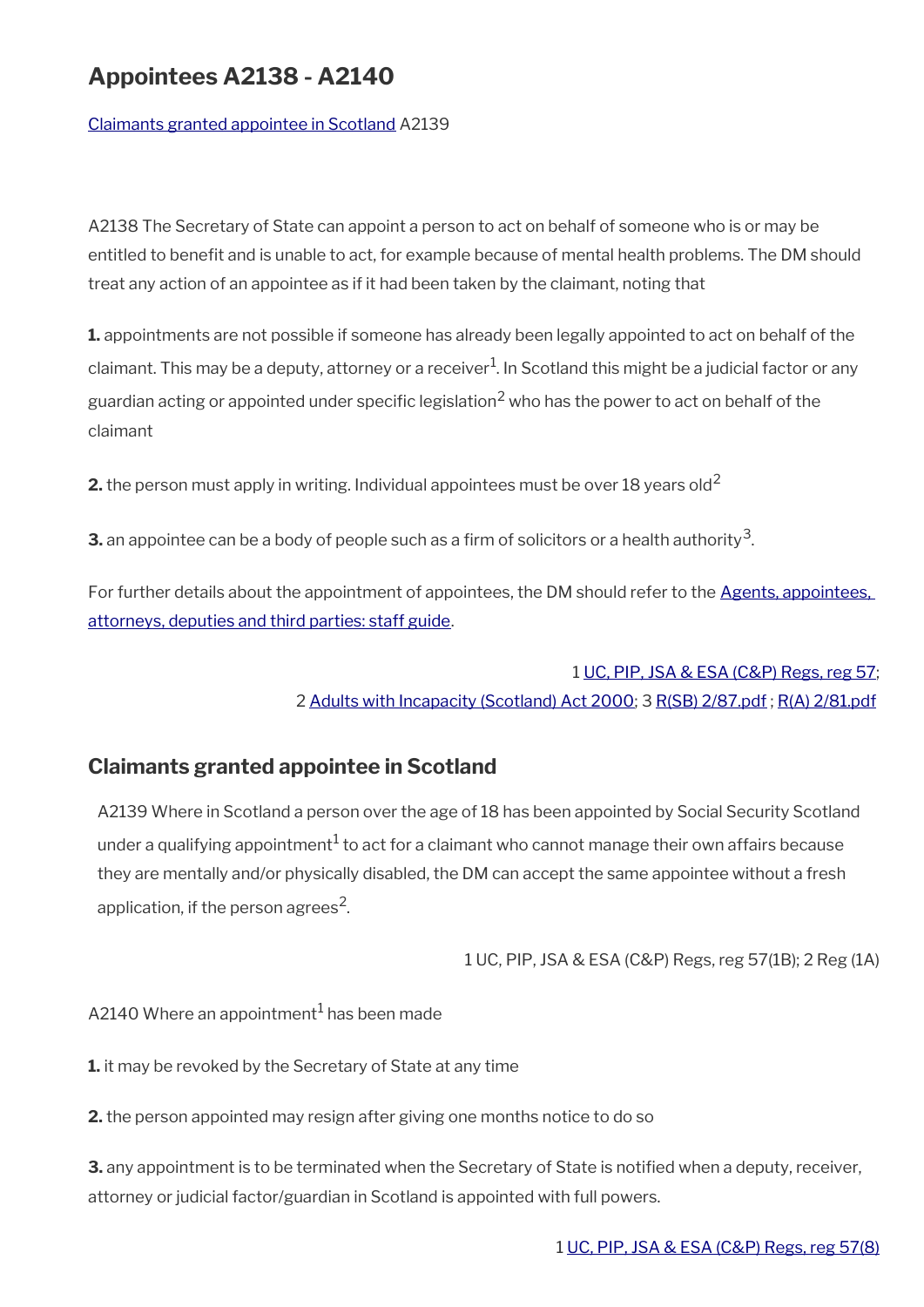## **Appointees A2138 - A2140**

[Claimants granted appointee in Scotland](#page-50-0) A2139

A2138 The Secretary of State can appoint a person to act on behalf of someone who is or may be entitled to beneft and is unable to act, for example because of mental health problems. The DM should treat any action of an appointee as if it had been taken by the claimant, noting that

**1.** appointments are not possible if someone has already been legally appointed to act on behalf of the claimant. This may be a deputy, attorney or a receiver $^1$ . In Scotland this might be a judicial factor or any guardian acting or appointed under specific legislation $^2$  who has the power to act on behalf of the claimant

**2.** the person must apply in writing. Individual appointees must be over 18 years old<sup>2</sup>

 ${\bf 3.}$  an appointee can be a body of people such as a firm of solicitors or a health authority $^3$ .

For further details about the appointment of appointees, the DM should refer to the [Agents, appointees,](https://www.gov.uk/government/publications/procedures-for-dealing-with-agents-appointees-attorneys-deputies-and-third-parties)  [attorneys, deputies and third parties: staff guide.](https://www.gov.uk/government/publications/procedures-for-dealing-with-agents-appointees-attorneys-deputies-and-third-parties)

### 1 [UC, PIP, JSA & ESA \(C&P\) Regs, reg 57;](http://www.legislation.gov.uk/uksi/2013/380/regulation/57) 2 [Adults with Incapacity \(Scotland\) Act 2000](http://www.legislation.gov.uk/asp/2000/4/contents); 3 [R\(SB\) 2/87.pdf](../file/877458/download/R%2528SB%2529%25202%252F87.pdf) ; [R\(A\) 2/81.pdf](../file/877462/download/R%2528A%2529%25202%252F81.pdf)

### <span id="page-50-0"></span>**Claimants granted appointee in Scotland**

A2139 Where in Scotland a person over the age of 18 has been appointed by Social Security Scotland under a qualifying appointment $^1$  to act for a claimant who cannot manage their own affairs because they are mentally and/or physically disabled, the DM can accept the same appointee without a fresh application, if the person agrees<sup>2</sup>.

1 UC, PIP, JSA & ESA (C&P) Regs, reg 57(1B); 2 Reg (1A)

A2140 Where an appointment $^{\rm 1}$  has been made

**1.** it may be revoked by the Secretary of State at any time

**2.** the person appointed may resign after giving one months notice to do so

**3.** any appointment is to be terminated when the Secretary of State is notified when a deputy, receiver, attorney or judicial factor/guardian in Scotland is appointed with full powers.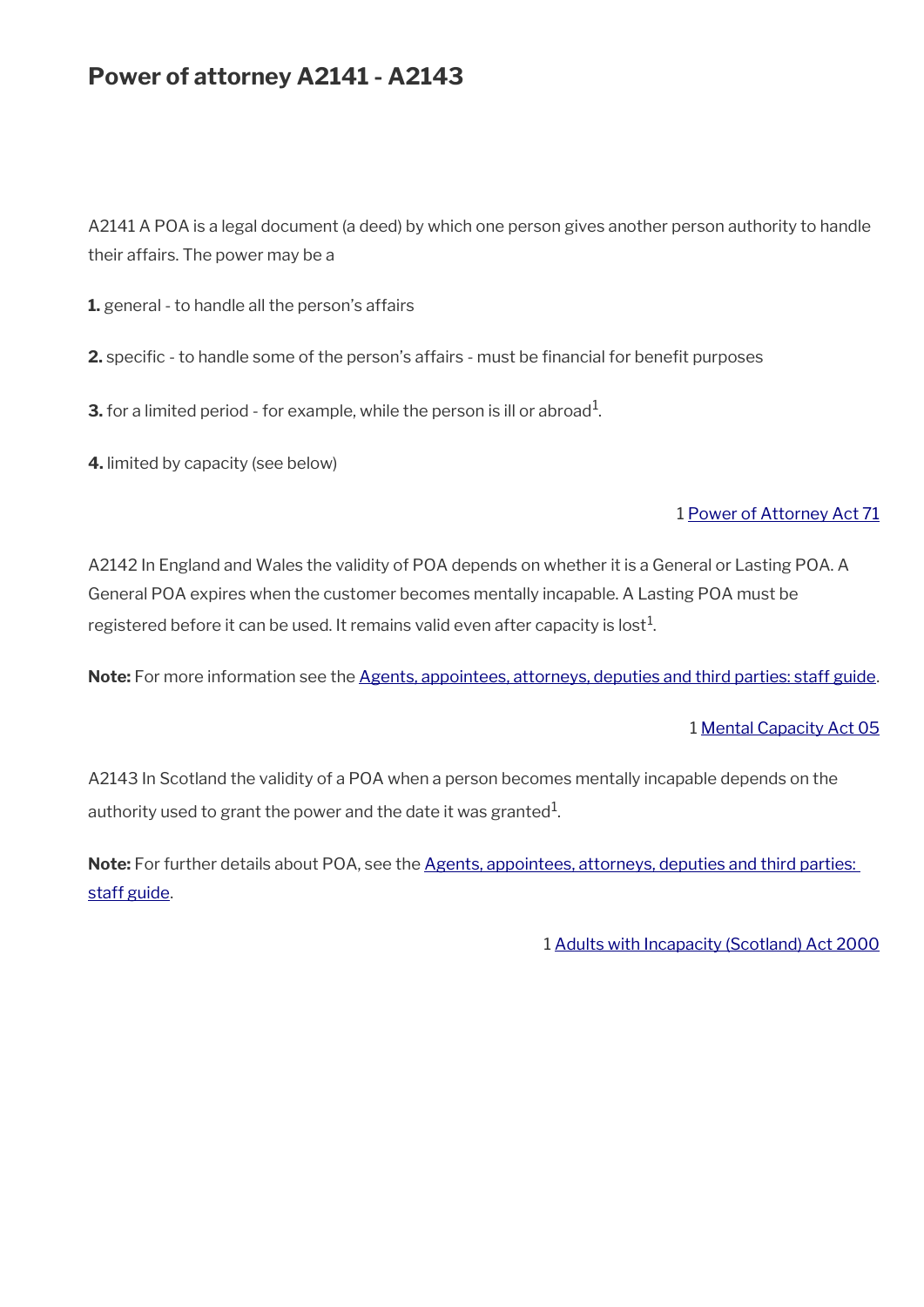## **Power of attorney A2141 - A2143**

A2141 A POA is a legal document (a deed) by which one person gives another person authority to handle their affairs. The power may be a

**1.** general - to handle all the person's affairs

**2.** specific - to handle some of the person's affairs - must be financial for benefit purposes

**3.** for a limited period - for example, while the person is ill or abroad $^1$ .

**4.** limited by capacity (see below)

#### 1 [Power of Attorney Act 71](http://www.legislation.gov.uk/ukpga/1971/27/contents)

A2142 In England and Wales the validity of POA depends on whether it is a General or Lasting POA. A General POA expires when the customer becomes mentally incapable. A Lasting POA must be registered before it can be used. It remains valid even after capacity is lost $^1\!$ 

Note: For more information see the [Agents, appointees, attorneys, deputies and third parties: staff guide.](https://www.gov.uk/government/publications/procedures-for-dealing-with-agents-appointees-attorneys-deputies-and-third-parties)

#### 1 [Mental Capacity Act 05](http://www.legislation.gov.uk/ukpga/2005/9/contents)

A2143 In Scotland the validity of a POA when a person becomes mentally incapable depends on the authority used to grant the power and the date it was granted $^1\!\!$  .

Note: For further details about POA, see the Agents, appointees, attorneys, deputies and third parties: [staff guide.](https://www.gov.uk/government/publications/procedures-for-dealing-with-agents-appointees-attorneys-deputies-and-third-parties)

1 [Adults with Incapacity \(Scotland\) Act 2000](http://www.legislation.gov.uk/asp/2000/4/contents)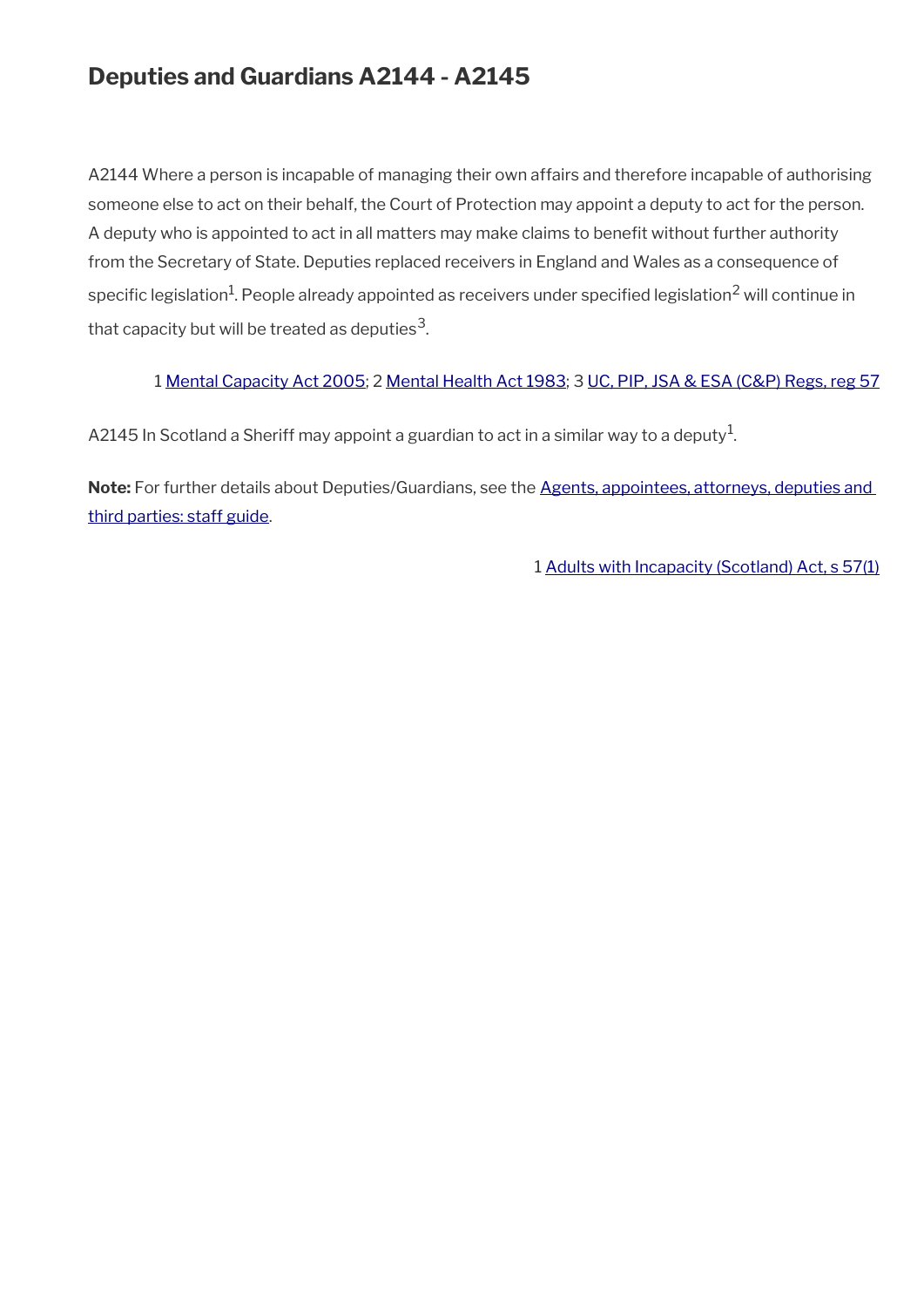## **Deputies and Guardians A2144 - A2145**

A2144 Where a person is incapable of managing their own affairs and therefore incapable of authorising someone else to act on their behalf, the Court of Protection may appoint a deputy to act for the person. A deputy who is appointed to act in all matters may make claims to benefit without further authority from the Secretary of State. Deputies replaced receivers in England and Wales as a consequence of specific legislation $^1$ . People already appointed as receivers under specified legislation $^2$  will continue in that capacity but will be treated as deputies $^{\rm 3}$ .

#### 1 [Mental Capacity Act 2005;](http://www.legislation.gov.uk/ukpga/2005/9/contents) 2 [Mental Health Act 1983;](http://www.legislation.gov.uk/ukpga/1983/20/contents) 3 [UC, PIP, JSA & ESA \(C&P\) Regs, reg 57](http://www.legislation.gov.uk/uksi/2013/380/regulation/57)

A2145 In Scotland a Sheriff may appoint a guardian to act in a similar way to a deputy $^{\mathrm{1}}$ .

Note: For further details about Deputies/Guardians, see the Agents, appointees, attorneys, deputies and [third parties: staff guide](https://www.gov.uk/government/publications/procedures-for-dealing-with-agents-appointees-attorneys-deputies-and-third-parties).

1 [Adults with Incapacity \(Scotland\) Act, s 57\(1\)](http://www.legislation.gov.uk/asp/2000/4/section/57)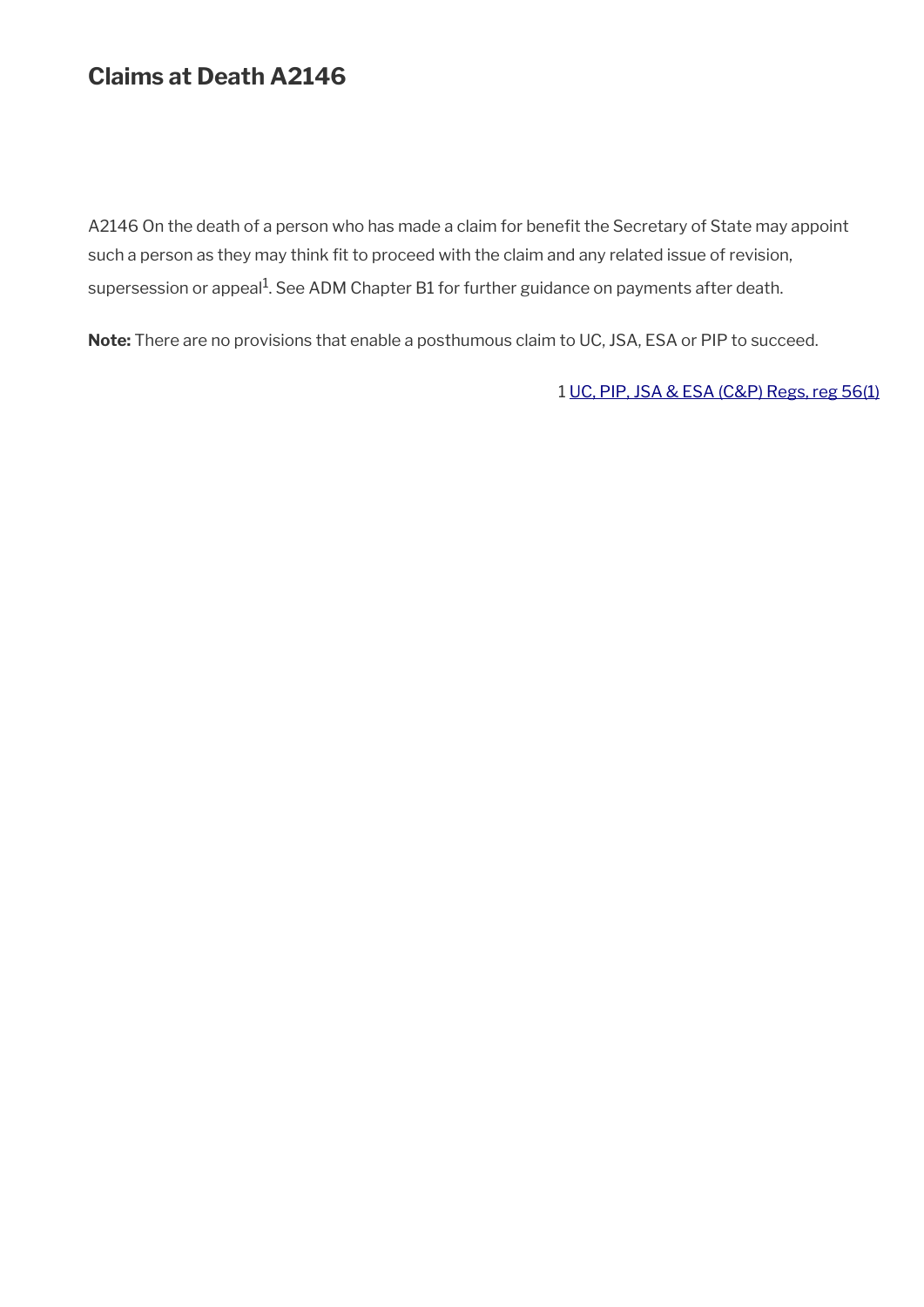## **Claims at Death A2146**

A2146 On the death of a person who has made a claim for benefit the Secretary of State may appoint such a person as they may think fit to proceed with the claim and any related issue of revision, supersession or appeal<sup>1</sup>. See ADM Chapter B1 for further guidance on payments after death.

**Note:** There are no provisions that enable a posthumous claim to UC, JSA, ESA or PIP to succeed.

1 [UC, PIP, JSA & ESA \(C&P\) Regs, reg 56\(1\)](http://www.legislation.gov.uk/uksi/2013/380/regulation/56)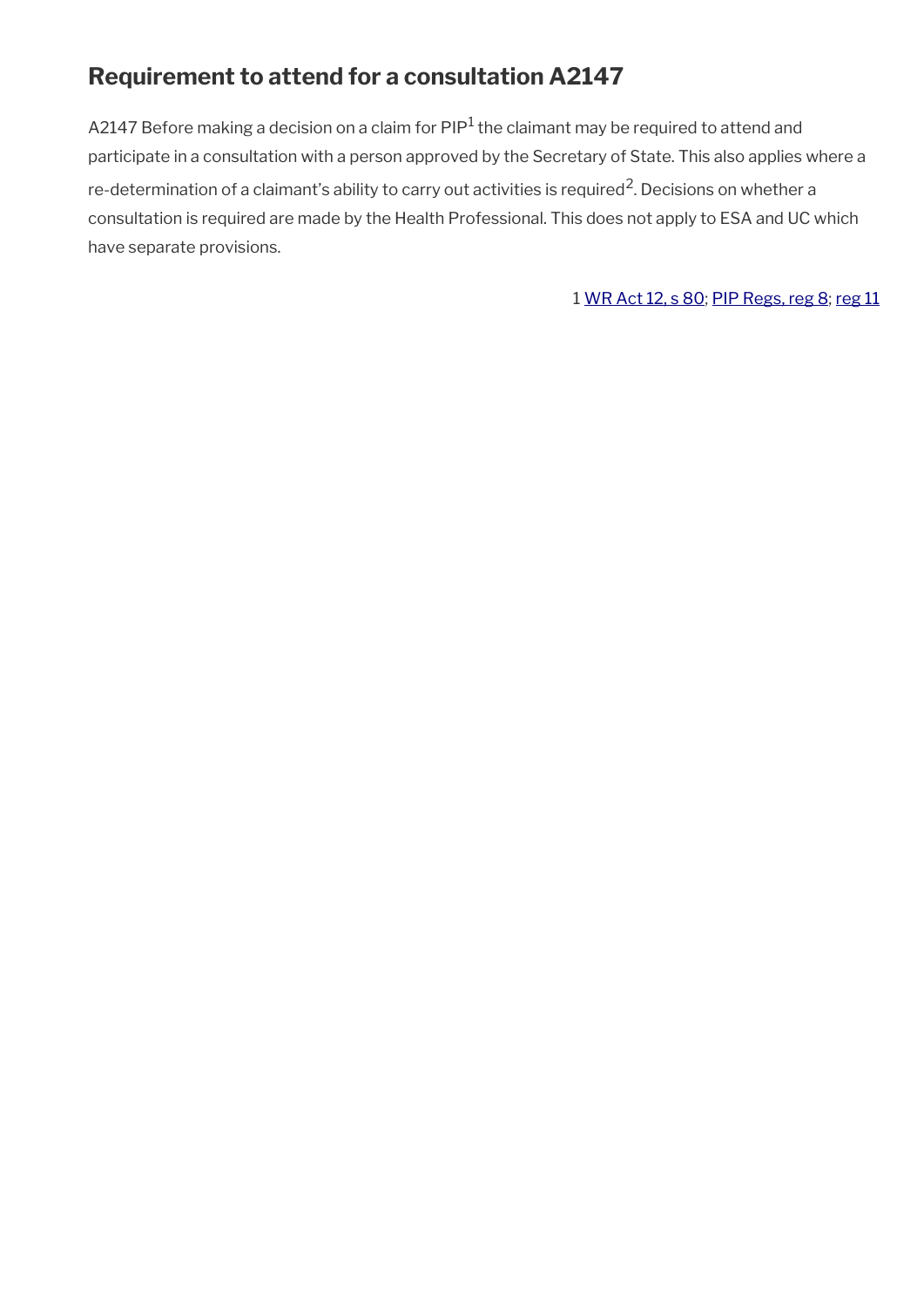## **Requirement to attend for a consultation A2147**

A2147 Before making a decision on a claim for PIP $^1$  the claimant may be required to attend and participate in a consultation with a person approved by the Secretary of State. This also applies where a re-determination of a claimant's ability to carry out activities is required<sup>2</sup>. Decisions on whether a consultation is required are made by the Health Professional. This does not apply to ESA and UC which have separate provisions.

1 [WR Act 12, s 80](http://www.legislation.gov.uk/ukpga/2012/5/section/80); [PIP Regs, reg 8](http://www.legislation.gov.uk/uksi/2013/377/regulation/8); [reg 11](http://www.legislation.gov.uk/uksi/2013/377/regulation/11)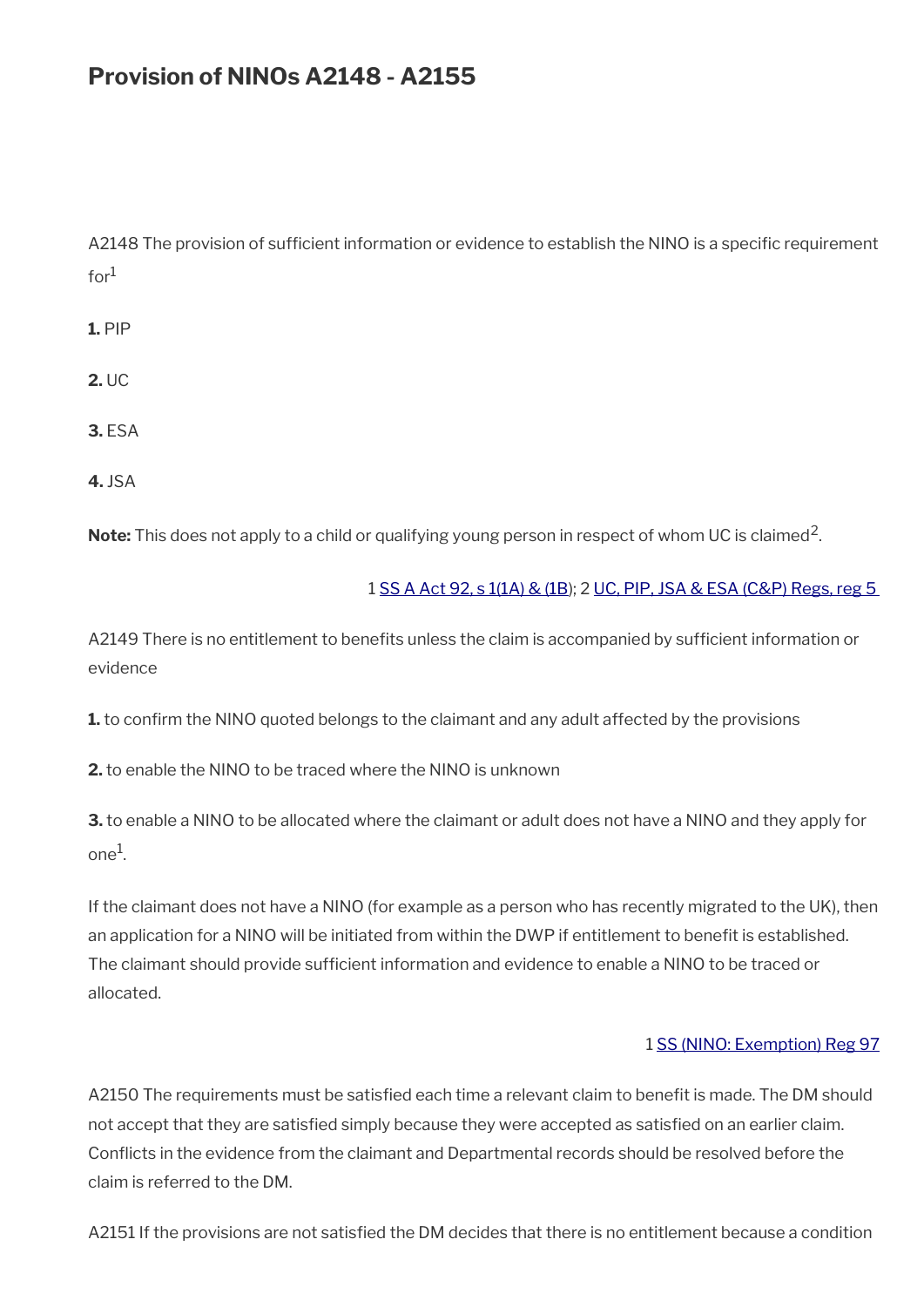## **Provision of NINOs A2148 - A2155**

A2148 The provision of sufficient information or evidence to establish the NINO is a specific requirement  $for<sup>1</sup>$ 

**1.** PIP

**2.** UC

**3.** ESA

**4.** JSA

**Note:** This does not apply to a child or qualifying young person in respect of whom UC is claimed<sup>2</sup>.

#### 1 [SS A Act 92, s 1\(1A\) & \(1B](http://www.legislation.gov.uk/ukpga/1992/5/contents)); 2 [UC, PIP, JSA & ESA \(C&P\) Regs, reg 5](http://www.legislation.gov.uk/uksi/2013/380/regulation/5)

A2149 There is no entitlement to benefits unless the claim is accompanied by sufficient information or evidence

**1.** to confirm the NINO quoted belongs to the claimant and any adult affected by the provisions

**2.** to enable the NINO to be traced where the NINO is unknown

**3.** to enable a NINO to be allocated where the claimant or adult does not have a NINO and they apply for one $^1$ .

If the claimant does not have a NINO (for example as a person who has recently migrated to the UK), then an application for a NINO will be initiated from within the DWP if entitlement to benefit is established. The claimant should provide sufficient information and evidence to enable a NINO to be traced or allocated.

#### 1 [SS \(NINO: Exemption\) Reg 97](http://www.legislation.gov.uk/uksi/1997/2676/contents/made)

A2150 The requirements must be satisfied each time a relevant claim to benefit is made. The DM should not accept that they are satisfed simply because they were accepted as satisfed on an earlier claim. Conficts in the evidence from the claimant and Departmental records should be resolved before the claim is referred to the DM.

A2151 If the provisions are not satisfed the DM decides that there is no entitlement because a condition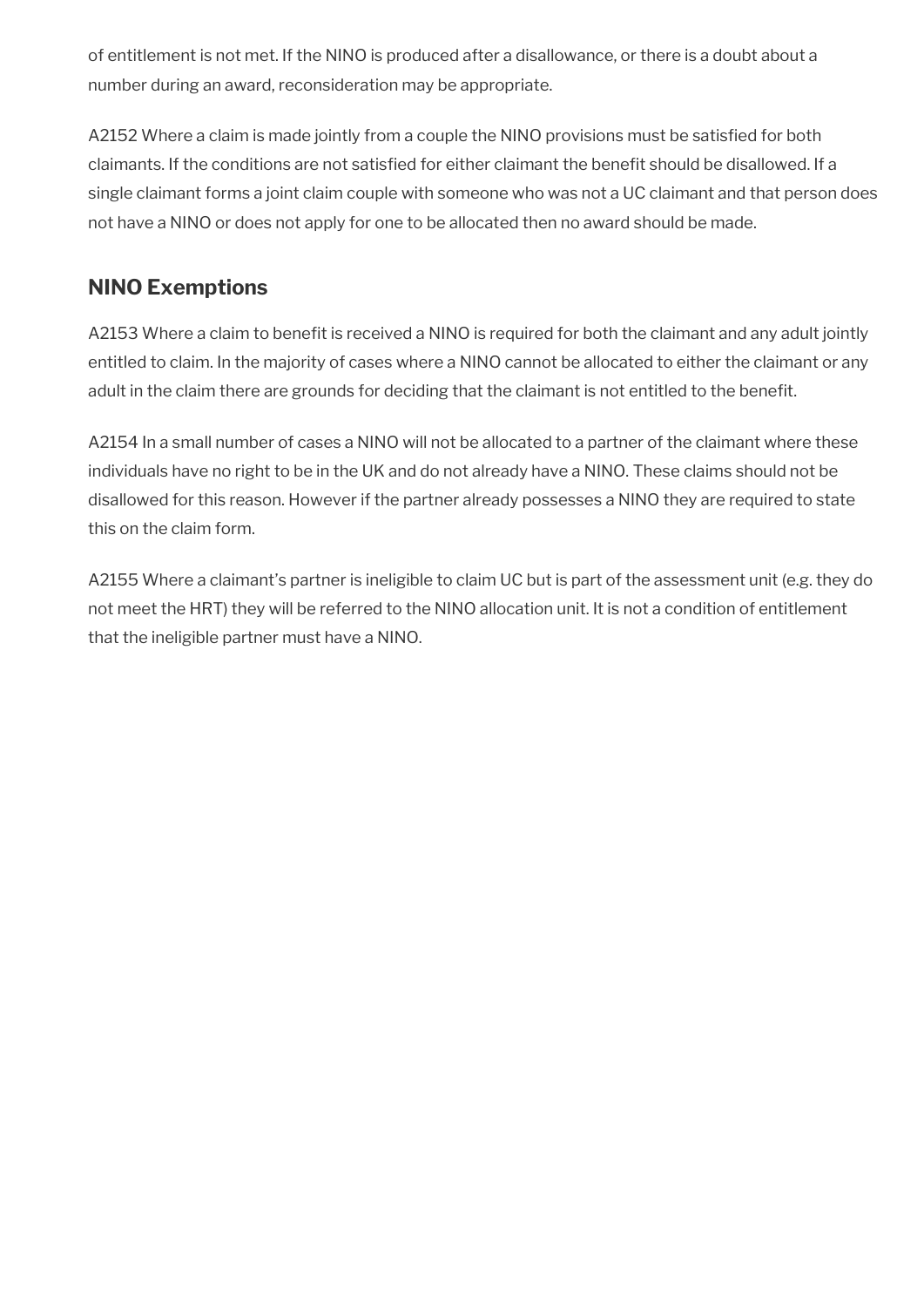of entitlement is not met. If the NINO is produced after a disallowance, or there is a doubt about a number during an award, reconsideration may be appropriate.

A2152 Where a claim is made jointly from a couple the NINO provisions must be satisfed for both claimants. If the conditions are not satisfed for either claimant the beneft should be disallowed. If a single claimant forms a joint claim couple with someone who was not a UC claimant and that person does not have a NINO or does not apply for one to be allocated then no award should be made.

### **NINO Exemptions**

A2153 Where a claim to benefit is received a NINO is required for both the claimant and any adult jointly entitled to claim. In the majority of cases where a NINO cannot be allocated to either the claimant or any adult in the claim there are grounds for deciding that the claimant is not entitled to the beneft.

A2154 In a small number of cases a NINO will not be allocated to a partner of the claimant where these individuals have no right to be in the UK and do not already have a NINO. These claims should not be disallowed for this reason. However if the partner already possesses a NINO they are required to state this on the claim form.

A2155 Where a claimant's partner is ineligible to claim UC but is part of the assessment unit (e.g. they do not meet the HRT) they will be referred to the NINO allocation unit. It is not a condition of entitlement that the ineligible partner must have a NINO.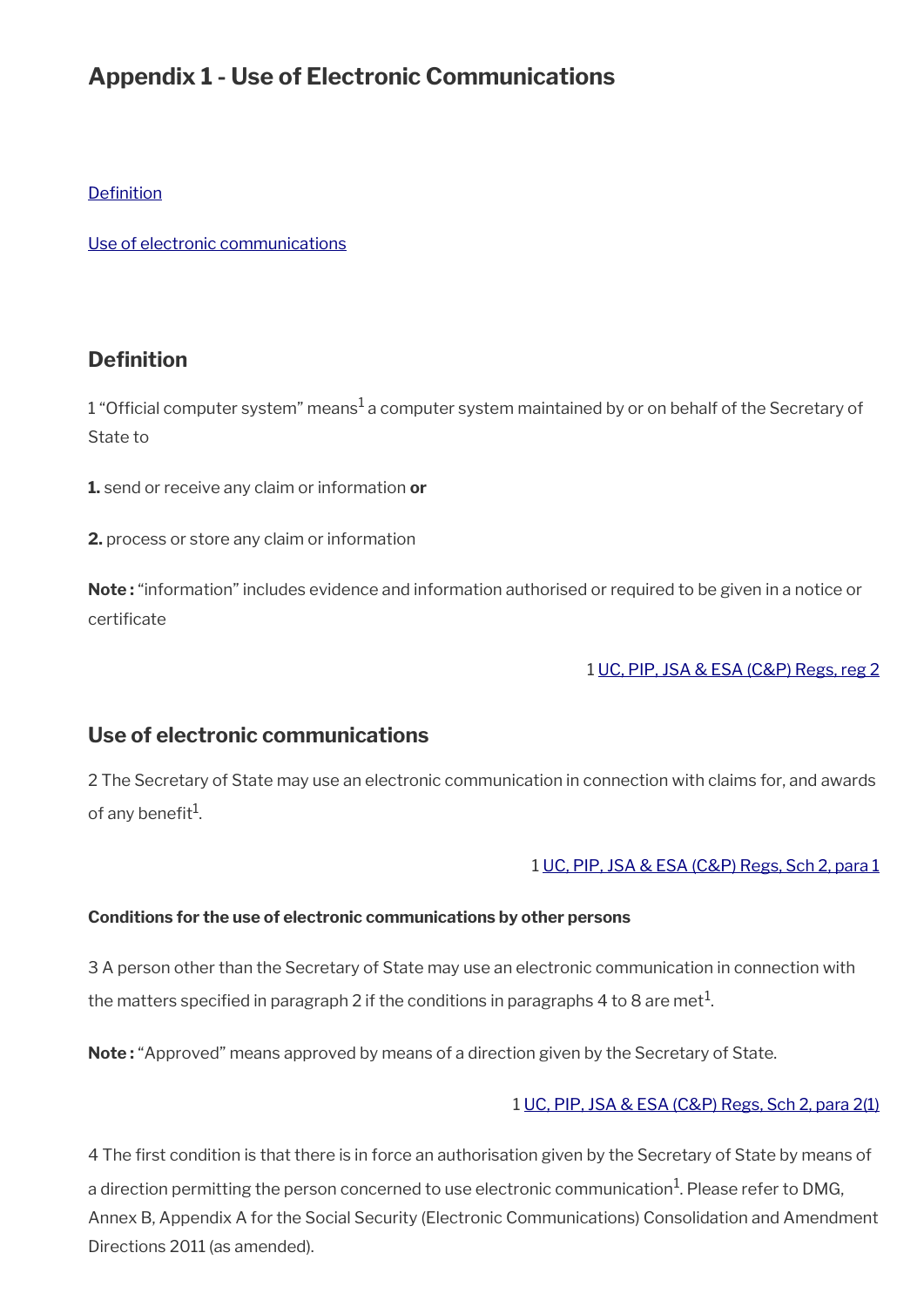## **Appendix 1 - Use of Electronic Communications**

#### **Definition**

[Use of electronic communications](#page-58-0)

### <span id="page-58-1"></span>**Definition**

 $1$  "Official computer system" means $^1$ a computer system maintained by or on behalf of the Secretary of State to

**1.** send or receive any claim or information **or**

**2.** process or store any claim or information

**Note :** "information" includes evidence and information authorised or required to be given in a notice or certificate

#### 1 [UC, PIP, JSA & ESA \(C&P\) Regs, reg 2](http://www.legislation.gov.uk/uksi/2013/380/regulation/2)

### <span id="page-58-0"></span>**Use of electronic communications**

2 The Secretary of State may use an electronic communication in connection with claims for, and awards of any benefit $^1$ .

#### 1 [UC, PIP, JSA & ESA \(C&P\) Regs, Sch 2, para 1](http://www.legislation.gov.uk/uksi/2013/380/schedule/2)

#### **Conditions for the use of electronic communications by other persons**

3 A person other than the Secretary of State may use an electronic communication in connection with the matters specified in paragraph 2 if the conditions in paragraphs 4 to 8 are met $^1\!$ 

**Note:** "Approved" means approved by means of a direction given by the Secretary of State.

#### 1 [UC, PIP, JSA & ESA \(C&P\) Regs, Sch 2, para 2\(1\)](http://www.legislation.gov.uk/uksi/2013/380/schedule/2)

4 The frst condition is that there is in force an authorisation given by the Secretary of State by means of a direction permitting the person concerned to use electronic communication $^1$ . Please refer to DMG, Annex B, Appendix A for the Social Security (Electronic Communications) Consolidation and Amendment Directions 2011 (as amended).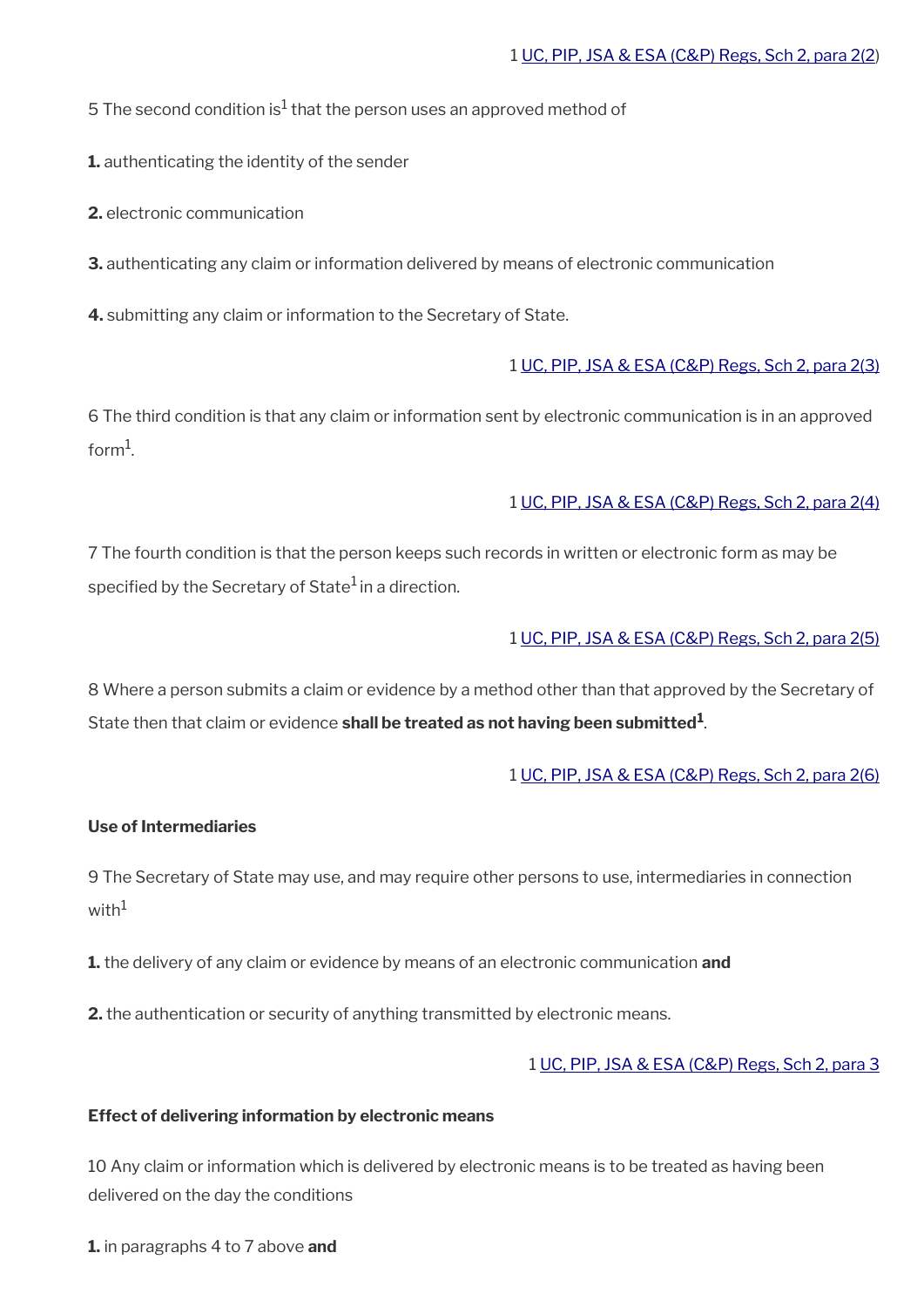5 The second condition is $^{\rm 1}$  that the person uses an approved method of

**1.** authenticating the identity of the sender

**2.** electronic communication

**3.** authenticating any claim or information delivered by means of electronic communication

**4.** submitting any claim or information to the Secretary of State.

#### 1 [UC, PIP, JSA & ESA \(C&P\) Regs, Sch 2, para 2\(3\)](http://www.legislation.gov.uk/uksi/2013/380/schedule/2)

6 The third condition is that any claim or information sent by electronic communication is in an approved form $^1$ .

#### 1 [UC, PIP, JSA & ESA \(C&P\) Regs, Sch 2, para 2\(4\)](http://www.legislation.gov.uk/uksi/2013/380/schedule/2)

7 The fourth condition is that the person keeps such records in written or electronic form as may be specified by the Secretary of State $1$  in a direction.

#### 1 [UC, PIP, JSA & ESA \(C&P\) Regs, Sch 2, para 2\(5\)](http://www.legislation.gov.uk/uksi/2013/380/schedule/2)

8 Where a person submits a claim or evidence by a method other than that approved by the Secretary of State then that claim or evidence **shall be treated as not having been submitted<sup>1</sup>** .

#### 1 [UC, PIP, JSA & ESA \(C&P\) Regs, Sch 2, para 2\(6\)](http://www.legislation.gov.uk/uksi/2013/380/schedule/2)

#### **Use of Intermediaries**

9 The Secretary of State may use, and may require other persons to use, intermediaries in connection with $1$ 

**1.** the delivery of any claim or evidence by means of an electronic communication **and**

**2.** the authentication or security of anything transmitted by electronic means.

#### 1 [UC, PIP, JSA & ESA \(C&P\) Regs, Sch 2, para 3](http://www.legislation.gov.uk/uksi/2013/380/schedule/2)

#### **Effect of delivering information by electronic means**

10 Any claim or information which is delivered by electronic means is to be treated as having been delivered on the day the conditions

**1.** in paragraphs 4 to 7 above **and**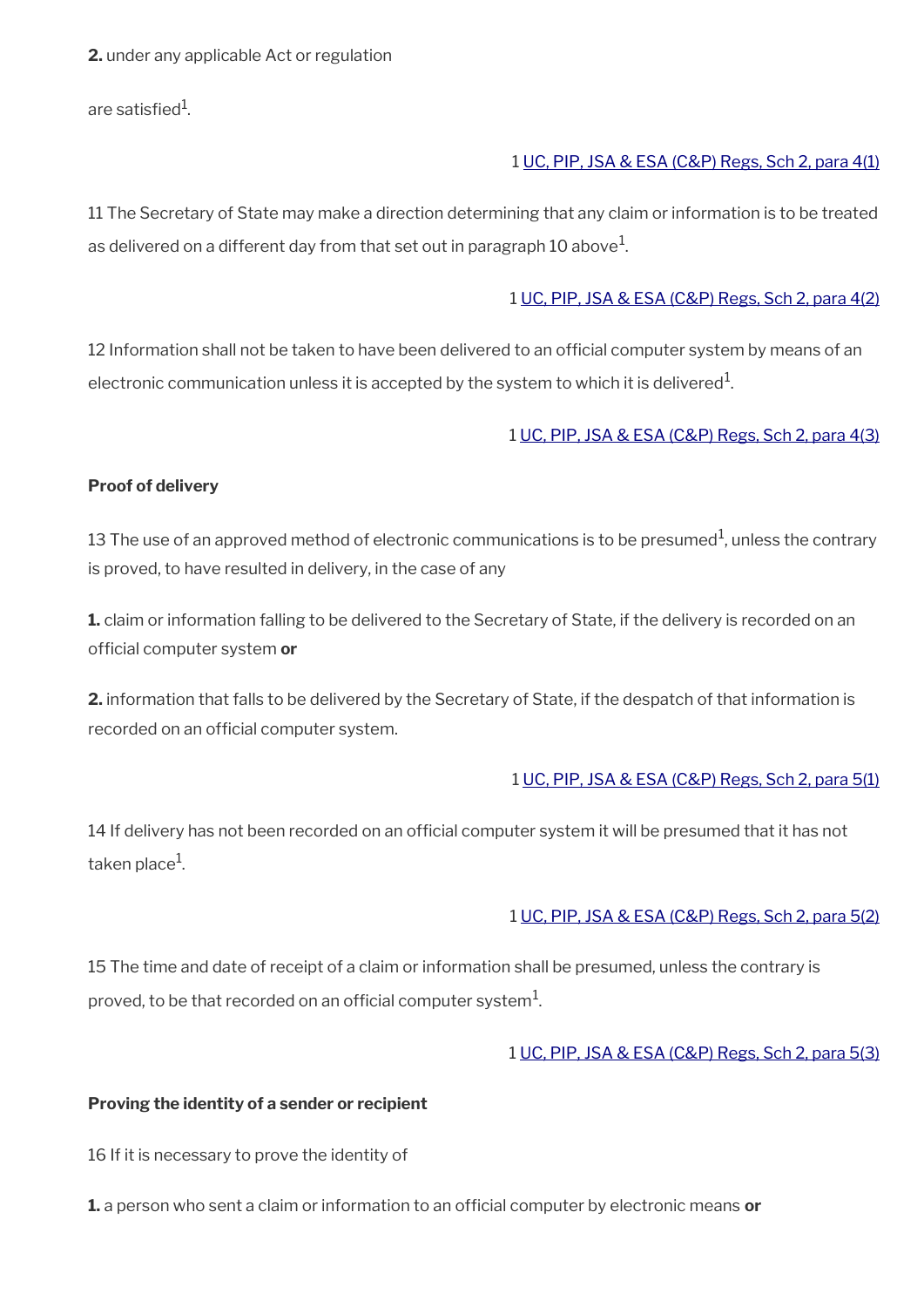**2.** under any applicable Act or regulation

are satisfied $^{\rm 1}$ .

#### 1 [UC, PIP, JSA & ESA \(C&P\) Regs, Sch 2, para 4\(1\)](http://www.legislation.gov.uk/uksi/2013/380/schedule/2)

11 The Secretary of State may make a direction determining that any claim or information is to be treated as delivered on a different day from that set out in paragraph 10 above $^1\!$ 

#### 1 [UC, PIP, JSA & ESA \(C&P\) Regs, Sch 2, para 4\(2\)](http://www.legislation.gov.uk/uksi/2013/380/schedule/2)

12 Information shall not be taken to have been delivered to an official computer system by means of an electronic communication unless it is accepted by the system to which it is delivered $^{\rm 1}$ .

1 [UC, PIP, JSA & ESA \(C&P\) Regs, Sch 2, para 4\(3\)](http://www.legislation.gov.uk/uksi/2013/380/schedule/2)

#### **Proof of delivery**

13 The use of an approved method of electronic communications is to be presumed<sup>1</sup>, unless the contrary is proved, to have resulted in delivery, in the case of any

**1.** claim or information falling to be delivered to the Secretary of State, if the delivery is recorded on an official computer system or

**2.** information that falls to be delivered by the Secretary of State, if the despatch of that information is recorded on an official computer system.

#### 1 [UC, PIP, JSA & ESA \(C&P\) Regs, Sch 2, para 5\(1\)](http://www.legislation.gov.uk/uksi/2013/380/schedule/2)

14 If delivery has not been recorded on an official computer system it will be presumed that it has not taken place $^{\rm 1}$ .

#### 1 [UC, PIP, JSA & ESA \(C&P\) Regs, Sch 2, para 5\(2\)](http://www.legislation.gov.uk/uksi/2013/380/schedule/2)

15 The time and date of receipt of a claim or information shall be presumed, unless the contrary is proved, to be that recorded on an official computer system $^1\!\!$ 

#### 1 [UC, PIP, JSA & ESA \(C&P\) Regs, Sch 2, para 5\(3\)](http://www.legislation.gov.uk/uksi/2013/380/schedule/2)

#### **Proving the identity of a sender or recipient**

16 If it is necessary to prove the identity of

**1.** a person who sent a claim or information to an official computer by electronic means or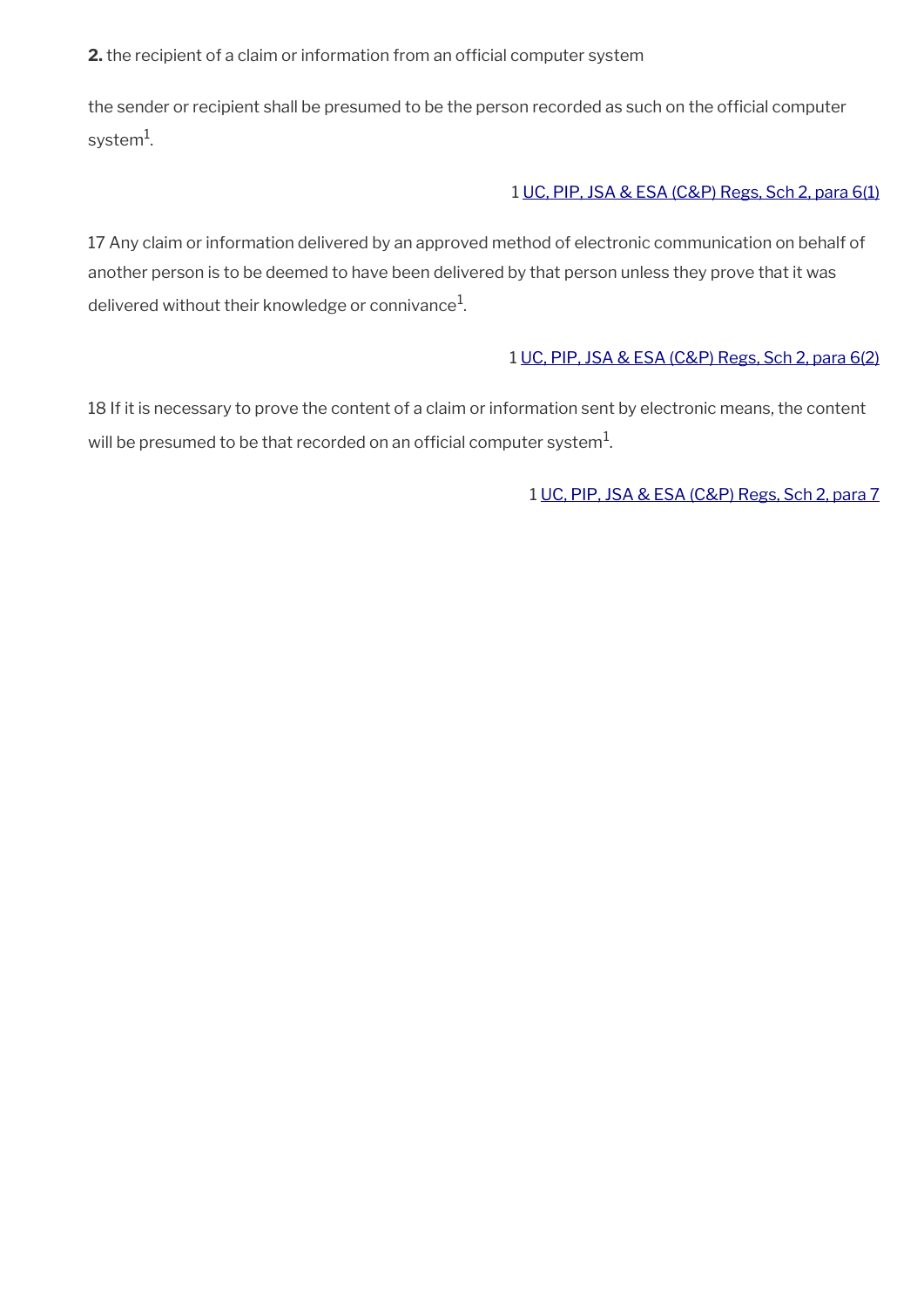**2.** the recipient of a claim or information from an official computer system

the sender or recipient shall be presumed to be the person recorded as such on the official computer system $^{\rm 1}$ .

#### 1 [UC, PIP, JSA & ESA \(C&P\) Regs, Sch 2, para 6\(1\)](http://www.legislation.gov.uk/uksi/2013/380/schedule/2)

17 Any claim or information delivered by an approved method of electronic communication on behalf of another person is to be deemed to have been delivered by that person unless they prove that it was delivered without their knowledge or connivance $^1\!\!$ 

#### 1 [UC, PIP, JSA & ESA \(C&P\) Regs, Sch 2, para 6\(2\)](http://www.legislation.gov.uk/uksi/2013/380/schedule/2)

18 If it is necessary to prove the content of a claim or information sent by electronic means, the content will be presumed to be that recorded on an official computer system $^1\!$ 

1 [UC, PIP, JSA & ESA \(C&P\) Regs, Sch 2, para 7](http://www.legislation.gov.uk/uksi/2013/380/schedule/2)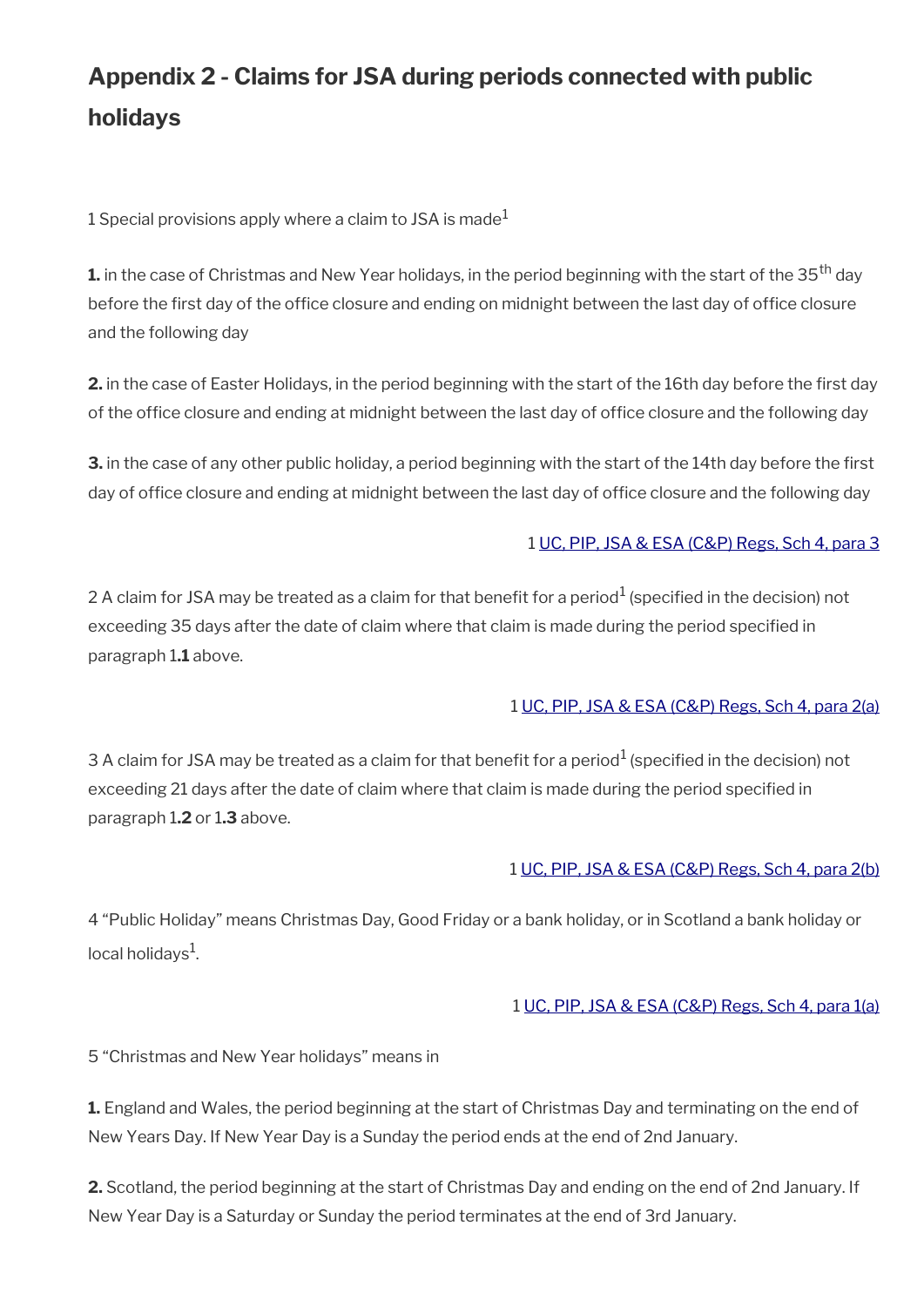# **Appendix 2 - Claims for JSA during periods connected with public holidays**

1 Special provisions apply where a claim to JSA is made<sup>1</sup>

**1.** in the case of Christmas and New Year holidays, in the period beginning with the start of the 35<sup>th</sup> day before the first day of the office closure and ending on midnight between the last day of office closure and the following day

2. in the case of Easter Holidays, in the period beginning with the start of the 16th day before the first day of the office closure and ending at midnight between the last day of office closure and the following day

**3.** in the case of any other public holiday, a period beginning with the start of the 14th day before the first day of office closure and ending at midnight between the last day of office closure and the following day

#### 1 [UC, PIP, JSA & ESA \(C&P\) Regs, Sch 4, para 3](http://www.legislation.gov.uk/uksi/2013/380/schedule/4)

2 A claim for JSA may be treated as a claim for that benefit for a period $^1$  (specified in the decision) not exceeding 35 days after the date of claim where that claim is made during the period specifed in paragraph 1**.1** above.

#### 1 [UC, PIP, JSA & ESA \(C&P\) Regs, Sch 4, para 2\(a\)](http://www.legislation.gov.uk/uksi/2013/380/schedule/4)

3 A claim for JSA may be treated as a claim for that benefit for a period $^1$  (specified in the decision) not exceeding 21 days after the date of claim where that claim is made during the period specifed in paragraph 1**.2** or 1**.3** above.

#### 1 [UC, PIP, JSA & ESA \(C&P\) Regs, Sch 4, para 2\(b\)](http://www.legislation.gov.uk/uksi/2013/380/schedule/4)

4 "Public Holiday" means Christmas Day, Good Friday or a bank holiday, or in Scotland a bank holiday or local holidays $^1$ .

#### 1 [UC, PIP, JSA & ESA \(C&P\) Regs, Sch 4, para 1\(a\)](http://www.legislation.gov.uk/uksi/2013/380/schedule/4)

5 "Christmas and New Year holidays" means in

**1.** England and Wales, the period beginning at the start of Christmas Day and terminating on the end of New Years Day. If New Year Day is a Sunday the period ends at the end of 2nd January.

2. Scotland, the period beginning at the start of Christmas Day and ending on the end of 2nd January. If New Year Day is a Saturday or Sunday the period terminates at the end of 3rd January.